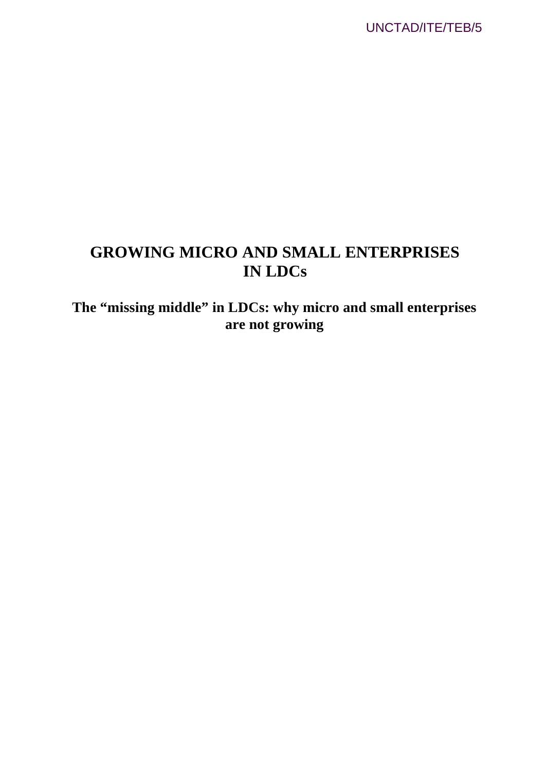UNCTAD/ITE/TEB/5

## **GROWING MICRO AND SMALL ENTERPRISES IN LDCs**

**The "missing middle" in LDCs: why micro and small enterprises are not growing**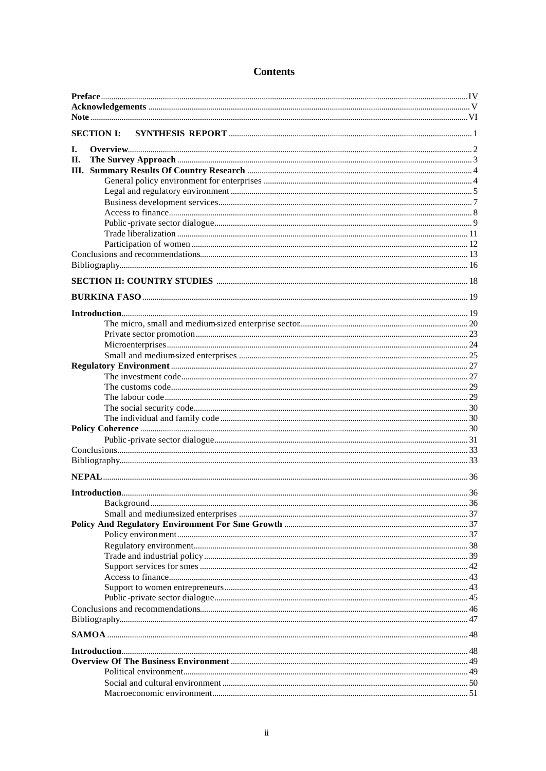## **Contents**

| <b>SECTION I:</b> |  |
|-------------------|--|
|                   |  |
| I.                |  |
| Π.                |  |
|                   |  |
|                   |  |
|                   |  |
|                   |  |
|                   |  |
|                   |  |
|                   |  |
|                   |  |
|                   |  |
|                   |  |
|                   |  |
|                   |  |
|                   |  |
|                   |  |
|                   |  |
|                   |  |
|                   |  |
|                   |  |
|                   |  |
|                   |  |
|                   |  |
|                   |  |
|                   |  |
|                   |  |
|                   |  |
|                   |  |
|                   |  |
|                   |  |
|                   |  |
|                   |  |
|                   |  |
|                   |  |
|                   |  |
|                   |  |
|                   |  |
|                   |  |
|                   |  |
|                   |  |
|                   |  |
|                   |  |
|                   |  |
|                   |  |
|                   |  |
|                   |  |
|                   |  |
|                   |  |
|                   |  |
|                   |  |
|                   |  |
|                   |  |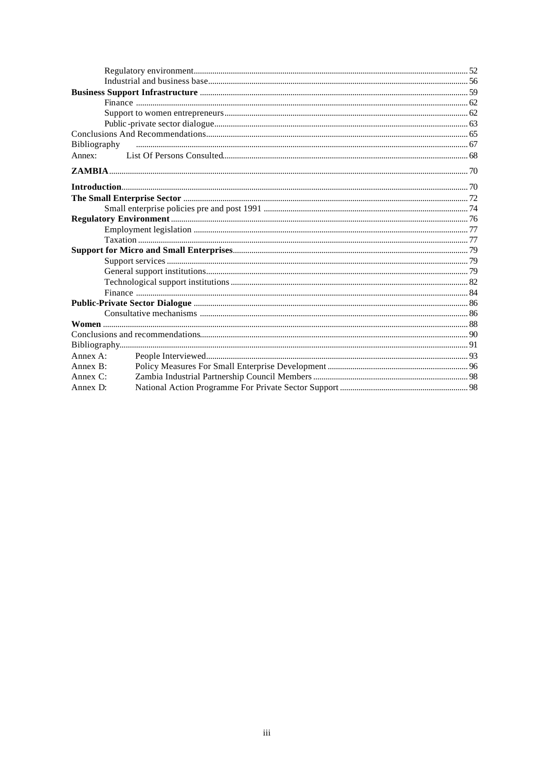| Bibliography |  |
|--------------|--|
| Annex:       |  |
|              |  |
|              |  |
|              |  |
|              |  |
|              |  |
|              |  |
|              |  |
|              |  |
|              |  |
|              |  |
|              |  |
|              |  |
|              |  |
|              |  |
|              |  |
|              |  |
|              |  |
| Annex A:     |  |
| Annex B:     |  |
| Annex $C$ :  |  |
| Annex D:     |  |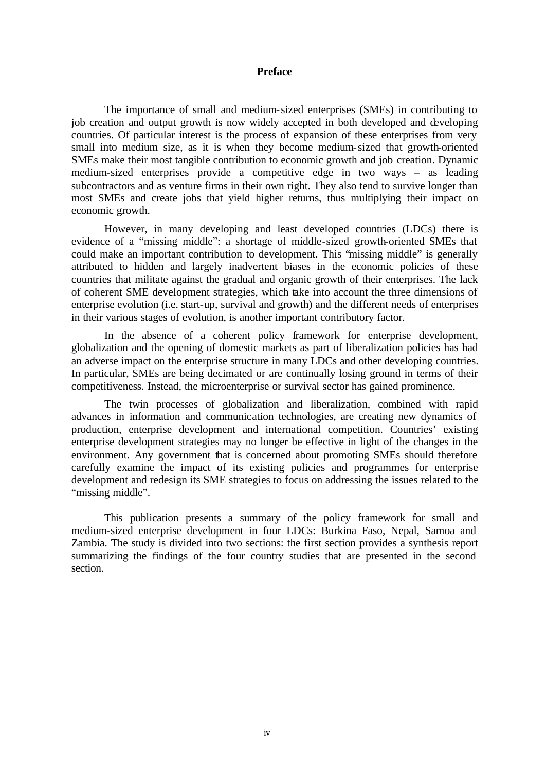#### **Preface**

The importance of small and medium-sized enterprises (SMEs) in contributing to job creation and output growth is now widely accepted in both developed and developing countries. Of particular interest is the process of expansion of these enterprises from very small into medium size, as it is when they become medium-sized that growth-oriented SMEs make their most tangible contribution to economic growth and job creation. Dynamic medium-sized enterprises provide a competitive edge in two ways – as leading subcontractors and as venture firms in their own right. They also tend to survive longer than most SMEs and create jobs that yield higher returns, thus multiplying their impact on economic growth.

However, in many developing and least developed countries (LDCs) there is evidence of a "missing middle": a shortage of middle-sized growth-oriented SMEs that could make an important contribution to development. This "missing middle" is generally attributed to hidden and largely inadvertent biases in the economic policies of these countries that militate against the gradual and organic growth of their enterprises. The lack of coherent SME development strategies, which take into account the three dimensions of enterprise evolution (i.e. start-up, survival and growth) and the different needs of enterprises in their various stages of evolution, is another important contributory factor.

In the absence of a coherent policy framework for enterprise development, globalization and the opening of domestic markets as part of liberalization policies has had an adverse impact on the enterprise structure in many LDCs and other developing countries. In particular, SMEs are being decimated or are continually losing ground in terms of their competitiveness. Instead, the microenterprise or survival sector has gained prominence.

The twin processes of globalization and liberalization, combined with rapid advances in information and communication technologies, are creating new dynamics of production, enterprise development and international competition. Countries' existing enterprise development strategies may no longer be effective in light of the changes in the environment. Any government that is concerned about promoting SMEs should therefore carefully examine the impact of its existing policies and programmes for enterprise development and redesign its SME strategies to focus on addressing the issues related to the "missing middle".

This publication presents a summary of the policy framework for small and medium-sized enterprise development in four LDCs: Burkina Faso, Nepal, Samoa and Zambia. The study is divided into two sections: the first section provides a synthesis report summarizing the findings of the four country studies that are presented in the second section.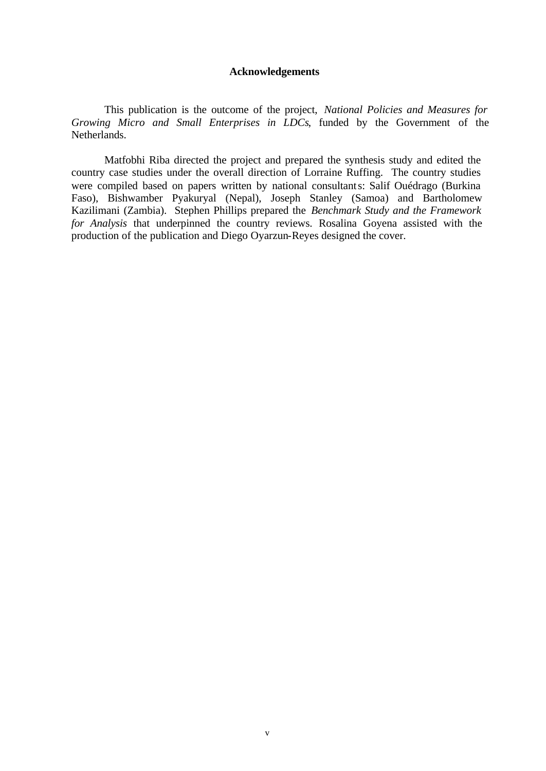#### **Acknowledgements**

This publication is the outcome of the project, *National Policies and Measures for Growing Micro and Small Enterprises in LDCs*, funded by the Government of the Netherlands.

Matfobhi Riba directed the project and prepared the synthesis study and edited the country case studies under the overall direction of Lorraine Ruffing. The country studies were compiled based on papers written by national consultants: Salif Ouédrago (Burkina Faso), Bishwamber Pyakuryal (Nepal), Joseph Stanley (Samoa) and Bartholomew Kazilimani (Zambia). Stephen Phillips prepared the *Benchmark Study and the Framework for Analysis* that underpinned the country reviews. Rosalina Goyena assisted with the production of the publication and Diego Oyarzun-Reyes designed the cover.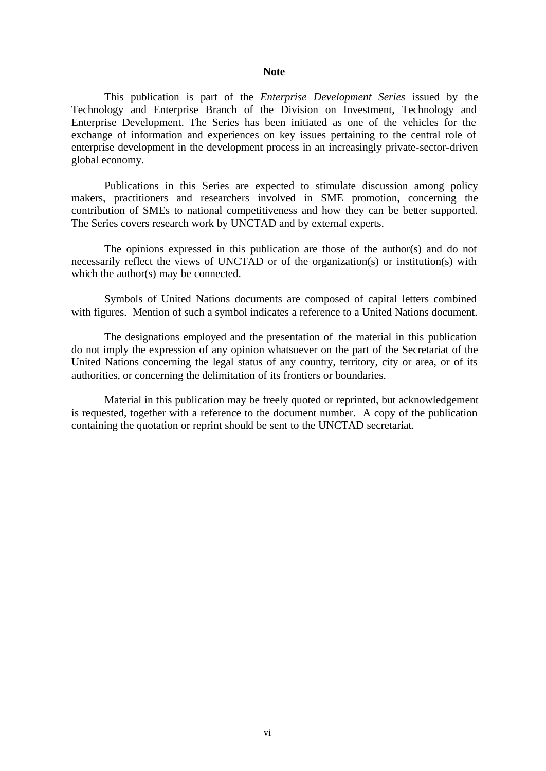#### **Note**

This publication is part of the *Enterprise Development Series* issued by the Technology and Enterprise Branch of the Division on Investment, Technology and Enterprise Development. The Series has been initiated as one of the vehicles for the exchange of information and experiences on key issues pertaining to the central role of enterprise development in the development process in an increasingly private-sector-driven global economy.

Publications in this Series are expected to stimulate discussion among policy makers, practitioners and researchers involved in SME promotion, concerning the contribution of SMEs to national competitiveness and how they can be better supported. The Series covers research work by UNCTAD and by external experts.

The opinions expressed in this publication are those of the author(s) and do not necessarily reflect the views of UNCTAD or of the organization(s) or institution(s) with which the author(s) may be connected.

Symbols of United Nations documents are composed of capital letters combined with figures. Mention of such a symbol indicates a reference to a United Nations document.

The designations employed and the presentation of the material in this publication do not imply the expression of any opinion whatsoever on the part of the Secretariat of the United Nations concerning the legal status of any country, territory, city or area, or of its authorities, or concerning the delimitation of its frontiers or boundaries.

Material in this publication may be freely quoted or reprinted, but acknowledgement is requested, together with a reference to the document number. A copy of the publication containing the quotation or reprint should be sent to the UNCTAD secretariat.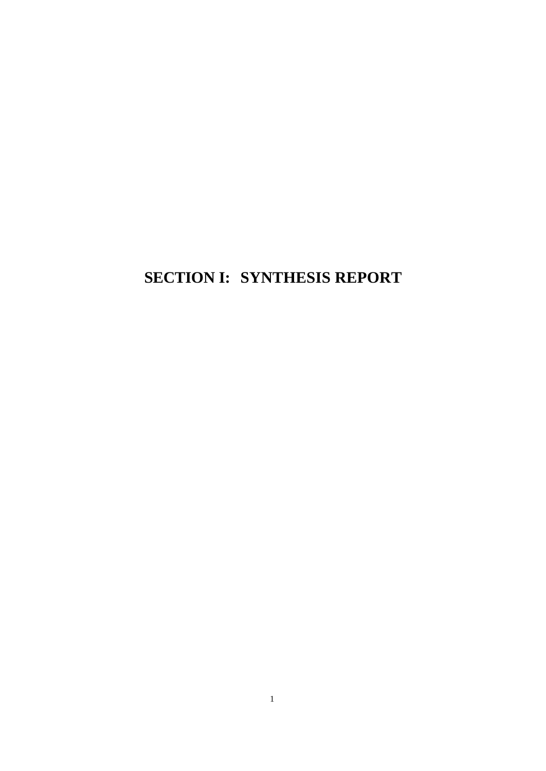# **SECTION I: SYNTHESIS REPORT**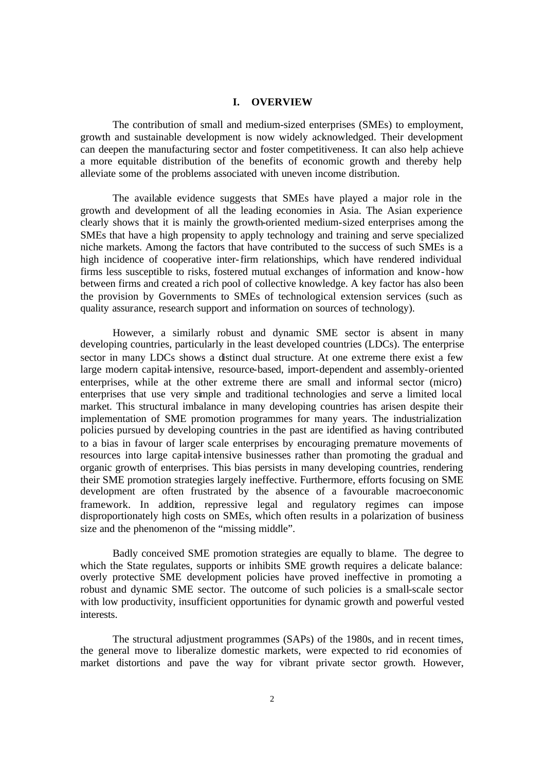#### **I. OVERVIEW**

The contribution of small and medium-sized enterprises (SMEs) to employment, growth and sustainable development is now widely acknowledged. Their development can deepen the manufacturing sector and foster competitiveness. It can also help achieve a more equitable distribution of the benefits of economic growth and thereby help alleviate some of the problems associated with uneven income distribution.

The available evidence suggests that SMEs have played a major role in the growth and development of all the leading economies in Asia. The Asian experience clearly shows that it is mainly the growth-oriented medium-sized enterprises among the SMEs that have a high propensity to apply technology and training and serve specialized niche markets. Among the factors that have contributed to the success of such SMEs is a high incidence of cooperative inter-firm relationships, which have rendered individual firms less susceptible to risks, fostered mutual exchanges of information and know-how between firms and created a rich pool of collective knowledge. A key factor has also been the provision by Governments to SMEs of technological extension services (such as quality assurance, research support and information on sources of technology).

However, a similarly robust and dynamic SME sector is absent in many developing countries, particularly in the least developed countries (LDCs). The enterprise sector in many LDCs shows a distinct dual structure. At one extreme there exist a few large modern capital-intensive, resource-based, import-dependent and assembly-oriented enterprises, while at the other extreme there are small and informal sector (micro) enterprises that use very simple and traditional technologies and serve a limited local market. This structural imbalance in many developing countries has arisen despite their implementation of SME promotion programmes for many years. The industrialization policies pursued by developing countries in the past are identified as having contributed to a bias in favour of larger scale enterprises by encouraging premature movements of resources into large capital-intensive businesses rather than promoting the gradual and organic growth of enterprises. This bias persists in many developing countries, rendering their SME promotion strategies largely ineffective. Furthermore, efforts focusing on SME development are often frustrated by the absence of a favourable macroeconomic framework. In addition, repressive legal and regulatory regimes can impose disproportionately high costs on SMEs, which often results in a polarization of business size and the phenomenon of the "missing middle".

Badly conceived SME promotion strategies are equally to blame. The degree to which the State regulates, supports or inhibits SME growth requires a delicate balance: overly protective SME development policies have proved ineffective in promoting a robust and dynamic SME sector. The outcome of such policies is a small-scale sector with low productivity, insufficient opportunities for dynamic growth and powerful vested interests.

The structural adjustment programmes (SAPs) of the 1980s, and in recent times, the general move to liberalize domestic markets, were expected to rid economies of market distortions and pave the way for vibrant private sector growth. However,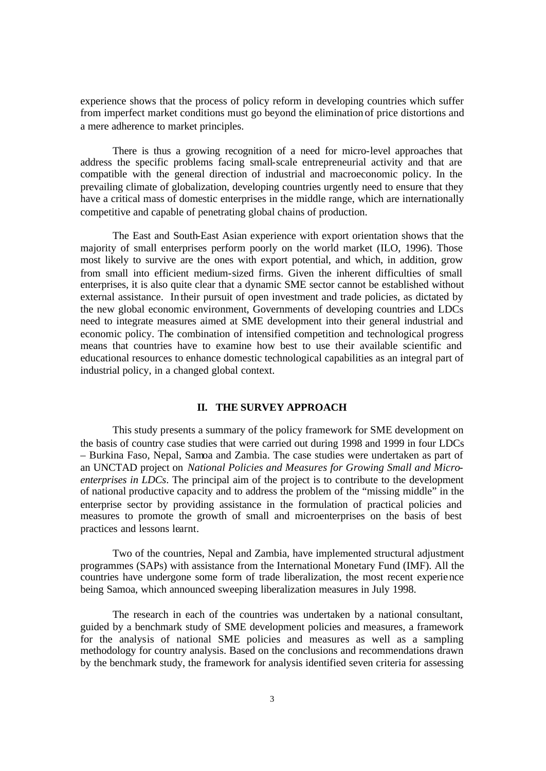experience shows that the process of policy reform in developing countries which suffer from imperfect market conditions must go beyond the elimination of price distortions and a mere adherence to market principles.

There is thus a growing recognition of a need for micro-level approaches that address the specific problems facing small-scale entrepreneurial activity and that are compatible with the general direction of industrial and macroeconomic policy. In the prevailing climate of globalization, developing countries urgently need to ensure that they have a critical mass of domestic enterprises in the middle range, which are internationally competitive and capable of penetrating global chains of production.

The East and South-East Asian experience with export orientation shows that the majority of small enterprises perform poorly on the world market (ILO, 1996). Those most likely to survive are the ones with export potential, and which, in addition, grow from small into efficient medium-sized firms. Given the inherent difficulties of small enterprises, it is also quite clear that a dynamic SME sector cannot be established without external assistance. In their pursuit of open investment and trade policies, as dictated by the new global economic environment, Governments of developing countries and LDCs need to integrate measures aimed at SME development into their general industrial and economic policy. The combination of intensified competition and technological progress means that countries have to examine how best to use their available scientific and educational resources to enhance domestic technological capabilities as an integral part of industrial policy, in a changed global context.

## **II. THE SURVEY APPROACH**

This study presents a summary of the policy framework for SME development on the basis of country case studies that were carried out during 1998 and 1999 in four LDCs – Burkina Faso, Nepal, Samoa and Zambia. The case studies were undertaken as part of an UNCTAD project on *National Policies and Measures for Growing Small and Microenterprises in LDCs*. The principal aim of the project is to contribute to the development of national productive capacity and to address the problem of the "missing middle" in the enterprise sector by providing assistance in the formulation of practical policies and measures to promote the growth of small and microenterprises on the basis of best practices and lessons learnt.

Two of the countries, Nepal and Zambia, have implemented structural adjustment programmes (SAPs) with assistance from the International Monetary Fund (IMF). All the countries have undergone some form of trade liberalization, the most recent experience being Samoa, which announced sweeping liberalization measures in July 1998.

The research in each of the countries was undertaken by a national consultant, guided by a benchmark study of SME development policies and measures, a framework for the analysis of national SME policies and measures as well as a sampling methodology for country analysis. Based on the conclusions and recommendations drawn by the benchmark study, the framework for analysis identified seven criteria for assessing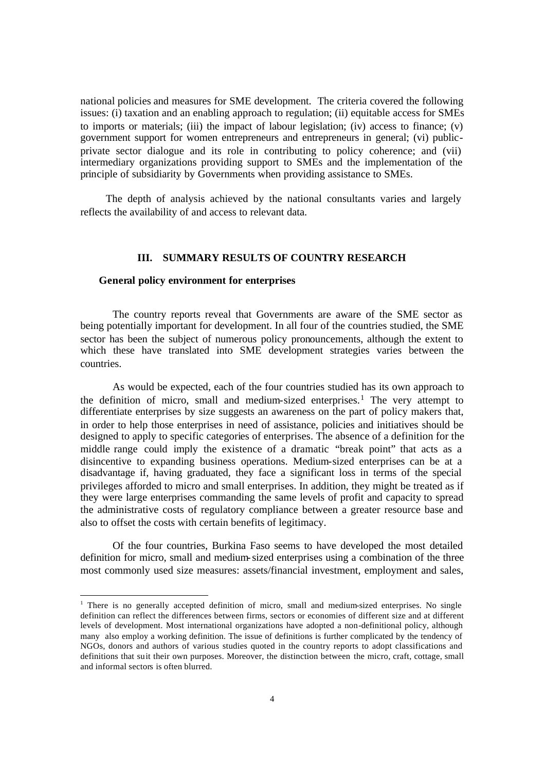national policies and measures for SME development. The criteria covered the following issues: (i) taxation and an enabling approach to regulation; (ii) equitable access for SMEs to imports or materials; (iii) the impact of labour legislation; (iv) access to finance; (v) government support for women entrepreneurs and entrepreneurs in general; (vi) publicprivate sector dialogue and its role in contributing to policy coherence; and (vii) intermediary organizations providing support to SMEs and the implementation of the principle of subsidiarity by Governments when providing assistance to SMEs.

The depth of analysis achieved by the national consultants varies and largely reflects the availability of and access to relevant data.

#### **III. SUMMARY RESULTS OF COUNTRY RESEARCH**

### **General policy environment for enterprises**

 $\overline{a}$ 

The country reports reveal that Governments are aware of the SME sector as being potentially important for development. In all four of the countries studied, the SME sector has been the subject of numerous policy pronouncements, although the extent to which these have translated into SME development strategies varies between the countries.

As would be expected, each of the four countries studied has its own approach to the definition of micro, small and medium-sized enterprises.<sup>1</sup> The very attempt to differentiate enterprises by size suggests an awareness on the part of policy makers that, in order to help those enterprises in need of assistance, policies and initiatives should be designed to apply to specific categories of enterprises. The absence of a definition for the middle range could imply the existence of a dramatic "break point" that acts as a disincentive to expanding business operations. Medium-sized enterprises can be at a disadvantage if, having graduated, they face a significant loss in terms of the special privileges afforded to micro and small enterprises. In addition, they might be treated as if they were large enterprises commanding the same levels of profit and capacity to spread the administrative costs of regulatory compliance between a greater resource base and also to offset the costs with certain benefits of legitimacy.

Of the four countries, Burkina Faso seems to have developed the most detailed definition for micro, small and medium-sized enterprises using a combination of the three most commonly used size measures: assets/financial investment, employment and sales,

<sup>&</sup>lt;sup>1</sup> There is no generally accepted definition of micro, small and medium-sized enterprises. No single definition can reflect the differences between firms, sectors or economies of different size and at different levels of development. Most international organizations have adopted a non-definitional policy, although many also employ a working definition. The issue of definitions is further complicated by the tendency of NGOs, donors and authors of various studies quoted in the country reports to adopt classifications and definitions that suit their own purposes. Moreover, the distinction between the micro, craft, cottage, small and informal sectors is often blurred.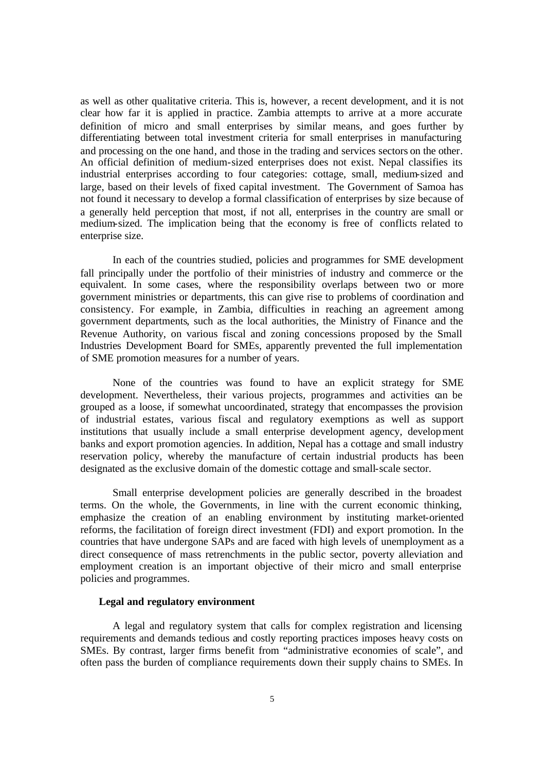as well as other qualitative criteria. This is, however, a recent development, and it is not clear how far it is applied in practice. Zambia attempts to arrive at a more accurate definition of micro and small enterprises by similar means, and goes further by differentiating between total investment criteria for small enterprises in manufacturing and processing on the one hand, and those in the trading and services sectors on the other. An official definition of medium-sized enterprises does not exist. Nepal classifies its industrial enterprises according to four categories: cottage, small, medium-sized and large, based on their levels of fixed capital investment. The Government of Samoa has not found it necessary to develop a formal classification of enterprises by size because of a generally held perception that most, if not all, enterprises in the country are small or medium-sized. The implication being that the economy is free of conflicts related to enterprise size.

In each of the countries studied, policies and programmes for SME development fall principally under the portfolio of their ministries of industry and commerce or the equivalent. In some cases, where the responsibility overlaps between two or more government ministries or departments, this can give rise to problems of coordination and consistency. For example, in Zambia, difficulties in reaching an agreement among government departments, such as the local authorities, the Ministry of Finance and the Revenue Authority, on various fiscal and zoning concessions proposed by the Small Industries Development Board for SMEs, apparently prevented the full implementation of SME promotion measures for a number of years.

None of the countries was found to have an explicit strategy for SME development. Nevertheless, their various projects, programmes and activities can be grouped as a loose, if somewhat uncoordinated, strategy that encompasses the provision of industrial estates, various fiscal and regulatory exemptions as well as support institutions that usually include a small enterprise development agency, development banks and export promotion agencies. In addition, Nepal has a cottage and small industry reservation policy, whereby the manufacture of certain industrial products has been designated as the exclusive domain of the domestic cottage and small-scale sector.

Small enterprise development policies are generally described in the broadest terms. On the whole, the Governments, in line with the current economic thinking, emphasize the creation of an enabling environment by instituting market-oriented reforms, the facilitation of foreign direct investment (FDI) and export promotion. In the countries that have undergone SAPs and are faced with high levels of unemployment as a direct consequence of mass retrenchments in the public sector, poverty alleviation and employment creation is an important objective of their micro and small enterprise policies and programmes.

#### **Legal and regulatory environment**

A legal and regulatory system that calls for complex registration and licensing requirements and demands tedious and costly reporting practices imposes heavy costs on SMEs. By contrast, larger firms benefit from "administrative economies of scale", and often pass the burden of compliance requirements down their supply chains to SMEs. In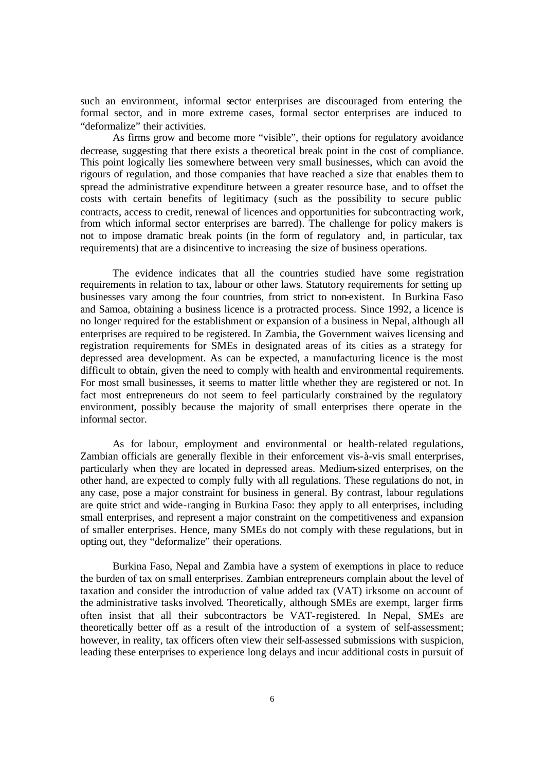such an environment, informal sector enterprises are discouraged from entering the formal sector, and in more extreme cases, formal sector enterprises are induced to "deformalize" their activities.

As firms grow and become more "visible", their options for regulatory avoidance decrease, suggesting that there exists a theoretical break point in the cost of compliance. This point logically lies somewhere between very small businesses, which can avoid the rigours of regulation, and those companies that have reached a size that enables them to spread the administrative expenditure between a greater resource base, and to offset the costs with certain benefits of legitimacy (such as the possibility to secure public contracts, access to credit, renewal of licences and opportunities for subcontracting work, from which informal sector enterprises are barred). The challenge for policy makers is not to impose dramatic break points (in the form of regulatory and, in particular, tax requirements) that are a disincentive to increasing the size of business operations.

The evidence indicates that all the countries studied have some registration requirements in relation to tax, labour or other laws. Statutory requirements for setting up businesses vary among the four countries, from strict to non-existent. In Burkina Faso and Samoa, obtaining a business licence is a protracted process. Since 1992, a licence is no longer required for the establishment or expansion of a business in Nepal, although all enterprises are required to be registered. In Zambia, the Government waives licensing and registration requirements for SMEs in designated areas of its cities as a strategy for depressed area development. As can be expected, a manufacturing licence is the most difficult to obtain, given the need to comply with health and environmental requirements. For most small businesses, it seems to matter little whether they are registered or not. In fact most entrepreneurs do not seem to feel particularly constrained by the regulatory environment, possibly because the majority of small enterprises there operate in the informal sector.

As for labour, employment and environmental or health-related regulations, Zambian officials are generally flexible in their enforcement vis-à-vis small enterprises, particularly when they are located in depressed areas. Medium-sized enterprises, on the other hand, are expected to comply fully with all regulations. These regulations do not, in any case, pose a major constraint for business in general. By contrast, labour regulations are quite strict and wide-ranging in Burkina Faso: they apply to all enterprises, including small enterprises, and represent a major constraint on the competitiveness and expansion of smaller enterprises. Hence, many SMEs do not comply with these regulations, but in opting out, they "deformalize" their operations.

Burkina Faso, Nepal and Zambia have a system of exemptions in place to reduce the burden of tax on small enterprises. Zambian entrepreneurs complain about the level of taxation and consider the introduction of value added tax (VAT) irksome on account of the administrative tasks involved. Theoretically, although SMEs are exempt, larger firms often insist that all their subcontractors be VAT-registered. In Nepal, SMEs are theoretically better off as a result of the introduction of a system of self-assessment; however, in reality, tax officers often view their self-assessed submissions with suspicion, leading these enterprises to experience long delays and incur additional costs in pursuit of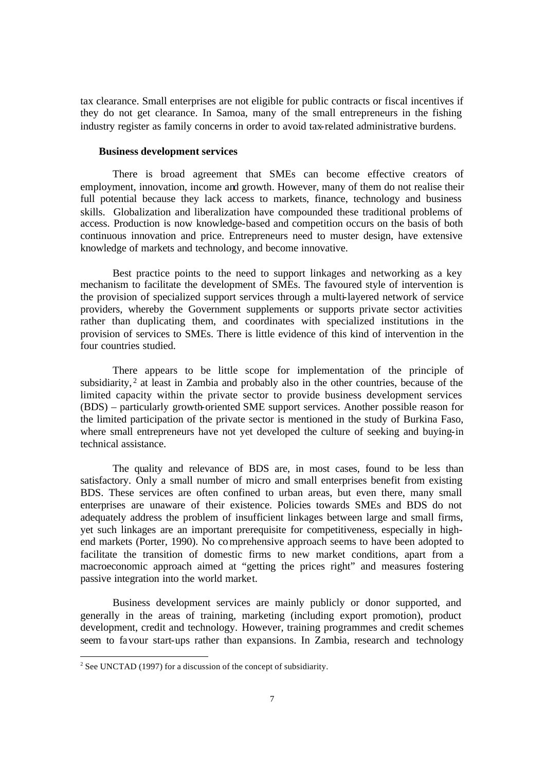tax clearance. Small enterprises are not eligible for public contracts or fiscal incentives if they do not get clearance. In Samoa, many of the small entrepreneurs in the fishing industry register as family concerns in order to avoid tax-related administrative burdens.

#### **Business development services**

There is broad agreement that SMEs can become effective creators of employment, innovation, income and growth. However, many of them do not realise their full potential because they lack access to markets, finance, technology and business skills. Globalization and liberalization have compounded these traditional problems of access. Production is now knowledge-based and competition occurs on the basis of both continuous innovation and price. Entrepreneurs need to muster design, have extensive knowledge of markets and technology, and become innovative.

Best practice points to the need to support linkages and networking as a key mechanism to facilitate the development of SMEs. The favoured style of intervention is the provision of specialized support services through a multi-layered network of service providers, whereby the Government supplements or supports private sector activities rather than duplicating them, and coordinates with specialized institutions in the provision of services to SMEs. There is little evidence of this kind of intervention in the four countries studied.

There appears to be little scope for implementation of the principle of subsidiarity,  $2$  at least in Zambia and probably also in the other countries, because of the limited capacity within the private sector to provide business development services (BDS) – particularly growth-oriented SME support services. Another possible reason for the limited participation of the private sector is mentioned in the study of Burkina Faso, where small entrepreneurs have not yet developed the culture of seeking and buying-in technical assistance.

The quality and relevance of BDS are, in most cases, found to be less than satisfactory. Only a small number of micro and small enterprises benefit from existing BDS. These services are often confined to urban areas, but even there, many small enterprises are unaware of their existence. Policies towards SMEs and BDS do not adequately address the problem of insufficient linkages between large and small firms, yet such linkages are an important prerequisite for competitiveness, especially in highend markets (Porter, 1990). No comprehensive approach seems to have been adopted to facilitate the transition of domestic firms to new market conditions, apart from a macroeconomic approach aimed at "getting the prices right" and measures fostering passive integration into the world market.

Business development services are mainly publicly or donor supported, and generally in the areas of training, marketing (including export promotion), product development, credit and technology. However, training programmes and credit schemes seem to favour start-ups rather than expansions. In Zambia, research and technology

<sup>&</sup>lt;sup>2</sup> See UNCTAD (1997) for a discussion of the concept of subsidiarity.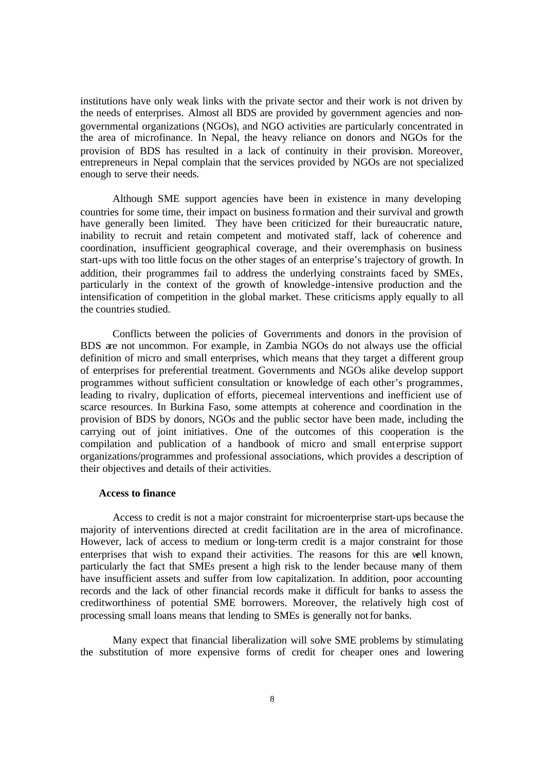institutions have only weak links with the private sector and their work is not driven by the needs of enterprises. Almost all BDS are provided by government agencies and nongovernmental organizations (NGOs), and NGO activities are particularly concentrated in the area of microfinance. In Nepal, the heavy reliance on donors and NGOs for the provision of BDS has resulted in a lack of continuity in their provision. Moreover, entrepreneurs in Nepal complain that the services provided by NGOs are not specialized enough to serve their needs.

Although SME support agencies have been in existence in many developing countries for some time, their impact on business formation and their survival and growth have generally been limited. They have been criticized for their bureaucratic nature, inability to recruit and retain competent and motivated staff, lack of coherence and coordination, insufficient geographical coverage, and their overemphasis on business start-ups with too little focus on the other stages of an enterprise's trajectory of growth. In addition, their programmes fail to address the underlying constraints faced by SMEs, particularly in the context of the growth of knowledge-intensive production and the intensification of competition in the global market. These criticisms apply equally to all the countries studied.

Conflicts between the policies of Governments and donors in the provision of BDS are not uncommon. For example, in Zambia NGOs do not always use the official definition of micro and small enterprises, which means that they target a different group of enterprises for preferential treatment. Governments and NGOs alike develop support programmes without sufficient consultation or knowledge of each other's programmes, leading to rivalry, duplication of efforts, piecemeal interventions and inefficient use of scarce resources. In Burkina Faso, some attempts at coherence and coordination in the provision of BDS by donors, NGOs and the public sector have been made, including the carrying out of joint initiatives. One of the outcomes of this cooperation is the compilation and publication of a handbook of micro and small ent erprise support organizations/programmes and professional associations, which provides a description of their objectives and details of their activities.

#### **Access to finance**

Access to credit is not a major constraint for microenterprise start-ups because the majority of interventions directed at credit facilitation are in the area of microfinance. However, lack of access to medium or long-term credit is a major constraint for those enterprises that wish to expand their activities. The reasons for this are well known, particularly the fact that SMEs present a high risk to the lender because many of them have insufficient assets and suffer from low capitalization. In addition, poor accounting records and the lack of other financial records make it difficult for banks to assess the creditworthiness of potential SME borrowers. Moreover, the relatively high cost of processing small loans means that lending to SMEs is generally not for banks.

Many expect that financial liberalization will solve SME problems by stimulating the substitution of more expensive forms of credit for cheaper ones and lowering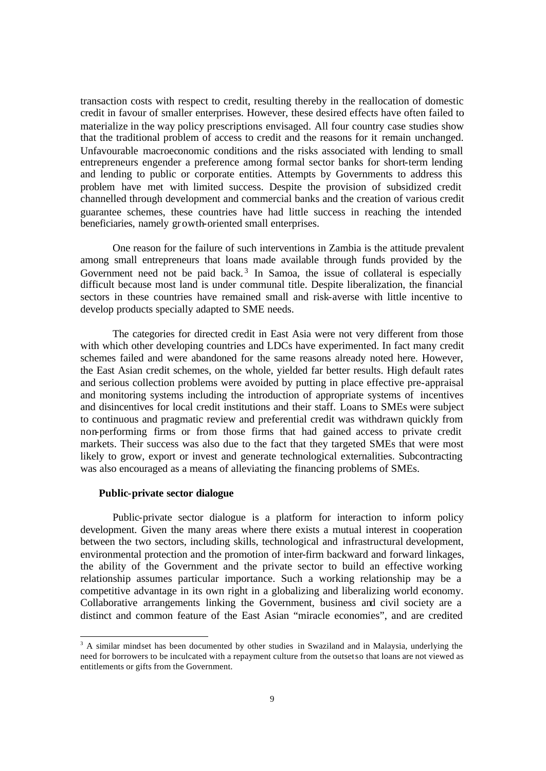transaction costs with respect to credit, resulting thereby in the reallocation of domestic credit in favour of smaller enterprises. However, these desired effects have often failed to materialize in the way policy prescriptions envisaged. All four country case studies show that the traditional problem of access to credit and the reasons for it remain unchanged. Unfavourable macroeconomic conditions and the risks associated with lending to small entrepreneurs engender a preference among formal sector banks for short-term lending and lending to public or corporate entities. Attempts by Governments to address this problem have met with limited success. Despite the provision of subsidized credit channelled through development and commercial banks and the creation of various credit guarantee schemes, these countries have had little success in reaching the intended beneficiaries, namely growth-oriented small enterprises.

One reason for the failure of such interventions in Zambia is the attitude prevalent among small entrepreneurs that loans made available through funds provided by the Government need not be paid back.<sup>3</sup> In Samoa, the issue of collateral is especially difficult because most land is under communal title. Despite liberalization, the financial sectors in these countries have remained small and risk-averse with little incentive to develop products specially adapted to SME needs.

The categories for directed credit in East Asia were not very different from those with which other developing countries and LDCs have experimented. In fact many credit schemes failed and were abandoned for the same reasons already noted here. However, the East Asian credit schemes, on the whole, yielded far better results. High default rates and serious collection problems were avoided by putting in place effective pre-appraisal and monitoring systems including the introduction of appropriate systems of incentives and disincentives for local credit institutions and their staff. Loans to SMEs were subject to continuous and pragmatic review and preferential credit was withdrawn quickly from non-performing firms or from those firms that had gained access to private credit markets. Their success was also due to the fact that they targeted SMEs that were most likely to grow, export or invest and generate technological externalities. Subcontracting was also encouraged as a means of alleviating the financing problems of SMEs.

#### **Public-private sector dialogue**

Public-private sector dialogue is a platform for interaction to inform policy development. Given the many areas where there exists a mutual interest in cooperation between the two sectors, including skills, technological and infrastructural development, environmental protection and the promotion of inter-firm backward and forward linkages, the ability of the Government and the private sector to build an effective working relationship assumes particular importance. Such a working relationship may be a competitive advantage in its own right in a globalizing and liberalizing world economy. Collaborative arrangements linking the Government, business and civil society are a distinct and common feature of the East Asian "miracle economies", and are credited

<sup>&</sup>lt;sup>3</sup> A similar mindset has been documented by other studies in Swaziland and in Malaysia, underlying the need for borrowers to be inculcated with a repayment culture from the outset so that loans are not viewed as entitlements or gifts from the Government.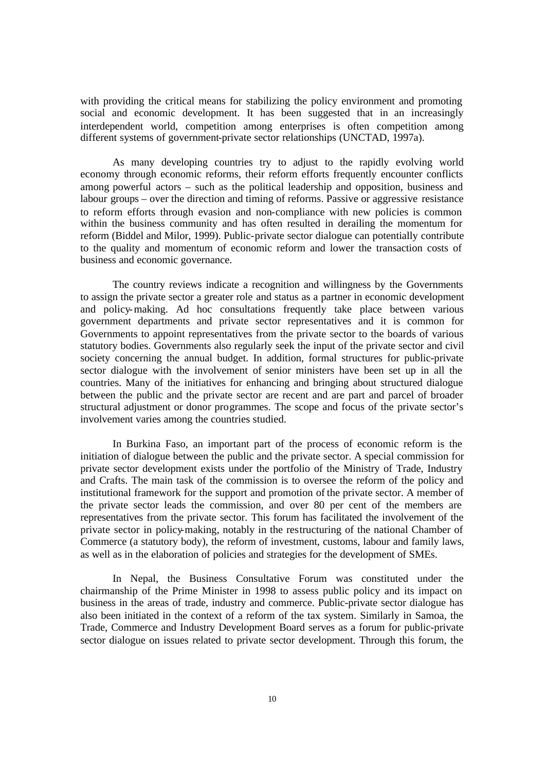with providing the critical means for stabilizing the policy environment and promoting social and economic development. It has been suggested that in an increasingly interdependent world, competition among enterprises is often competition among different systems of government-private sector relationships (UNCTAD, 1997a).

As many developing countries try to adjust to the rapidly evolving world economy through economic reforms, their reform efforts frequently encounter conflicts among powerful actors – such as the political leadership and opposition, business and labour groups – over the direction and timing of reforms. Passive or aggressive resistance to reform efforts through evasion and non-compliance with new policies is common within the business community and has often resulted in derailing the momentum for reform (Biddel and Milor, 1999). Public-private sector dialogue can potentially contribute to the quality and momentum of economic reform and lower the transaction costs of business and economic governance.

The country reviews indicate a recognition and willingness by the Governments to assign the private sector a greater role and status as a partner in economic development and policy-making. Ad hoc consultations frequently take place between various government departments and private sector representatives and it is common for Governments to appoint representatives from the private sector to the boards of various statutory bodies. Governments also regularly seek the input of the private sector and civil society concerning the annual budget. In addition, formal structures for public-private sector dialogue with the involvement of senior ministers have been set up in all the countries. Many of the initiatives for enhancing and bringing about structured dialogue between the public and the private sector are recent and are part and parcel of broader structural adjustment or donor programmes. The scope and focus of the private sector's involvement varies among the countries studied.

In Burkina Faso, an important part of the process of economic reform is the initiation of dialogue between the public and the private sector. A special commission for private sector development exists under the portfolio of the Ministry of Trade, Industry and Crafts. The main task of the commission is to oversee the reform of the policy and institutional framework for the support and promotion of the private sector. A member of the private sector leads the commission, and over 80 per cent of the members are representatives from the private sector. This forum has facilitated the involvement of the private sector in policy-making, notably in the restructuring of the national Chamber of Commerce (a statutory body), the reform of investment, customs, labour and family laws, as well as in the elaboration of policies and strategies for the development of SMEs.

In Nepal, the Business Consultative Forum was constituted under the chairmanship of the Prime Minister in 1998 to assess public policy and its impact on business in the areas of trade, industry and commerce. Public-private sector dialogue has also been initiated in the context of a reform of the tax system. Similarly in Samoa, the Trade, Commerce and Industry Development Board serves as a forum for public-private sector dialogue on issues related to private sector development. Through this forum, the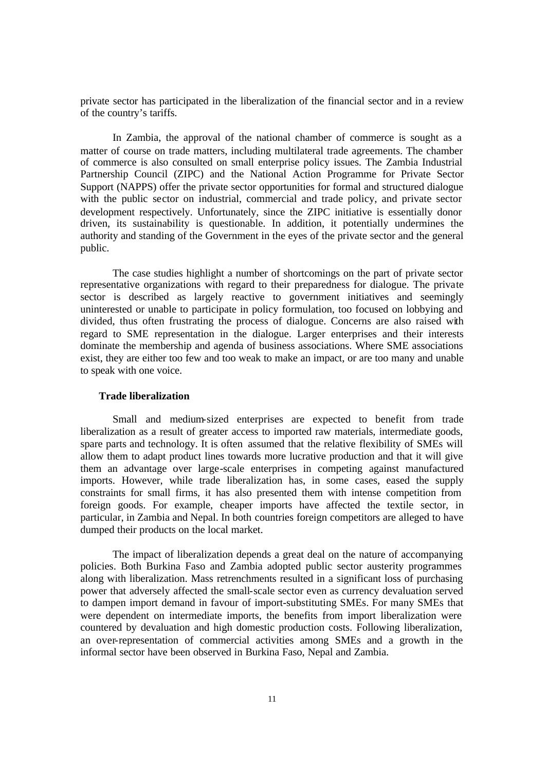private sector has participated in the liberalization of the financial sector and in a review of the country's tariffs.

In Zambia, the approval of the national chamber of commerce is sought as a matter of course on trade matters, including multilateral trade agreements. The chamber of commerce is also consulted on small enterprise policy issues. The Zambia Industrial Partnership Council (ZIPC) and the National Action Programme for Private Sector Support (NAPPS) offer the private sector opportunities for formal and structured dialogue with the public sector on industrial, commercial and trade policy, and private sector development respectively. Unfortunately, since the ZIPC initiative is essentially donor driven, its sustainability is questionable. In addition, it potentially undermines the authority and standing of the Government in the eyes of the private sector and the general public.

The case studies highlight a number of shortcomings on the part of private sector representative organizations with regard to their preparedness for dialogue. The private sector is described as largely reactive to government initiatives and seemingly uninterested or unable to participate in policy formulation, too focused on lobbying and divided, thus often frustrating the process of dialogue. Concerns are also raised with regard to SME representation in the dialogue. Larger enterprises and their interests dominate the membership and agenda of business associations. Where SME associations exist, they are either too few and too weak to make an impact, or are too many and unable to speak with one voice.

#### **Trade liberalization**

Small and medium-sized enterprises are expected to benefit from trade liberalization as a result of greater access to imported raw materials, intermediate goods, spare parts and technology. It is often assumed that the relative flexibility of SMEs will allow them to adapt product lines towards more lucrative production and that it will give them an advantage over large-scale enterprises in competing against manufactured imports. However, while trade liberalization has, in some cases, eased the supply constraints for small firms, it has also presented them with intense competition from foreign goods. For example, cheaper imports have affected the textile sector, in particular, in Zambia and Nepal. In both countries foreign competitors are alleged to have dumped their products on the local market.

The impact of liberalization depends a great deal on the nature of accompanying policies. Both Burkina Faso and Zambia adopted public sector austerity programmes along with liberalization. Mass retrenchments resulted in a significant loss of purchasing power that adversely affected the small-scale sector even as currency devaluation served to dampen import demand in favour of import-substituting SMEs. For many SMEs that were dependent on intermediate imports, the benefits from import liberalization were countered by devaluation and high domestic production costs. Following liberalization, an over-representation of commercial activities among SMEs and a growth in the informal sector have been observed in Burkina Faso, Nepal and Zambia.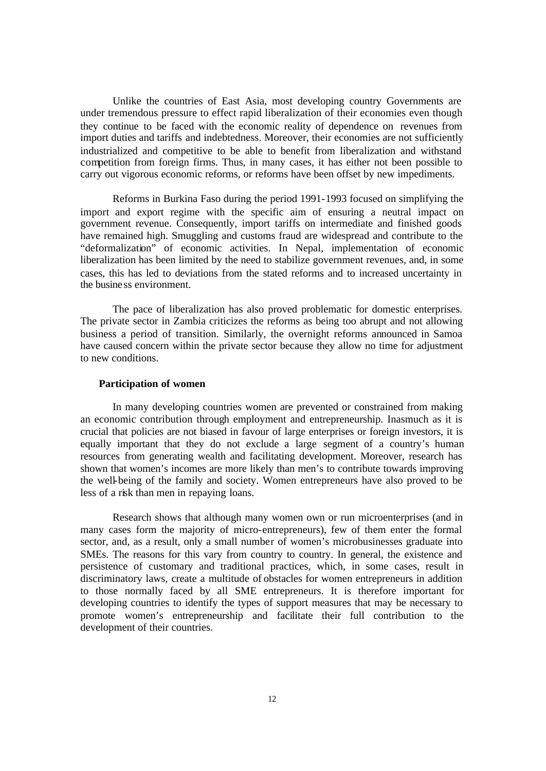Unlike the countries of East Asia, most developing country Governments are under tremendous pressure to effect rapid liberalization of their economies even though they continue to be faced with the economic reality of dependence on revenues from import duties and tariffs and indebtedness. Moreover, their economies are not sufficiently industrialized and competitive to be able to benefit from liberalization and withstand competition from foreign firms. Thus, in many cases, it has either not been possible to carry out vigorous economic reforms, or reforms have been offset by new impediments.

Reforms in Burkina Faso during the period 1991-1993 focused on simplifying the import and export regime with the specific aim of ensuring a neutral impact on government revenue. Consequently, import tariffs on intermediate and finished goods have remained high. Smuggling and customs fraud are widespread and contribute to the "deformalization" of economic activities. In Nepal, implementation of economic liberalization has been limited by the need to stabilize government revenues, and, in some cases, this has led to deviations from the stated reforms and to increased uncertainty in the busine ss environment.

The pace of liberalization has also proved problematic for domestic enterprises. The private sector in Zambia criticizes the reforms as being too abrupt and not allowing business a period of transition. Similarly, the overnight reforms announced in Samoa have caused concern within the private sector because they allow no time for adjustment to new conditions.

#### **Participation of women**

In many developing countries women are prevented or constrained from making an economic contribution through employment and entrepreneurship. Inasmuch as it is crucial that policies are not biased in favour of large enterprises or foreign investors, it is equally important that they do not exclude a large segment of a country's human resources from generating wealth and facilitating development. Moreover, research has shown that women's incomes are more likely than men's to contribute towards improving the well-being of the family and society. Women entrepreneurs have also proved to be less of a risk than men in repaying loans.

Research shows that although many women own or run microenterprises (and in many cases form the majority of micro-entrepreneurs), few of them enter the formal sector, and, as a result, only a small number of women's microbusinesses graduate into SMEs. The reasons for this vary from country to country. In general, the existence and persistence of customary and traditional practices, which, in some cases, result in discriminatory laws, create a multitude of obstacles for women entrepreneurs in addition to those normally faced by all SME entrepreneurs. It is therefore important for developing countries to identify the types of support measures that may be necessary to promote women's entrepreneurship and facilitate their full contribution to the development of their countries.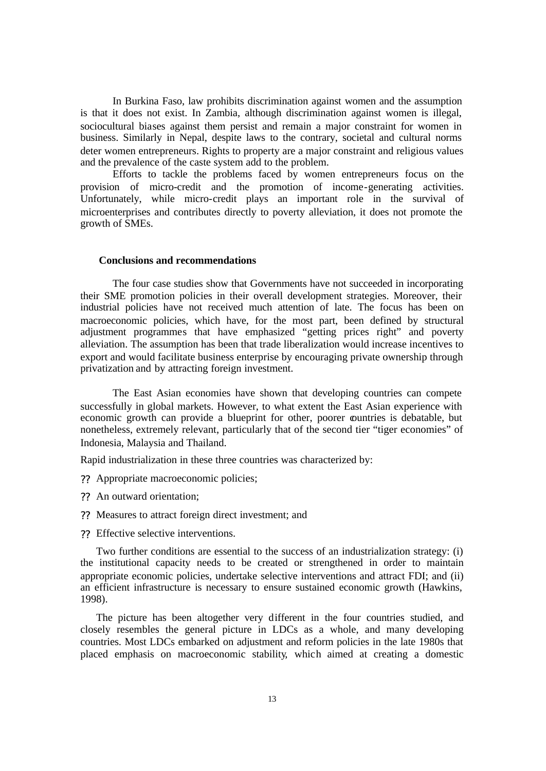In Burkina Faso, law prohibits discrimination against women and the assumption is that it does not exist. In Zambia, although discrimination against women is illegal, sociocultural biases against them persist and remain a major constraint for women in business. Similarly in Nepal, despite laws to the contrary, societal and cultural norms deter women entrepreneurs. Rights to property are a major constraint and religious values and the prevalence of the caste system add to the problem.

Efforts to tackle the problems faced by women entrepreneurs focus on the provision of micro-credit and the promotion of income-generating activities. Unfortunately, while micro-credit plays an important role in the survival of microenterprises and contributes directly to poverty alleviation, it does not promote the growth of SMEs.

#### **Conclusions and recommendations**

The four case studies show that Governments have not succeeded in incorporating their SME promotion policies in their overall development strategies. Moreover, their industrial policies have not received much attention of late. The focus has been on macroeconomic policies, which have, for the most part, been defined by structural adjustment programmes that have emphasized "getting prices right" and poverty alleviation. The assumption has been that trade liberalization would increase incentives to export and would facilitate business enterprise by encouraging private ownership through privatization and by attracting foreign investment.

The East Asian economies have shown that developing countries can compete successfully in global markets. However, to what extent the East Asian experience with economic growth can provide a blueprint for other, poorer countries is debatable, but nonetheless, extremely relevant, particularly that of the second tier "tiger economies" of Indonesia, Malaysia and Thailand.

Rapid industrialization in these three countries was characterized by:

- ?? Appropriate macroeconomic policies;
- ?? An outward orientation;
- ?? Measures to attract foreign direct investment; and
- ?? Effective selective interventions.

Two further conditions are essential to the success of an industrialization strategy: (i) the institutional capacity needs to be created or strengthened in order to maintain appropriate economic policies, undertake selective interventions and attract FDI; and (ii) an efficient infrastructure is necessary to ensure sustained economic growth (Hawkins, 1998).

The picture has been altogether very different in the four countries studied, and closely resembles the general picture in LDCs as a whole, and many developing countries. Most LDCs embarked on adjustment and reform policies in the late 1980s that placed emphasis on macroeconomic stability, which aimed at creating a domestic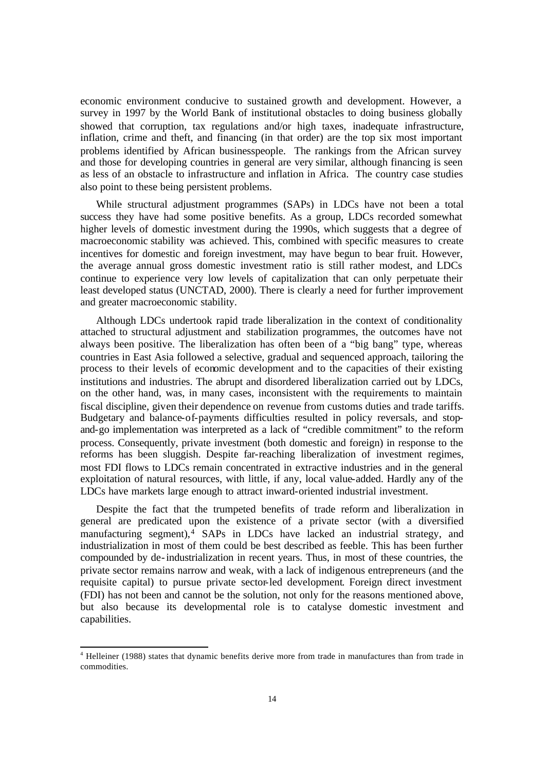economic environment conducive to sustained growth and development. However, a survey in 1997 by the World Bank of institutional obstacles to doing business globally showed that corruption, tax regulations and/or high taxes, inadequate infrastructure, inflation, crime and theft, and financing (in that order) are the top six most important problems identified by African businesspeople. The rankings from the African survey and those for developing countries in general are very similar, although financing is seen as less of an obstacle to infrastructure and inflation in Africa. The country case studies also point to these being persistent problems.

While structural adjustment programmes (SAPs) in LDCs have not been a total success they have had some positive benefits. As a group, LDCs recorded somewhat higher levels of domestic investment during the 1990s, which suggests that a degree of macroeconomic stability was achieved. This, combined with specific measures to create incentives for domestic and foreign investment, may have begun to bear fruit. However, the average annual gross domestic investment ratio is still rather modest, and LDCs continue to experience very low levels of capitalization that can only perpetuate their least developed status (UNCTAD, 2000). There is clearly a need for further improvement and greater macroeconomic stability.

Although LDCs undertook rapid trade liberalization in the context of conditionality attached to structural adjustment and stabilization programmes, the outcomes have not always been positive. The liberalization has often been of a "big bang" type, whereas countries in East Asia followed a selective, gradual and sequenced approach, tailoring the process to their levels of economic development and to the capacities of their existing institutions and industries. The abrupt and disordered liberalization carried out by LDCs, on the other hand, was, in many cases, inconsistent with the requirements to maintain fiscal discipline, given their dependence on revenue from customs duties and trade tariffs. Budgetary and balance-of-payments difficulties resulted in policy reversals, and stopand-go implementation was interpreted as a lack of "credible commitment" to the reform process. Consequently, private investment (both domestic and foreign) in response to the reforms has been sluggish. Despite far-reaching liberalization of investment regimes, most FDI flows to LDCs remain concentrated in extractive industries and in the general exploitation of natural resources, with little, if any, local value-added. Hardly any of the LDCs have markets large enough to attract inward-oriented industrial investment.

Despite the fact that the trumpeted benefits of trade reform and liberalization in general are predicated upon the existence of a private sector (with a diversified manufacturing segment),<sup>4</sup> SAPs in LDCs have lacked an industrial strategy, and industrialization in most of them could be best described as feeble. This has been further compounded by de-industrialization in recent years. Thus, in most of these countries, the private sector remains narrow and weak, with a lack of indigenous entrepreneurs (and the requisite capital) to pursue private sector-led development. Foreign direct investment (FDI) has not been and cannot be the solution, not only for the reasons mentioned above, but also because its developmental role is to catalyse domestic investment and capabilities.

l

<sup>4</sup> Helleiner (1988) states that dynamic benefits derive more from trade in manufactures than from trade in commodities.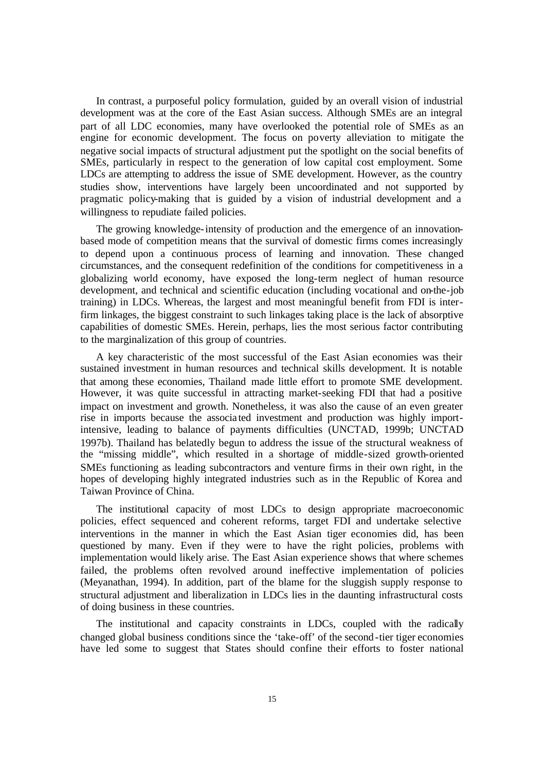In contrast, a purposeful policy formulation, guided by an overall vision of industrial development was at the core of the East Asian success. Although SMEs are an integral part of all LDC economies, many have overlooked the potential role of SMEs as an engine for economic development. The focus on poverty alleviation to mitigate the negative social impacts of structural adjustment put the spotlight on the social benefits of SMEs, particularly in respect to the generation of low capital cost employment. Some LDCs are attempting to address the issue of SME development. However, as the country studies show, interventions have largely been uncoordinated and not supported by pragmatic policy-making that is guided by a vision of industrial development and a willingness to repudiate failed policies.

The growing knowledge-intensity of production and the emergence of an innovationbased mode of competition means that the survival of domestic firms comes increasingly to depend upon a continuous process of learning and innovation. These changed circumstances, and the consequent redefinition of the conditions for competitiveness in a globalizing world economy, have exposed the long-term neglect of human resource development, and technical and scientific education (including vocational and on-the-job training) in LDCs. Whereas, the largest and most meaningful benefit from FDI is interfirm linkages, the biggest constraint to such linkages taking place is the lack of absorptive capabilities of domestic SMEs. Herein, perhaps, lies the most serious factor contributing to the marginalization of this group of countries.

A key characteristic of the most successful of the East Asian economies was their sustained investment in human resources and technical skills development. It is notable that among these economies, Thailand made little effort to promote SME development. However, it was quite successful in attracting market-seeking FDI that had a positive impact on investment and growth. Nonetheless, it was also the cause of an even greater rise in imports because the associa ted investment and production was highly importintensive, leading to balance of payments difficulties (UNCTAD, 1999b; UNCTAD 1997b). Thailand has belatedly begun to address the issue of the structural weakness of the "missing middle", which resulted in a shortage of middle-sized growth-oriented SMEs functioning as leading subcontractors and venture firms in their own right, in the hopes of developing highly integrated industries such as in the Republic of Korea and Taiwan Province of China.

The institutional capacity of most LDCs to design appropriate macroeconomic policies, effect sequenced and coherent reforms, target FDI and undertake selective interventions in the manner in which the East Asian tiger economies did, has been questioned by many. Even if they were to have the right policies, problems with implementation would likely arise. The East Asian experience shows that where schemes failed, the problems often revolved around ineffective implementation of policies (Meyanathan, 1994). In addition, part of the blame for the sluggish supply response to structural adjustment and liberalization in LDCs lies in the daunting infrastructural costs of doing business in these countries.

The institutional and capacity constraints in LDCs, coupled with the radically changed global business conditions since the 'take-off' of the second-tier tiger economies have led some to suggest that States should confine their efforts to foster national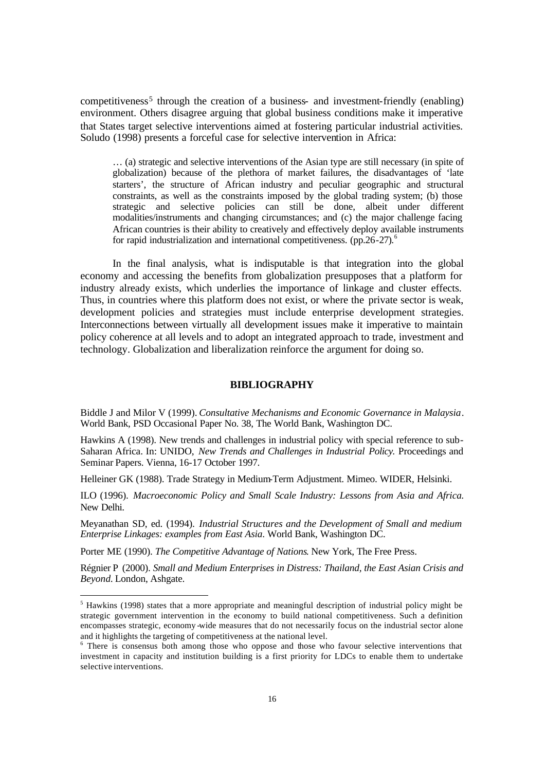competitiveness<sup>5</sup> through the creation of a business- and investment-friendly (enabling) environment. Others disagree arguing that global business conditions make it imperative that States target selective interventions aimed at fostering particular industrial activities. Soludo (1998) presents a forceful case for selective intervention in Africa:

… (a) strategic and selective interventions of the Asian type are still necessary (in spite of globalization) because of the plethora of market failures, the disadvantages of 'late starters', the structure of African industry and peculiar geographic and structural constraints, as well as the constraints imposed by the global trading system; (b) those strategic and selective policies can still be done, albeit under different modalities/instruments and changing circumstances; and (c) the major challenge facing African countries is their ability to creatively and effectively deploy available instruments for rapid industrialization and international competitiveness.  $(pp.26-27)$ .<sup>6</sup>

In the final analysis, what is indisputable is that integration into the global economy and accessing the benefits from globalization presupposes that a platform for industry already exists, which underlies the importance of linkage and cluster effects. Thus, in countries where this platform does not exist, or where the private sector is weak, development policies and strategies must include enterprise development strategies. Interconnections between virtually all development issues make it imperative to maintain policy coherence at all levels and to adopt an integrated approach to trade, investment and technology. Globalization and liberalization reinforce the argument for doing so.

#### **BIBLIOGRAPHY**

Biddle J and Milor V (1999). *Consultative Mechanisms and Economic Governance in Malaysia*. World Bank, PSD Occasional Paper No. 38, The World Bank, Washington DC.

Hawkins A (1998). New trends and challenges in industrial policy with special reference to sub-Saharan Africa. In: UNIDO, *New Trends and Challenges in Industrial Policy.* Proceedings and Seminar Papers. Vienna, 16-17 October 1997.

Helleiner GK (1988). Trade Strategy in Medium-Term Adjustment. Mimeo. WIDER, Helsinki.

ILO (1996). *Macroeconomic Policy and Small Scale Industry: Lessons from Asia and Africa.* New Delhi.

Meyanathan SD, ed. (1994). *Industrial Structures and the Development of Small and medium Enterprise Linkages: examples from East Asia*. World Bank, Washington DC.

Porter ME (1990). *The Competitive Advantage of Nations*. New York, The Free Press.

 $\overline{a}$ 

Régnier P (2000). *Small and Medium Enterprises in Distress: Thailand, the East Asian Crisis and Beyond.* London, Ashgate.

<sup>&</sup>lt;sup>5</sup> Hawkins (1998) states that a more appropriate and meaningful description of industrial policy might be strategic government intervention in the economy to build national competitiveness. Such a definition encompasses strategic, economy -wide measures that do not necessarily focus on the industrial sector alone and it highlights the targeting of competitiveness at the national level.

<sup>&</sup>lt;sup>6</sup> There is consensus both among those who oppose and those who favour selective interventions that investment in capacity and institution building is a first priority for LDCs to enable them to undertake selective interventions.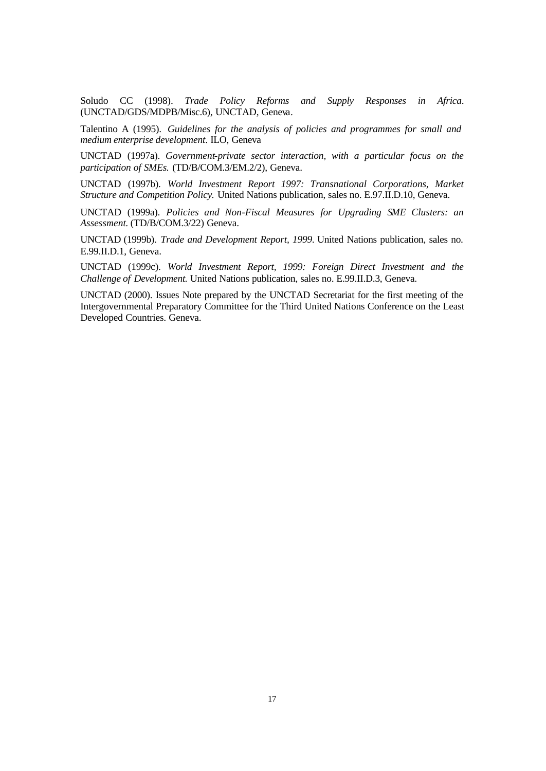Soludo CC (1998). *Trade Policy Reforms and Supply Responses in Africa*. (UNCTAD/GDS/MDPB/Misc.6), UNCTAD, Geneva.

Talentino A (1995). *Guidelines for the analysis of policies and programmes for small and medium enterprise development*. ILO, Geneva

UNCTAD (1997a). *Government-private sector interaction, with a particular focus on the participation of SMEs.* (TD/B/COM.3/EM.2/2), Geneva.

UNCTAD (1997b). *World Investment Report 1997: Transnational Corporations, Market Structure and Competition Policy.* United Nations publication, sales no. E.97.II.D.10, Geneva.

UNCTAD (1999a). *Policies and Non-Fiscal Measures for Upgrading SME Clusters: an Assessment.* (TD/B/COM.3/22) Geneva.

UNCTAD (1999b). *Trade and Development Report, 1999.* United Nations publication, sales no. E.99.II.D.1, Geneva.

UNCTAD (1999c). *World Investment Report, 1999: Foreign Direct Investment and the Challenge of Development.* United Nations publication, sales no. E.99.II.D.3, Geneva.

UNCTAD (2000). Issues Note prepared by the UNCTAD Secretariat for the first meeting of the Intergovernmental Preparatory Committee for the Third United Nations Conference on the Least Developed Countries. Geneva.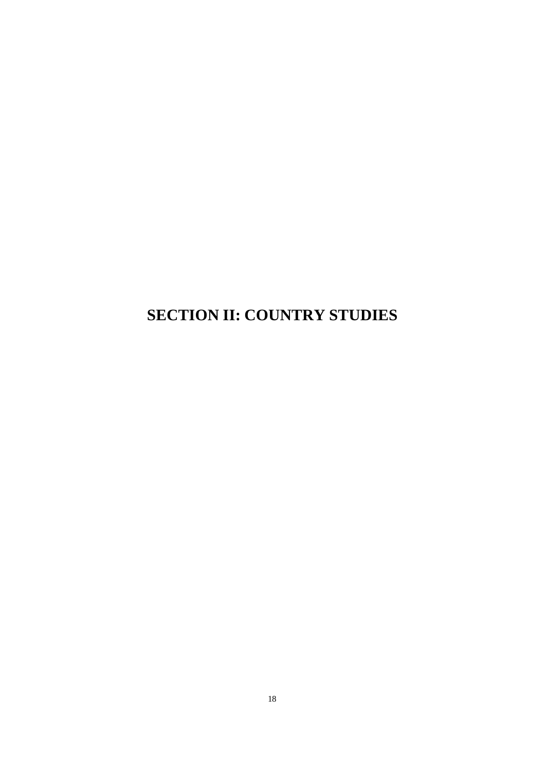# **SECTION II: COUNTRY STUDIES**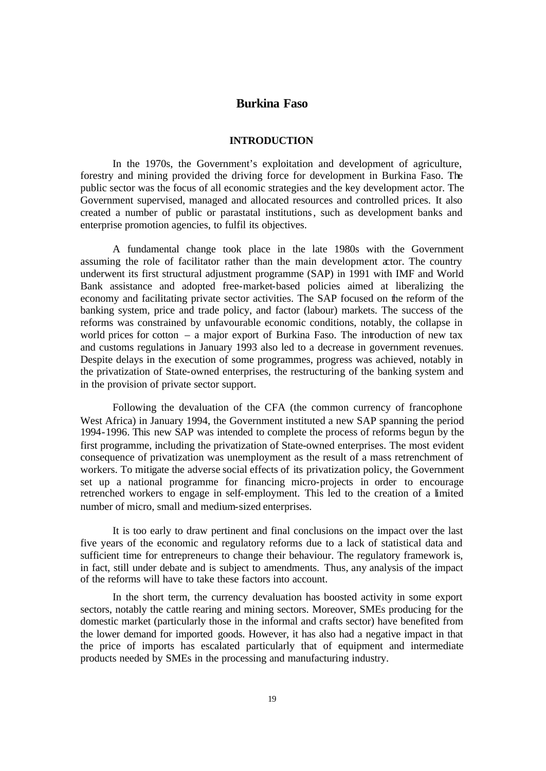## **Burkina Faso**

#### **INTRODUCTION**

In the 1970s, the Government's exploitation and development of agriculture, forestry and mining provided the driving force for development in Burkina Faso. The public sector was the focus of all economic strategies and the key development actor. The Government supervised, managed and allocated resources and controlled prices. It also created a number of public or parastatal institutions, such as development banks and enterprise promotion agencies, to fulfil its objectives.

A fundamental change took place in the late 1980s with the Government assuming the role of facilitator rather than the main development actor. The country underwent its first structural adjustment programme (SAP) in 1991 with IMF and World Bank assistance and adopted free-market-based policies aimed at liberalizing the economy and facilitating private sector activities. The SAP focused on the reform of the banking system, price and trade policy, and factor (labour) markets. The success of the reforms was constrained by unfavourable economic conditions, notably, the collapse in world prices for cotton – a major export of Burkina Faso. The introduction of new tax and customs regulations in January 1993 also led to a decrease in government revenues. Despite delays in the execution of some programmes, progress was achieved, notably in the privatization of State-owned enterprises, the restructuring of the banking system and in the provision of private sector support.

Following the devaluation of the CFA (the common currency of francophone West Africa) in January 1994, the Government instituted a new SAP spanning the period 1994-1996. This new SAP was intended to complete the process of reforms begun by the first programme, including the privatization of State-owned enterprises. The most evident consequence of privatization was unemployment as the result of a mass retrenchment of workers. To mitigate the adverse social effects of its privatization policy, the Government set up a national programme for financing micro-projects in order to encourage retrenched workers to engage in self-employment. This led to the creation of a limited number of micro, small and medium-sized enterprises.

It is too early to draw pertinent and final conclusions on the impact over the last five years of the economic and regulatory reforms due to a lack of statistical data and sufficient time for entrepreneurs to change their behaviour. The regulatory framework is, in fact, still under debate and is subject to amendments. Thus, any analysis of the impact of the reforms will have to take these factors into account.

In the short term, the currency devaluation has boosted activity in some export sectors, notably the cattle rearing and mining sectors. Moreover, SMEs producing for the domestic market (particularly those in the informal and crafts sector) have benefited from the lower demand for imported goods. However, it has also had a negative impact in that the price of imports has escalated particularly that of equipment and intermediate products needed by SMEs in the processing and manufacturing industry.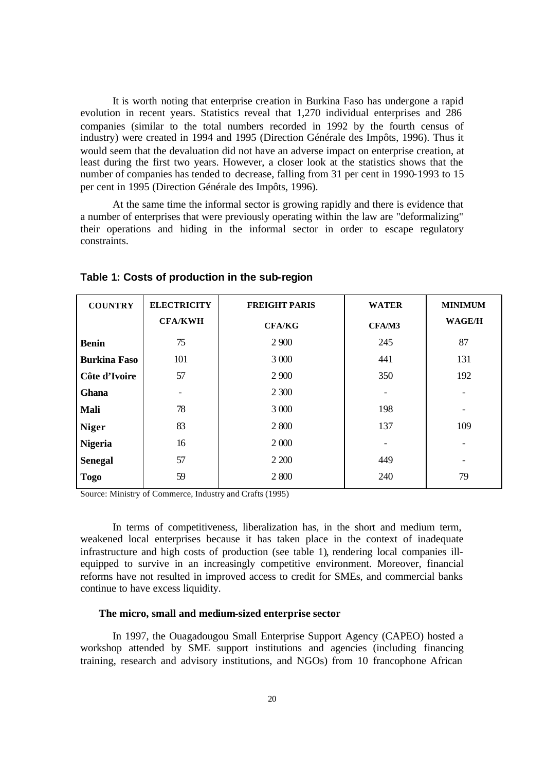It is worth noting that enterprise creation in Burkina Faso has undergone a rapid evolution in recent years. Statistics reveal that 1,270 individual enterprises and 286 companies (similar to the total numbers recorded in 1992 by the fourth census of industry) were created in 1994 and 1995 (Direction Générale des Impôts, 1996). Thus it would seem that the devaluation did not have an adverse impact on enterprise creation, at least during the first two years. However, a closer look at the statistics shows that the number of companies has tended to decrease, falling from 31 per cent in 1990-1993 to 15 per cent in 1995 (Direction Générale des Impôts, 1996).

At the same time the informal sector is growing rapidly and there is evidence that a number of enterprises that were previously operating within the law are "deformalizing" their operations and hiding in the informal sector in order to escape regulatory constraints.

| <b>COUNTRY</b>      | <b>ELECTRICITY</b> | <b>FREIGHT PARIS</b> | <b>WATER</b>             | <b>MINIMUM</b> |
|---------------------|--------------------|----------------------|--------------------------|----------------|
|                     | <b>CFA/KWH</b>     | <b>CFA/KG</b>        | CFA/M3                   | <b>WAGE/H</b>  |
| <b>Benin</b>        | 75                 | 2 900                | 245                      | 87             |
| <b>Burkina Faso</b> | 101                | 3 000                | 441                      | 131            |
| Côte d'Ivoire       | 57                 | 2 900                | 350                      | 192            |
| <b>Ghana</b>        |                    | 2 300                | $\overline{\phantom{0}}$ |                |
| Mali                | 78                 | 3 000                | 198                      |                |
| <b>Niger</b>        | 83                 | 2 800                | 137                      | 109            |
| <b>Nigeria</b>      | 16                 | 2 000                | $\qquad \qquad$          |                |
| <b>Senegal</b>      | 57                 | 2 200                | 449                      |                |
| <b>Togo</b>         | 59                 | 2 800                | 240                      | 79             |

#### **Table 1: Costs of production in the sub-region**

Source: Ministry of Commerce, Industry and Crafts (1995)

In terms of competitiveness, liberalization has, in the short and medium term, weakened local enterprises because it has taken place in the context of inadequate infrastructure and high costs of production (see table 1), rendering local companies illequipped to survive in an increasingly competitive environment. Moreover, financial reforms have not resulted in improved access to credit for SMEs, and commercial banks continue to have excess liquidity.

#### **The micro, small and medium-sized enterprise sector**

In 1997, the Ouagadougou Small Enterprise Support Agency (CAPEO) hosted a workshop attended by SME support institutions and agencies (including financing training, research and advisory institutions, and NGOs) from 10 francophone African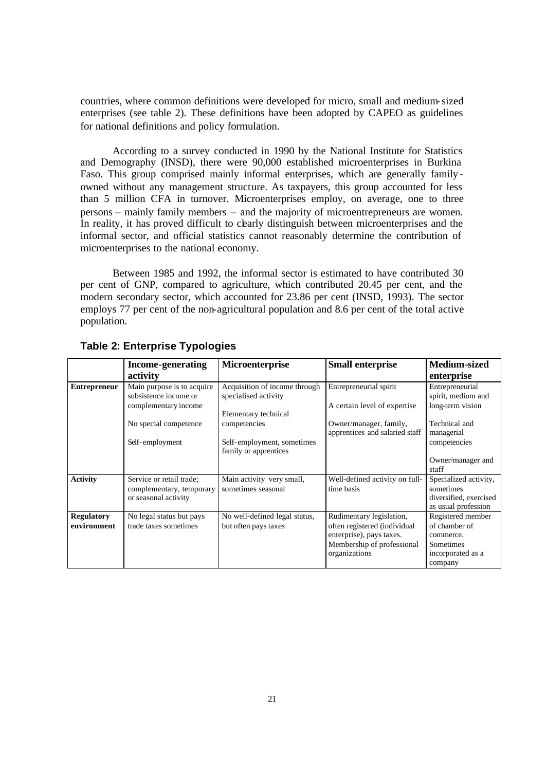countries, where common definitions were developed for micro, small and medium-sized enterprises (see table 2). These definitions have been adopted by CAPEO as guidelines for national definitions and policy formulation.

According to a survey conducted in 1990 by the National Institute for Statistics and Demography (INSD), there were 90,000 established microenterprises in Burkina Faso. This group comprised mainly informal enterprises, which are generally familyowned without any management structure. As taxpayers, this group accounted for less than 5 million CFA in turnover. Microenterprises employ, on average, one to three persons – mainly family members – and the majority of microentrepreneurs are women. In reality, it has proved difficult to charly distinguish between microenterprises and the informal sector, and official statistics cannot reasonably determine the contribution of microenterprises to the national economy.

Between 1985 and 1992, the informal sector is estimated to have contributed 30 per cent of GNP, compared to agriculture, which contributed 20.45 per cent, and the modern secondary sector, which accounted for 23.86 per cent (INSD, 1993). The sector employs 77 per cent of the non-agricultural population and 8.6 per cent of the total active population.

|                                  | <b>Income-generating</b>                                                     | Microenterprise                                       | <b>Small enterprise</b>                                                                                                             | <b>Medium-sized</b>                                                                          |
|----------------------------------|------------------------------------------------------------------------------|-------------------------------------------------------|-------------------------------------------------------------------------------------------------------------------------------------|----------------------------------------------------------------------------------------------|
|                                  | activity                                                                     |                                                       |                                                                                                                                     | enterprise                                                                                   |
| <b>Entrepreneur</b>              | Main purpose is to acquire<br>subsistence income or                          | Acquisition of income through<br>specialised activity | Entrepreneurial spirit                                                                                                              | Entrepreneurial<br>spirit, medium and                                                        |
|                                  | complementary income                                                         | Elementary technical                                  | A certain level of expertise                                                                                                        | long-term vision                                                                             |
|                                  | No special competence                                                        | competencies                                          | Owner/manager, family,<br>apprentices and salaried staff                                                                            | Technical and<br>managerial                                                                  |
|                                  | Self-employment                                                              | Self-employment, sometimes<br>family or apprentices   |                                                                                                                                     | competencies                                                                                 |
|                                  |                                                                              |                                                       |                                                                                                                                     | Owner/manager and<br>staff                                                                   |
| <b>Activity</b>                  | Service or retail trade;<br>complementary, temporary<br>or seasonal activity | Main activity very small,<br>sometimes seasonal       | Well-defined activity on full-<br>time basis                                                                                        | Specialized activity,<br>sometimes<br>diversified, exercised<br>as usual profession          |
| <b>Regulatory</b><br>environment | No legal status but pays<br>trade taxes sometimes                            | No well-defined legal status,<br>but often pays taxes | Rudimentary legislation,<br>often registered (individual<br>enterprise), pays taxes.<br>Membership of professional<br>organizations | Registered member<br>of chamber of<br>commerce.<br>Sometimes<br>incorporated as a<br>company |

## **Table 2: Enterprise Typologies**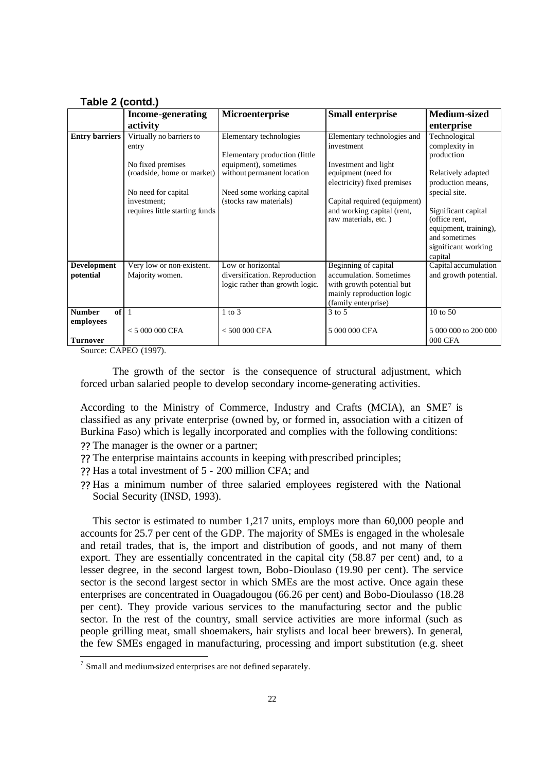**Table 2 (contd.)**

|                                                     | <b>Income-generating</b>                                             | Microenterprise                                                                       | <b>Small enterprise</b>                                                                                                          | Medium-sized                                                                                                                      |
|-----------------------------------------------------|----------------------------------------------------------------------|---------------------------------------------------------------------------------------|----------------------------------------------------------------------------------------------------------------------------------|-----------------------------------------------------------------------------------------------------------------------------------|
|                                                     | activity                                                             |                                                                                       |                                                                                                                                  | enterprise                                                                                                                        |
| <b>Entry barriers</b>                               | Virtually no barriers to<br>entry                                    | Elementary technologies<br>Elementary production (little)                             | Elementary technologies and<br>investment                                                                                        | Technological<br>complexity in<br>production                                                                                      |
|                                                     | No fixed premises<br>(roadside, home or market)                      | equipment), sometimes<br>without permanent location                                   | Investment and light<br>equipment (need for<br>electricity) fixed premises                                                       | Relatively adapted<br>production means,                                                                                           |
|                                                     | No need for capital<br>investment:<br>requires little starting funds | Need some working capital<br>(stocks raw materials)                                   | Capital required (equipment)<br>and working capital (rent,<br>raw materials, etc.)                                               | special site.<br>Significant capital<br>(office rent,<br>equipment, training),<br>and sometimes<br>significant working<br>capital |
| <b>Development</b><br>potential                     | Very low or non-existent.<br>Majority women.                         | Low or horizontal<br>diversification. Reproduction<br>logic rather than growth logic. | Beginning of capital<br>accumulation. Sometimes<br>with growth potential but<br>mainly reproduction logic<br>(family enterprise) | Capital accumulation<br>and growth potential.                                                                                     |
| <b>Number</b><br>of<br>employees<br><b>Turnover</b> | $< 5000000$ CFA                                                      | $1$ to $3$<br>$< 500000$ CFA                                                          | $3$ to 5<br>5 000 000 CFA                                                                                                        | 10 to 50<br>5 000 000 to 200 000<br><b>000 CFA</b>                                                                                |

Source: CAPEO (1997).

The growth of the sector is the consequence of structural adjustment, which forced urban salaried people to develop secondary income-generating activities.

According to the Ministry of Commerce, Industry and Crafts (MCIA), an SME<sup>7</sup> is classified as any private enterprise (owned by, or formed in, association with a citizen of Burkina Faso) which is legally incorporated and complies with the following conditions:

- ?? The manager is the owner or a partner;
- ?? The enterprise maintains accounts in keeping with prescribed principles;
- ?? Has a total investment of 5 200 million CFA; and
- ?? Has a minimum number of three salaried employees registered with the National Social Security (INSD, 1993).

This sector is estimated to number 1,217 units, employs more than 60,000 people and accounts for 25.7 per cent of the GDP. The majority of SMEs is engaged in the wholesale and retail trades, that is, the import and distribution of goods, and not many of them export. They are essentially concentrated in the capital city (58.87 per cent) and, to a lesser degree, in the second largest town, Bobo-Dioulaso (19.90 per cent). The service sector is the second largest sector in which SMEs are the most active. Once again these enterprises are concentrated in Ouagadougou (66.26 per cent) and Bobo-Dioulasso (18.28 per cent). They provide various services to the manufacturing sector and the public sector. In the rest of the country, small service activities are more informal (such as people grilling meat, small shoemakers, hair stylists and local beer brewers). In general, the few SMEs engaged in manufacturing, processing and import substitution (e.g. sheet

 7 Small and medium-sized enterprises are not defined separately.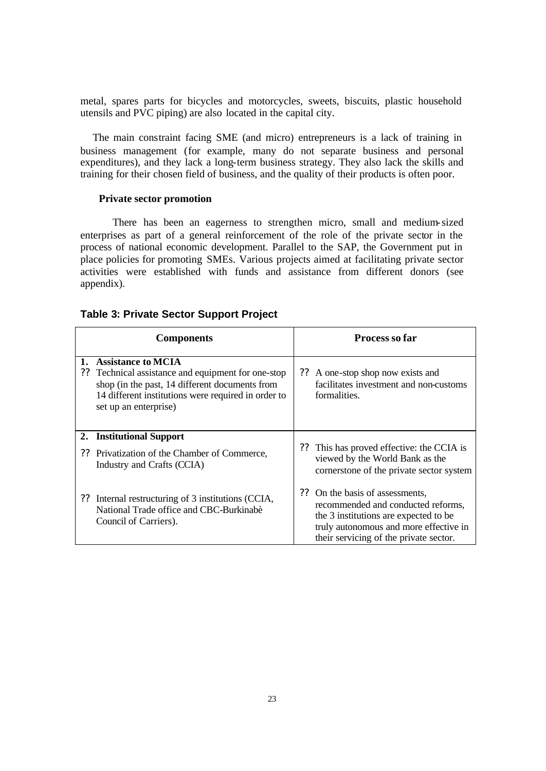metal, spares parts for bicycles and motorcycles, sweets, biscuits, plastic household utensils and PVC piping) are also located in the capital city.

The main constraint facing SME (and micro) entrepreneurs is a lack of training in business management (for example, many do not separate business and personal expenditures), and they lack a long-term business strategy. They also lack the skills and training for their chosen field of business, and the quality of their products is often poor.

#### **Private sector promotion**

There has been an eagerness to strengthen micro, small and medium-sized enterprises as part of a general reinforcement of the role of the private sector in the process of national economic development. Parallel to the SAP, the Government put in place policies for promoting SMEs. Various projects aimed at facilitating private sector activities were established with funds and assistance from different donors (see appendix).

#### **Table 3: Private Sector Support Project**

|          | <b>Components</b>                                                                                                                                                                                              |    | <b>Process so far</b>                                                                                                                                                                           |
|----------|----------------------------------------------------------------------------------------------------------------------------------------------------------------------------------------------------------------|----|-------------------------------------------------------------------------------------------------------------------------------------------------------------------------------------------------|
| 1.<br>?? | <b>Assistance to MCIA</b><br>Technical assistance and equipment for one-stop<br>shop (in the past, 14 different documents from<br>14 different institutions were required in order to<br>set up an enterprise) |    | ?? A one-stop shop now exists and<br>facilitates investment and non-customs<br>formalities.                                                                                                     |
|          | 2. Institutional Support<br>?? Privatization of the Chamber of Commerce,<br>Industry and Crafts (CCIA)                                                                                                         | ?? | This has proved effective: the CCIA is<br>viewed by the World Bank as the<br>cornerstone of the private sector system                                                                           |
|          | ?? Internal restructuring of 3 institutions (CCIA,<br>National Trade office and CBC-Burkinabe<br>Council of Carriers).                                                                                         | ?? | On the basis of assessments,<br>recommended and conducted reforms.<br>the 3 institutions are expected to be<br>truly autonomous and more effective in<br>their servicing of the private sector. |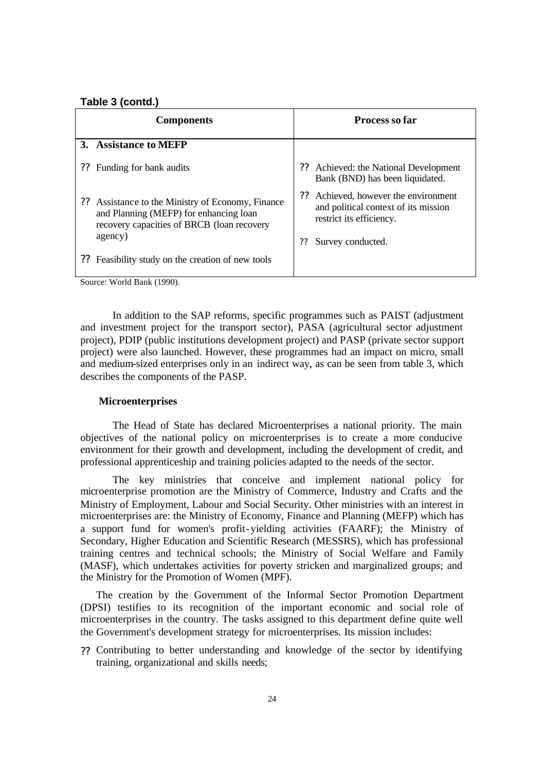#### **Table 3 (contd.)**

| <b>Components</b> |                                                                                                                                                      | <b>Process so far</b>                                                                                                            |  |
|-------------------|------------------------------------------------------------------------------------------------------------------------------------------------------|----------------------------------------------------------------------------------------------------------------------------------|--|
|                   | 3. Assistance to MEFP                                                                                                                                |                                                                                                                                  |  |
| ??                | Funding for bank audits                                                                                                                              | Achieved: the National Development<br>??<br>Bank (BND) has been liquidated.                                                      |  |
|                   | ?? Assistance to the Ministry of Economy, Finance<br>and Planning (MEFP) for enhancing loan<br>recovery capacities of BRCB (loan recovery<br>agency) | Achieved, however the environment<br>and political context of its mission<br>restrict its efficiency.<br>Survey conducted.<br>?? |  |
| ??                | Feasibility study on the creation of new tools                                                                                                       |                                                                                                                                  |  |

Source: World Bank (1990).

In addition to the SAP reforms, specific programmes such as PAIST (adjustment and investment project for the transport sector), PASA (agricultural sector adjustment project), PDIP (public institutions development project) and PASP (private sector support project) were also launched. However, these programmes had an impact on micro, small and medium-sized enterprises only in an indirect way, as can be seen from table 3, which describes the components of the PASP.

#### **Microenterprises**

The Head of State has declared Microenterprises a national priority. The main objectives of the national policy on microenterprises is to create a more conducive environment for their growth and development, including the development of credit, and professional apprenticeship and training policies adapted to the needs of the sector.

The key ministries that conceive and implement national policy for microenterprise promotion are the Ministry of Commerce, Industry and Crafts and the Ministry of Employment, Labour and Social Security. Other ministries with an interest in microenterprises are: the Ministry of Economy, Finance and Planning (MEFP) which has a support fund for women's profit-yielding activities (FAARF); the Ministry of Secondary, Higher Education and Scientific Research (MESSRS), which has professional training centres and technical schools; the Ministry of Social Welfare and Family (MASF), which undertakes activities for poverty stricken and marginalized groups; and the Ministry for the Promotion of Women (MPF).

The creation by the Government of the Informal Sector Promotion Department (DPSI) testifies to its recognition of the important economic and social role of microenterprises in the country. The tasks assigned to this department define quite well the Government's development strategy for microenterprises. Its mission includes:

?? Contributing to better understanding and knowledge of the sector by identifying training, organizational and skills needs;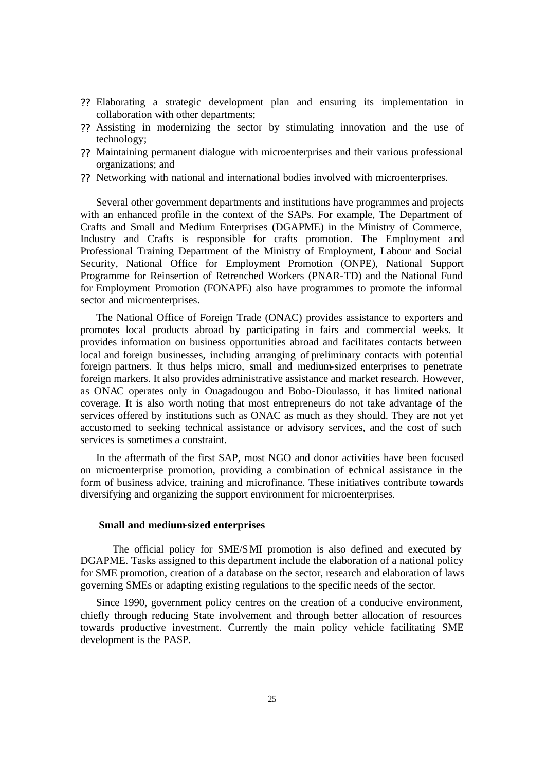- ?? Elaborating a strategic development plan and ensuring its implementation in collaboration with other departments;
- ?? Assisting in modernizing the sector by stimulating innovation and the use of technology;
- ?? Maintaining permanent dialogue with microenterprises and their various professional organizations; and
- ?? Networking with national and international bodies involved with microenterprises.

Several other government departments and institutions have programmes and projects with an enhanced profile in the context of the SAPs. For example, The Department of Crafts and Small and Medium Enterprises (DGAPME) in the Ministry of Commerce, Industry and Crafts is responsible for crafts promotion. The Employment and Professional Training Department of the Ministry of Employment, Labour and Social Security, National Office for Employment Promotion (ONPE), National Support Programme for Reinsertion of Retrenched Workers (PNAR-TD) and the National Fund for Employment Promotion (FONAPE) also have programmes to promote the informal sector and microenterprises.

The National Office of Foreign Trade (ONAC) provides assistance to exporters and promotes local products abroad by participating in fairs and commercial weeks. It provides information on business opportunities abroad and facilitates contacts between local and foreign businesses, including arranging of preliminary contacts with potential foreign partners. It thus helps micro, small and medium-sized enterprises to penetrate foreign markers. It also provides administrative assistance and market research. However, as ONAC operates only in Ouagadougou and Bobo-Dioulasso, it has limited national coverage. It is also worth noting that most entrepreneurs do not take advantage of the services offered by institutions such as ONAC as much as they should. They are not yet accustomed to seeking technical assistance or advisory services, and the cost of such services is sometimes a constraint.

In the aftermath of the first SAP, most NGO and donor activities have been focused on microenterprise promotion, providing a combination of technical assistance in the form of business advice, training and microfinance. These initiatives contribute towards diversifying and organizing the support environment for microenterprises.

#### **Small and medium-sized enterprises**

The official policy for SME/SMI promotion is also defined and executed by DGAPME. Tasks assigned to this department include the elaboration of a national policy for SME promotion, creation of a database on the sector, research and elaboration of laws governing SMEs or adapting existing regulations to the specific needs of the sector.

Since 1990, government policy centres on the creation of a conducive environment, chiefly through reducing State involvement and through better allocation of resources towards productive investment. Currently the main policy vehicle facilitating SME development is the PASP.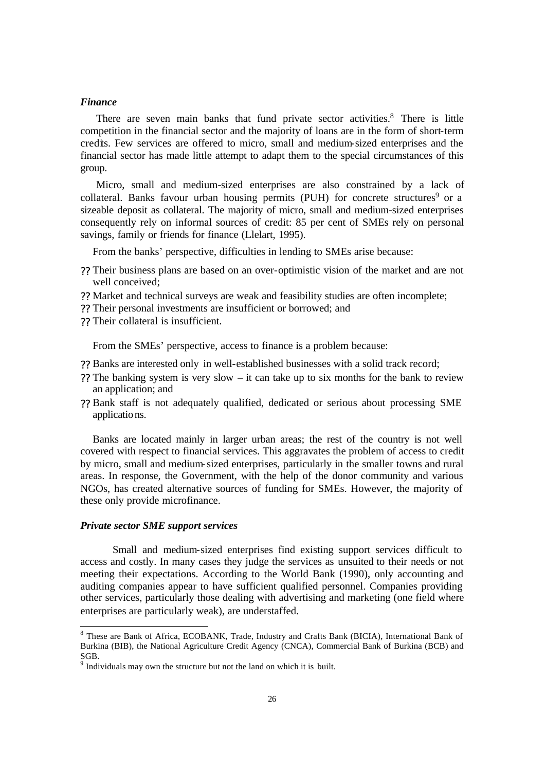#### *Finance*

There are seven main banks that fund private sector activities.<sup>8</sup> There is little competition in the financial sector and the majority of loans are in the form of short-term credits. Few services are offered to micro, small and medium-sized enterprises and the financial sector has made little attempt to adapt them to the special circumstances of this group.

Micro, small and medium-sized enterprises are also constrained by a lack of collateral. Banks favour urban housing permits (PUH) for concrete structures<sup>9</sup> or a sizeable deposit as collateral. The majority of micro, small and medium-sized enterprises consequently rely on informal sources of credit: 85 per cent of SMEs rely on personal savings, family or friends for finance (Llelart, 1995).

From the banks' perspective, difficulties in lending to SMEs arise because:

- ?? Their business plans are based on an over-optimistic vision of the market and are not well conceived;
- ?? Market and technical surveys are weak and feasibility studies are often incomplete;
- ?? Their personal investments are insufficient or borrowed; and
- ?? Their collateral is insufficient.

From the SMEs' perspective, access to finance is a problem because:

- ?? Banks are interested only in well-established businesses with a solid track record;
- ?? The banking system is very slow it can take up to six months for the bank to review an application; and
- ?? Bank staff is not adequately qualified, dedicated or serious about processing SME applications.

Banks are located mainly in larger urban areas; the rest of the country is not well covered with respect to financial services. This aggravates the problem of access to credit by micro, small and medium-sized enterprises, particularly in the smaller towns and rural areas. In response, the Government, with the help of the donor community and various NGOs, has created alternative sources of funding for SMEs. However, the majority of these only provide microfinance.

#### *Private sector SME support services*

l

Small and medium-sized enterprises find existing support services difficult to access and costly. In many cases they judge the services as unsuited to their needs or not meeting their expectations. According to the World Bank (1990), only accounting and auditing companies appear to have sufficient qualified personnel. Companies providing other services, particularly those dealing with advertising and marketing (one field where enterprises are particularly weak), are understaffed.

<sup>&</sup>lt;sup>8</sup> These are Bank of Africa, ECOBANK, Trade, Industry and Crafts Bank (BICIA), International Bank of Burkina (BIB), the National Agriculture Credit Agency (CNCA), Commercial Bank of Burkina (BCB) and SGB.

 $9$  Individuals may own the structure but not the land on which it is built.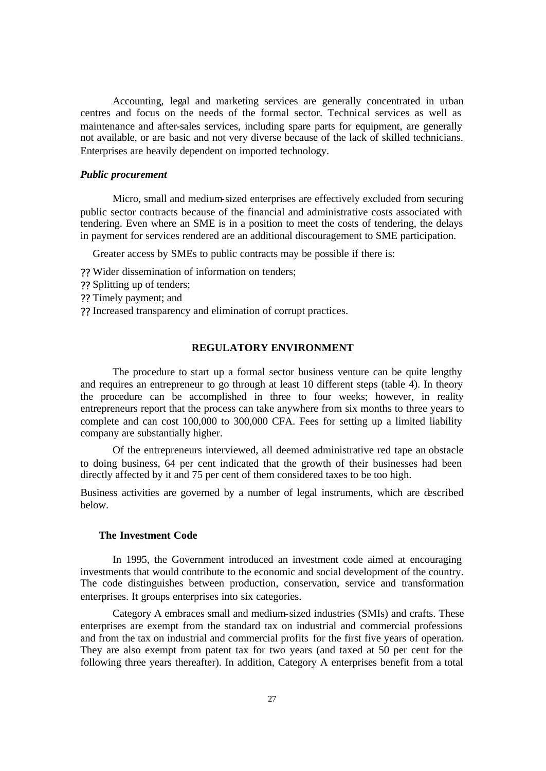Accounting, legal and marketing services are generally concentrated in urban centres and focus on the needs of the formal sector. Technical services as well as maintenance and after-sales services, including spare parts for equipment, are generally not available, or are basic and not very diverse because of the lack of skilled technicians. Enterprises are heavily dependent on imported technology.

### *Public procurement*

Micro, small and medium-sized enterprises are effectively excluded from securing public sector contracts because of the financial and administrative costs associated with tendering. Even where an SME is in a position to meet the costs of tendering, the delays in payment for services rendered are an additional discouragement to SME participation.

Greater access by SMEs to public contracts may be possible if there is:

- ?? Wider dissemination of information on tenders;
- ?? Splitting up of tenders;
- ?? Timely payment; and
- ?? Increased transparency and elimination of corrupt practices.

## **REGULATORY ENVIRONMENT**

The procedure to start up a formal sector business venture can be quite lengthy and requires an entrepreneur to go through at least 10 different steps (table 4). In theory the procedure can be accomplished in three to four weeks; however, in reality entrepreneurs report that the process can take anywhere from six months to three years to complete and can cost 100,000 to 300,000 CFA. Fees for setting up a limited liability company are substantially higher.

Of the entrepreneurs interviewed, all deemed administrative red tape an obstacle to doing business, 64 per cent indicated that the growth of their businesses had been directly affected by it and 75 per cent of them considered taxes to be too high.

Business activities are governed by a number of legal instruments, which are described below.

## **The Investment Code**

In 1995, the Government introduced an investment code aimed at encouraging investments that would contribute to the economic and social development of the country. The code distinguishes between production, conservation, service and transformation enterprises. It groups enterprises into six categories.

Category A embraces small and medium-sized industries (SMIs) and crafts. These enterprises are exempt from the standard tax on industrial and commercial professions and from the tax on industrial and commercial profits for the first five years of operation. They are also exempt from patent tax for two years (and taxed at 50 per cent for the following three years thereafter). In addition, Category A enterprises benefit from a total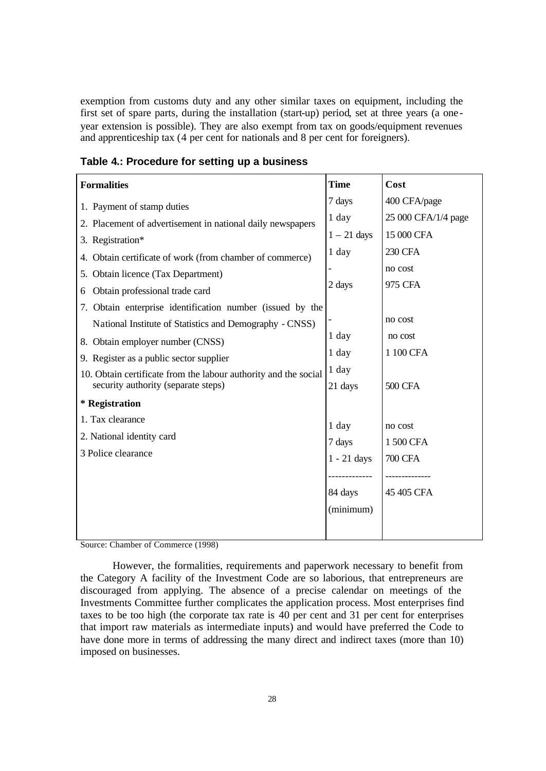exemption from customs duty and any other similar taxes on equipment, including the first set of spare parts, during the installation (start-up) period, set at three years (a one year extension is possible). They are also exempt from tax on goods/equipment revenues and apprenticeship tax (4 per cent for nationals and 8 per cent for foreigners).

| <b>Formalities</b>                                              | <b>Time</b>   | Cost                |
|-----------------------------------------------------------------|---------------|---------------------|
| 1. Payment of stamp duties                                      | 7 days        | 400 CFA/page        |
| 2. Placement of advertisement in national daily newspapers      | $1$ day       | 25 000 CFA/1/4 page |
| 3. Registration*                                                | $1 - 21$ days | 15 000 CFA          |
| 4. Obtain certificate of work (from chamber of commerce)        | $1$ day       | <b>230 CFA</b>      |
| 5. Obtain licence (Tax Department)                              |               | no cost             |
| Obtain professional trade card<br>6                             | 2 days        | 975 CFA             |
| 7. Obtain enterprise identification number (issued by the       |               |                     |
| National Institute of Statistics and Demography - CNSS)         |               | no cost             |
| 8. Obtain employer number (CNSS)                                | 1 day         | no cost             |
| 9. Register as a public sector supplier                         | $1$ day       | 1 100 CFA           |
| 10. Obtain certificate from the labour authority and the social | 1 day         |                     |
| security authority (separate steps)                             | 21 days       | <b>500 CFA</b>      |
| * Registration                                                  |               |                     |
| 1. Tax clearance                                                | $1$ day       | no cost             |
| 2. National identity card                                       | 7 days        | 1500 CFA            |
| 3 Police clearance                                              | $1 - 21$ days | <b>700 CFA</b>      |
|                                                                 |               |                     |
|                                                                 | 84 days       | 45 405 CFA          |
|                                                                 | (minimum)     |                     |
|                                                                 |               |                     |
|                                                                 |               |                     |

**Table 4.: Procedure for setting up a business**

Source: Chamber of Commerce (1998)

However, the formalities, requirements and paperwork necessary to benefit from the Category A facility of the Investment Code are so laborious, that entrepreneurs are discouraged from applying. The absence of a precise calendar on meetings of the Investments Committee further complicates the application process. Most enterprises find taxes to be too high (the corporate tax rate is 40 per cent and 31 per cent for enterprises that import raw materials as intermediate inputs) and would have preferred the Code to have done more in terms of addressing the many direct and indirect taxes (more than 10) imposed on businesses.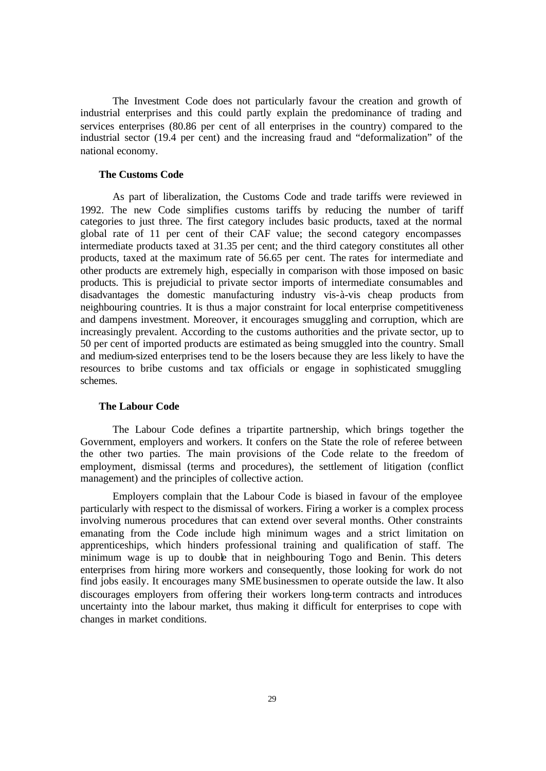The Investment Code does not particularly favour the creation and growth of industrial enterprises and this could partly explain the predominance of trading and services enterprises (80.86 per cent of all enterprises in the country) compared to the industrial sector (19.4 per cent) and the increasing fraud and "deformalization" of the national economy.

#### **The Customs Code**

As part of liberalization, the Customs Code and trade tariffs were reviewed in 1992. The new Code simplifies customs tariffs by reducing the number of tariff categories to just three. The first category includes basic products, taxed at the normal global rate of 11 per cent of their CAF value; the second category encompasses intermediate products taxed at 31.35 per cent; and the third category constitutes all other products, taxed at the maximum rate of 56.65 per cent. The rates for intermediate and other products are extremely high, especially in comparison with those imposed on basic products. This is prejudicial to private sector imports of intermediate consumables and disadvantages the domestic manufacturing industry vis-à-vis cheap products from neighbouring countries. It is thus a major constraint for local enterprise competitiveness and dampens investment. Moreover, it encourages smuggling and corruption, which are increasingly prevalent. According to the customs authorities and the private sector, up to 50 per cent of imported products are estimated as being smuggled into the country. Small and medium-sized enterprises tend to be the losers because they are less likely to have the resources to bribe customs and tax officials or engage in sophisticated smuggling schemes.

#### **The Labour Code**

The Labour Code defines a tripartite partnership, which brings together the Government, employers and workers. It confers on the State the role of referee between the other two parties. The main provisions of the Code relate to the freedom of employment, dismissal (terms and procedures), the settlement of litigation (conflict management) and the principles of collective action.

Employers complain that the Labour Code is biased in favour of the employee particularly with respect to the dismissal of workers. Firing a worker is a complex process involving numerous procedures that can extend over several months. Other constraints emanating from the Code include high minimum wages and a strict limitation on apprenticeships, which hinders professional training and qualification of staff. The minimum wage is up to double that in neighbouring Togo and Benin. This deters enterprises from hiring more workers and consequently, those looking for work do not find jobs easily. It encourages many SME businessmen to operate outside the law. It also discourages employers from offering their workers long-term contracts and introduces uncertainty into the labour market, thus making it difficult for enterprises to cope with changes in market conditions.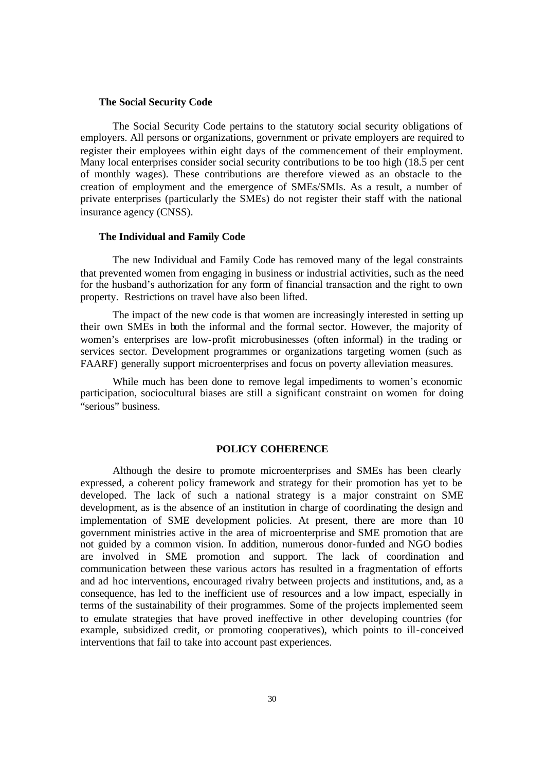#### **The Social Security Code**

The Social Security Code pertains to the statutory social security obligations of employers. All persons or organizations, government or private employers are required to register their employees within eight days of the commencement of their employment. Many local enterprises consider social security contributions to be too high (18.5 per cent of monthly wages). These contributions are therefore viewed as an obstacle to the creation of employment and the emergence of SMEs/SMIs. As a result, a number of private enterprises (particularly the SMEs) do not register their staff with the national insurance agency (CNSS).

#### **The Individual and Family Code**

The new Individual and Family Code has removed many of the legal constraints that prevented women from engaging in business or industrial activities, such as the need for the husband's authorization for any form of financial transaction and the right to own property. Restrictions on travel have also been lifted.

The impact of the new code is that women are increasingly interested in setting up their own SMEs in both the informal and the formal sector. However, the majority of women's enterprises are low-profit microbusinesses (often informal) in the trading or services sector. Development programmes or organizations targeting women (such as FAARF) generally support microenterprises and focus on poverty alleviation measures.

While much has been done to remove legal impediments to women's economic participation, sociocultural biases are still a significant constraint on women for doing "serious" business.

## **POLICY COHERENCE**

Although the desire to promote microenterprises and SMEs has been clearly expressed, a coherent policy framework and strategy for their promotion has yet to be developed. The lack of such a national strategy is a major constraint on SME development, as is the absence of an institution in charge of coordinating the design and implementation of SME development policies. At present, there are more than 10 government ministries active in the area of microenterprise and SME promotion that are not guided by a common vision. In addition, numerous donor-funded and NGO bodies are involved in SME promotion and support. The lack of coordination and communication between these various actors has resulted in a fragmentation of efforts and ad hoc interventions, encouraged rivalry between projects and institutions, and, as a consequence, has led to the inefficient use of resources and a low impact, especially in terms of the sustainability of their programmes. Some of the projects implemented seem to emulate strategies that have proved ineffective in other developing countries (for example, subsidized credit, or promoting cooperatives), which points to ill-conceived interventions that fail to take into account past experiences.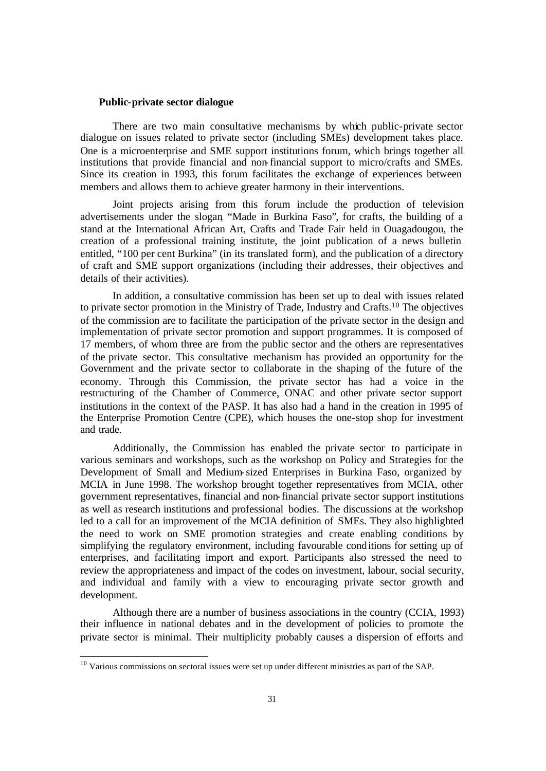#### **Public-private sector dialogue**

There are two main consultative mechanisms by which public-private sector dialogue on issues related to private sector (including SMEs) development takes place. One is a microenterprise and SME support institutions forum, which brings together all institutions that provide financial and non-financial support to micro/crafts and SMEs. Since its creation in 1993, this forum facilitates the exchange of experiences between members and allows them to achieve greater harmony in their interventions.

Joint projects arising from this forum include the production of television advertisements under the slogan, "Made in Burkina Faso", for crafts, the building of a stand at the International African Art, Crafts and Trade Fair held in Ouagadougou, the creation of a professional training institute, the joint publication of a news bulletin entitled, "100 per cent Burkina" (in its translated form), and the publication of a directory of craft and SME support organizations (including their addresses, their objectives and details of their activities).

In addition, a consultative commission has been set up to deal with issues related to private sector promotion in the Ministry of Trade, Industry and Crafts.<sup>10</sup> The objectives of the commission are to facilitate the participation of the private sector in the design and implementation of private sector promotion and support programmes. It is composed of 17 members, of whom three are from the public sector and the others are representatives of the private sector. This consultative mechanism has provided an opportunity for the Government and the private sector to collaborate in the shaping of the future of the economy. Through this Commission, the private sector has had a voice in the restructuring of the Chamber of Commerce, ONAC and other private sector support institutions in the context of the PASP. It has also had a hand in the creation in 1995 of the Enterprise Promotion Centre (CPE), which houses the one-stop shop for investment and trade.

Additionally, the Commission has enabled the private sector to participate in various seminars and workshops, such as the workshop on Policy and Strategies for the Development of Small and Medium-sized Enterprises in Burkina Faso, organized by MCIA in June 1998. The workshop brought together representatives from MCIA, other government representatives, financial and non-financial private sector support institutions as well as research institutions and professional bodies. The discussions at the workshop led to a call for an improvement of the MCIA definition of SMEs. They also highlighted the need to work on SME promotion strategies and create enabling conditions by simplifying the regulatory environment, including favourable conditions for setting up of enterprises, and facilitating import and export. Participants also stressed the need to review the appropriateness and impact of the codes on investment, labour, social security, and individual and family with a view to encouraging private sector growth and development.

Although there are a number of business associations in the country (CCIA, 1993) their influence in national debates and in the development of policies to promote the private sector is minimal. Their multiplicity probably causes a dispersion of efforts and

 $\overline{a}$ 

 $10$  Various commissions on sectoral issues were set up under different ministries as part of the SAP.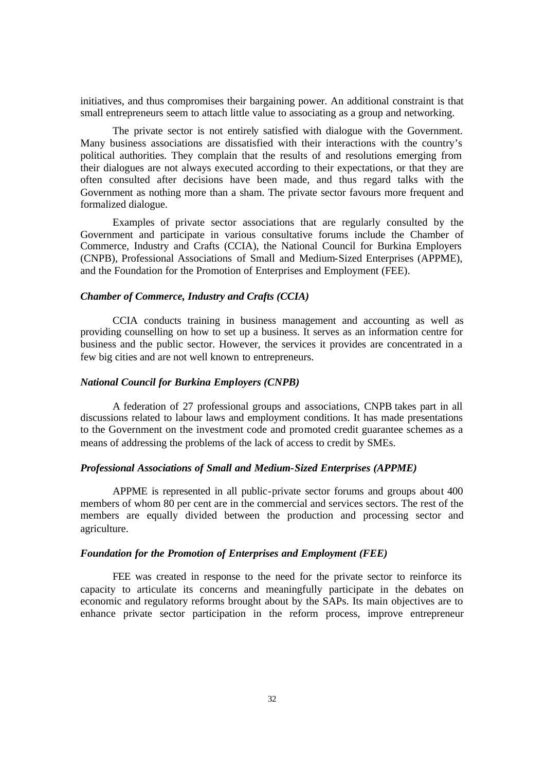initiatives, and thus compromises their bargaining power. An additional constraint is that small entrepreneurs seem to attach little value to associating as a group and networking.

The private sector is not entirely satisfied with dialogue with the Government. Many business associations are dissatisfied with their interactions with the country's political authorities. They complain that the results of and resolutions emerging from their dialogues are not always executed according to their expectations, or that they are often consulted after decisions have been made, and thus regard talks with the Government as nothing more than a sham. The private sector favours more frequent and formalized dialogue.

Examples of private sector associations that are regularly consulted by the Government and participate in various consultative forums include the Chamber of Commerce, Industry and Crafts (CCIA), the National Council for Burkina Employers (CNPB), Professional Associations of Small and Medium-Sized Enterprises (APPME), and the Foundation for the Promotion of Enterprises and Employment (FEE).

# *Chamber of Commerce, Industry and Crafts (CCIA)*

CCIA conducts training in business management and accounting as well as providing counselling on how to set up a business. It serves as an information centre for business and the public sector. However, the services it provides are concentrated in a few big cities and are not well known to entrepreneurs.

#### *National Council for Burkina Employers (CNPB)*

A federation of 27 professional groups and associations, CNPB takes part in all discussions related to labour laws and employment conditions. It has made presentations to the Government on the investment code and promoted credit guarantee schemes as a means of addressing the problems of the lack of access to credit by SMEs.

# *Professional Associations of Small and Medium-Sized Enterprises (APPME)*

APPME is represented in all public-private sector forums and groups about 400 members of whom 80 per cent are in the commercial and services sectors. The rest of the members are equally divided between the production and processing sector and agriculture.

## *Foundation for the Promotion of Enterprises and Employment (FEE)*

FEE was created in response to the need for the private sector to reinforce its capacity to articulate its concerns and meaningfully participate in the debates on economic and regulatory reforms brought about by the SAPs. Its main objectives are to enhance private sector participation in the reform process, improve entrepreneur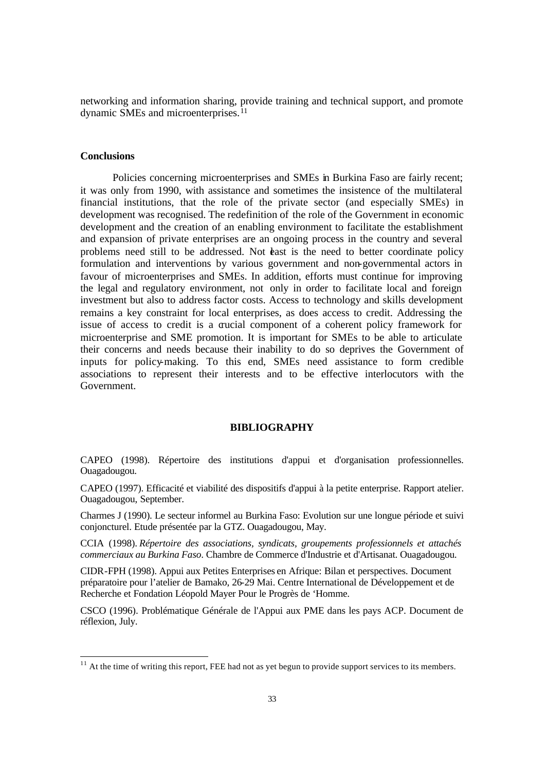networking and information sharing, provide training and technical support, and promote dynamic SMEs and microenterprises.<sup>11</sup>

### **Conclusions**

 $\overline{a}$ 

Policies concerning microenterprises and SMEs in Burkina Faso are fairly recent; it was only from 1990, with assistance and sometimes the insistence of the multilateral financial institutions, that the role of the private sector (and especially SMEs) in development was recognised. The redefinition of the role of the Government in economic development and the creation of an enabling environment to facilitate the establishment and expansion of private enterprises are an ongoing process in the country and several problems need still to be addressed. Not **the standard is the need to better coordinate policy** formulation and interventions by various government and non-governmental actors in favour of microenterprises and SMEs. In addition, efforts must continue for improving the legal and regulatory environment, not only in order to facilitate local and foreign investment but also to address factor costs. Access to technology and skills development remains a key constraint for local enterprises, as does access to credit. Addressing the issue of access to credit is a crucial component of a coherent policy framework for microenterprise and SME promotion. It is important for SMEs to be able to articulate their concerns and needs because their inability to do so deprives the Government of inputs for policy-making. To this end, SMEs need assistance to form credible associations to represent their interests and to be effective interlocutors with the Government.

# **BIBLIOGRAPHY**

CAPEO (1998). Répertoire des institutions d'appui et d'organisation professionnelles. Ouagadougou.

CAPEO (1997). Efficacité et viabilité des dispositifs d'appui à la petite enterprise. Rapport atelier. Ouagadougou, September.

Charmes J (1990). Le secteur informel au Burkina Faso: Evolution sur une longue période et suivi conjoncturel. Etude présentée par la GTZ. Ouagadougou, May.

CCIA (1998). *Répertoire des associations, syndicats, groupements professionnels et attachés commerciaux au Burkina Faso*. Chambre de Commerce d'Industrie et d'Artisanat. Ouagadougou.

CIDR-FPH (1998). Appui aux Petites Enterprises en Afrique: Bilan et perspectives. Document préparatoire pour l'atelier de Bamako, 26-29 Mai. Centre International de Développement et de Recherche et Fondation Léopold Mayer Pour le Progrès de 'Homme.

CSCO (1996). Problématique Générale de l'Appui aux PME dans les pays ACP. Document de réflexion, July.

 $11<sup>11</sup>$  At the time of writing this report, FEE had not as yet begun to provide support services to its members.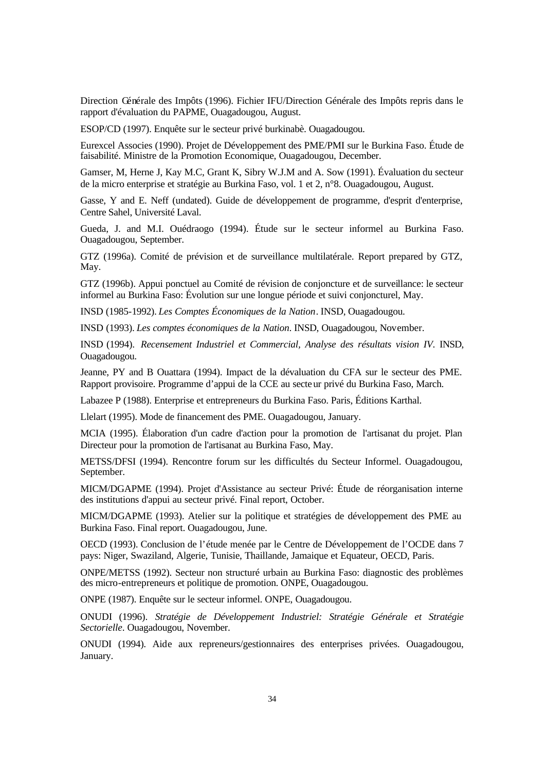Direction Générale des Impôts (1996). Fichier IFU/Direction Générale des Impôts repris dans le rapport d'évaluation du PAPME, Ouagadougou, August.

ESOP/CD (1997). Enquête sur le secteur privé burkinabè. Ouagadougou.

Eurexcel Associes (1990). Projet de Développement des PME/PMI sur le Burkina Faso. Étude de faisabilité. Ministre de la Promotion Economique, Ouagadougou, December.

Gamser, M, Herne J, Kay M.C, Grant K, Sibry W.J.M and A. Sow (1991). Évaluation du secteur de la micro enterprise et stratégie au Burkina Faso, vol. 1 et 2, n°8. Ouagadougou, August.

Gasse, Y and E. Neff (undated). Guide de développement de programme, d'esprit d'enterprise, Centre Sahel, Université Laval.

Gueda, J. and M.I. Ouédraogo (1994). Étude sur le secteur informel au Burkina Faso. Ouagadougou, September.

GTZ (1996a). Comité de prévision et de surveillance multilatérale. Report prepared by GTZ, May.

GTZ (1996b). Appui ponctuel au Comité de révision de conjoncture et de surveillance: le secteur informel au Burkina Faso: Évolution sur une longue période et suivi conjoncturel, May.

INSD (1985-1992). *Les Comptes Économiques de la Nation*. INSD, Ouagadougou.

INSD (1993). *Les comptes économiques de la Nation*. INSD, Ouagadougou, November.

INSD (1994). *Recensement Industriel et Commercial, Analyse des résultats vision IV*. INSD, Ouagadougou.

Jeanne, PY and B Ouattara (1994). Impact de la dévaluation du CFA sur le secteur des PME. Rapport provisoire. Programme d'appui de la CCE au secteur privé du Burkina Faso, March.

Labazee P (1988). Enterprise et entrepreneurs du Burkina Faso. Paris, Éditions Karthal.

Llelart (1995). Mode de financement des PME. Ouagadougou, January.

MCIA (1995). Élaboration d'un cadre d'action pour la promotion de l'artisanat du projet. Plan Directeur pour la promotion de l'artisanat au Burkina Faso, May.

METSS/DFSI (1994). Rencontre forum sur les difficultés du Secteur Informel. Ouagadougou, September.

MICM/DGAPME (1994). Projet d'Assistance au secteur Privé: Étude de réorganisation interne des institutions d'appui au secteur privé. Final report, October.

MICM/DGAPME (1993). Atelier sur la politique et stratégies de développement des PME au Burkina Faso. Final report. Ouagadougou, June.

OECD (1993). Conclusion de l'étude menée par le Centre de Développement de l'OCDE dans 7 pays: Niger, Swaziland, Algerie, Tunisie, Thaillande, Jamaique et Equateur, OECD, Paris.

ONPE/METSS (1992). Secteur non structuré urbain au Burkina Faso: diagnostic des problèmes des micro-entrepreneurs et politique de promotion. ONPE, Ouagadougou.

ONPE (1987). Enquête sur le secteur informel. ONPE, Ouagadougou.

ONUDI (1996). *Stratégie de Développement Industriel: Stratégie Générale et Stratégie Sectorielle*. Ouagadougou, November.

ONUDI (1994). Aide aux repreneurs/gestionnaires des enterprises privées. Ouagadougou, January.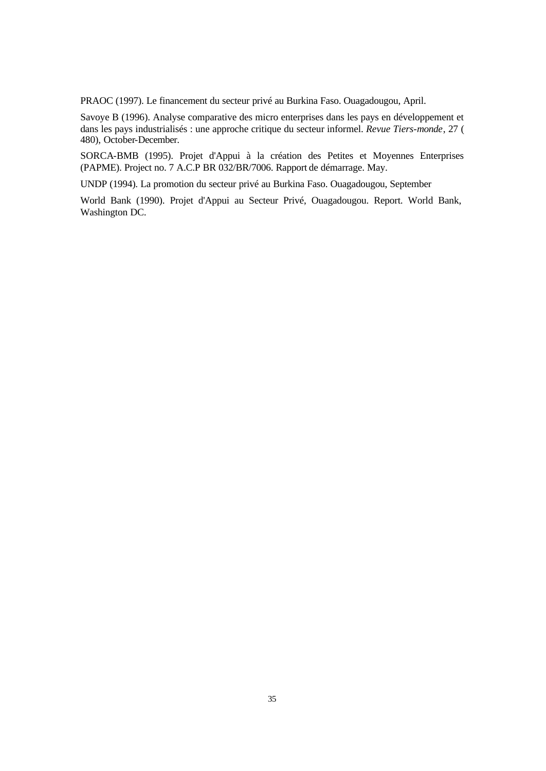PRAOC (1997). Le financement du secteur privé au Burkina Faso. Ouagadougou, April.

Savoye B (1996). Analyse comparative des micro enterprises dans les pays en développement et dans les pays industrialisés : une approche critique du secteur informel. *Revue Tiers-monde*, 27 ( 480), October-December.

SORCA-BMB (1995). Projet d'Appui à la création des Petites et Moyennes Enterprises (PAPME). Project no. 7 A.C.P BR 032/BR/7006. Rapport de démarrage. May.

UNDP (1994). La promotion du secteur privé au Burkina Faso. Ouagadougou, September

World Bank (1990). Projet d'Appui au Secteur Privé, Ouagadougou. Report. World Bank, Washington DC.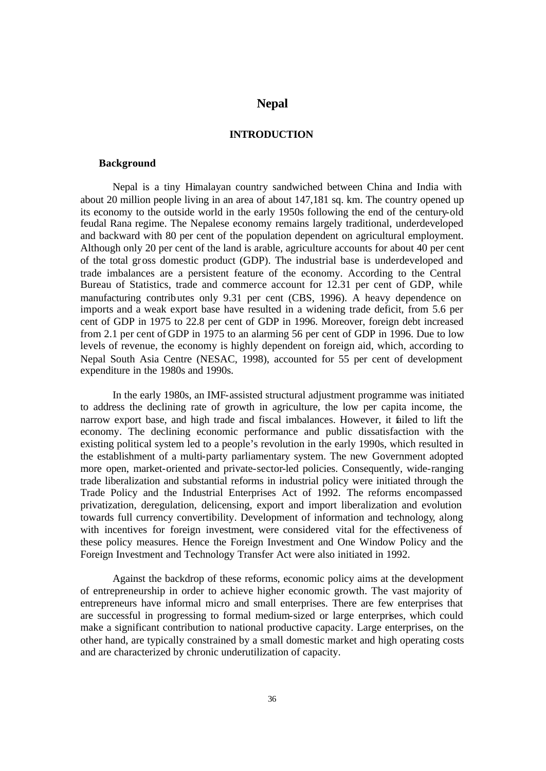# **Nepal**

# **INTRODUCTION**

### **Background**

Nepal is a tiny Himalayan country sandwiched between China and India with about 20 million people living in an area of about 147,181 sq. km. The country opened up its economy to the outside world in the early 1950s following the end of the century-old feudal Rana regime. The Nepalese economy remains largely traditional, underdeveloped and backward with 80 per cent of the population dependent on agricultural employment. Although only 20 per cent of the land is arable, agriculture accounts for about 40 per cent of the total gross domestic product (GDP). The industrial base is underdeveloped and trade imbalances are a persistent feature of the economy. According to the Central Bureau of Statistics, trade and commerce account for 12.31 per cent of GDP, while manufacturing contributes only 9.31 per cent (CBS, 1996). A heavy dependence on imports and a weak export base have resulted in a widening trade deficit, from 5.6 per cent of GDP in 1975 to 22.8 per cent of GDP in 1996. Moreover, foreign debt increased from 2.1 per cent of GDP in 1975 to an alarming 56 per cent of GDP in 1996. Due to low levels of revenue, the economy is highly dependent on foreign aid, which, according to Nepal South Asia Centre (NESAC, 1998), accounted for 55 per cent of development expenditure in the 1980s and 1990s.

In the early 1980s, an IMF-assisted structural adjustment programme was initiated to address the declining rate of growth in agriculture, the low per capita income, the narrow export base, and high trade and fiscal imbalances. However, it failed to lift the economy. The declining economic performance and public dissatisfaction with the existing political system led to a people's revolution in the early 1990s, which resulted in the establishment of a multi-party parliamentary system. The new Government adopted more open, market-oriented and private-sector-led policies. Consequently, wide-ranging trade liberalization and substantial reforms in industrial policy were initiated through the Trade Policy and the Industrial Enterprises Act of 1992. The reforms encompassed privatization, deregulation, delicensing, export and import liberalization and evolution towards full currency convertibility. Development of information and technology, along with incentives for foreign investment, were considered vital for the effectiveness of these policy measures. Hence the Foreign Investment and One Window Policy and the Foreign Investment and Technology Transfer Act were also initiated in 1992.

Against the backdrop of these reforms, economic policy aims at the development of entrepreneurship in order to achieve higher economic growth. The vast majority of entrepreneurs have informal micro and small enterprises. There are few enterprises that are successful in progressing to formal medium-sized or large enterprises, which could make a significant contribution to national productive capacity. Large enterprises, on the other hand, are typically constrained by a small domestic market and high operating costs and are characterized by chronic underutilization of capacity.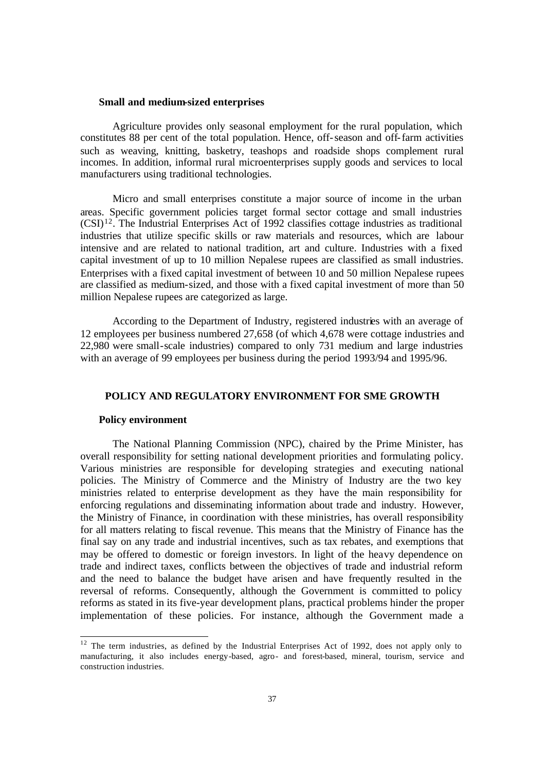#### **Small and medium-sized enterprises**

Agriculture provides only seasonal employment for the rural population, which constitutes 88 per cent of the total population. Hence, off-season and off-farm activities such as weaving, knitting, basketry, teashops and roadside shops complement rural incomes. In addition, informal rural microenterprises supply goods and services to local manufacturers using traditional technologies.

Micro and small enterprises constitute a major source of income in the urban areas. Specific government policies target formal sector cottage and small industries  $(CSI)^{12}$ . The Industrial Enterprises Act of 1992 classifies cottage industries as traditional industries that utilize specific skills or raw materials and resources, which are labour intensive and are related to national tradition, art and culture. Industries with a fixed capital investment of up to 10 million Nepalese rupees are classified as small industries. Enterprises with a fixed capital investment of between 10 and 50 million Nepalese rupees are classified as medium-sized, and those with a fixed capital investment of more than 50 million Nepalese rupees are categorized as large.

According to the Department of Industry, registered industries with an average of 12 employees per business numbered 27,658 (of which 4,678 were cottage industries and 22,980 were small-scale industries) compared to only 731 medium and large industries with an average of 99 employees per business during the period 1993/94 and 1995/96.

### **POLICY AND REGULATORY ENVIRONMENT FOR SME GROWTH**

### **Policy environment**

 $\overline{a}$ 

The National Planning Commission (NPC), chaired by the Prime Minister, has overall responsibility for setting national development priorities and formulating policy. Various ministries are responsible for developing strategies and executing national policies. The Ministry of Commerce and the Ministry of Industry are the two key ministries related to enterprise development as they have the main responsibility for enforcing regulations and disseminating information about trade and industry. However, the Ministry of Finance, in coordination with these ministries, has overall responsibility for all matters relating to fiscal revenue. This means that the Ministry of Finance has the final say on any trade and industrial incentives, such as tax rebates, and exemptions that may be offered to domestic or foreign investors. In light of the heavy dependence on trade and indirect taxes, conflicts between the objectives of trade and industrial reform and the need to balance the budget have arisen and have frequently resulted in the reversal of reforms. Consequently, although the Government is committed to policy reforms as stated in its five-year development plans, practical problems hinder the proper implementation of these policies. For instance, although the Government made a

 $12$  The term industries, as defined by the Industrial Enterprises Act of 1992, does not apply only to manufacturing, it also includes energy-based, agro- and forest-based, mineral, tourism, service and construction industries.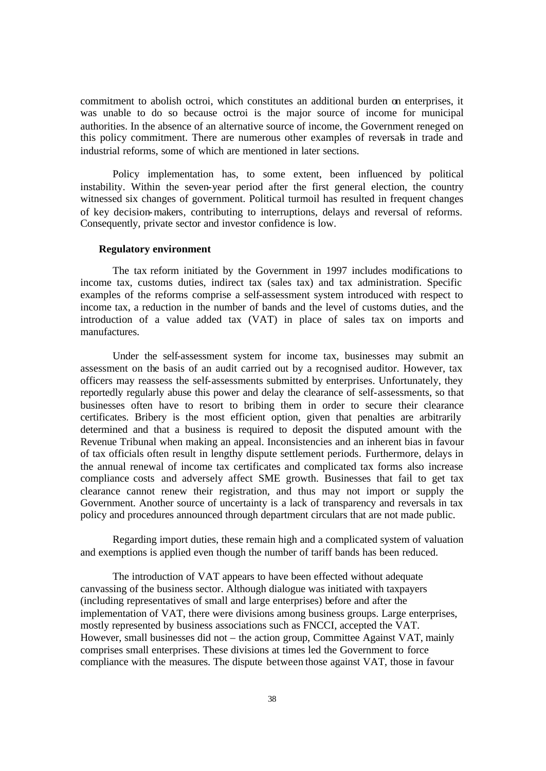commitment to abolish octroi, which constitutes an additional burden on enterprises, it was unable to do so because octroi is the major source of income for municipal authorities. In the absence of an alternative source of income, the Government reneged on this policy commitment. There are numerous other examples of reversals in trade and industrial reforms, some of which are mentioned in later sections.

Policy implementation has, to some extent, been influenced by political instability. Within the seven-year period after the first general election, the country witnessed six changes of government. Political turmoil has resulted in frequent changes of key decision-makers, contributing to interruptions, delays and reversal of reforms. Consequently, private sector and investor confidence is low.

#### **Regulatory environment**

The tax reform initiated by the Government in 1997 includes modifications to income tax, customs duties, indirect tax (sales tax) and tax administration. Specific examples of the reforms comprise a self-assessment system introduced with respect to income tax, a reduction in the number of bands and the level of customs duties, and the introduction of a value added tax (VAT) in place of sales tax on imports and manufactures.

Under the self-assessment system for income tax, businesses may submit an assessment on the basis of an audit carried out by a recognised auditor. However, tax officers may reassess the self-assessments submitted by enterprises. Unfortunately, they reportedly regularly abuse this power and delay the clearance of self-assessments, so that businesses often have to resort to bribing them in order to secure their clearance certificates. Bribery is the most efficient option, given that penalties are arbitrarily determined and that a business is required to deposit the disputed amount with the Revenue Tribunal when making an appeal. Inconsistencies and an inherent bias in favour of tax officials often result in lengthy dispute settlement periods. Furthermore, delays in the annual renewal of income tax certificates and complicated tax forms also increase compliance costs and adversely affect SME growth. Businesses that fail to get tax clearance cannot renew their registration, and thus may not import or supply the Government. Another source of uncertainty is a lack of transparency and reversals in tax policy and procedures announced through department circulars that are not made public.

Regarding import duties, these remain high and a complicated system of valuation and exemptions is applied even though the number of tariff bands has been reduced.

The introduction of VAT appears to have been effected without adequate canvassing of the business sector. Although dialogue was initiated with taxpayers (including representatives of small and large enterprises) before and after the implementation of VAT, there were divisions among business groups. Large enterprises, mostly represented by business associations such as FNCCI, accepted the VAT. However, small businesses did not – the action group, Committee Against VAT, mainly comprises small enterprises. These divisions at times led the Government to force compliance with the measures. The dispute between those against VAT, those in favour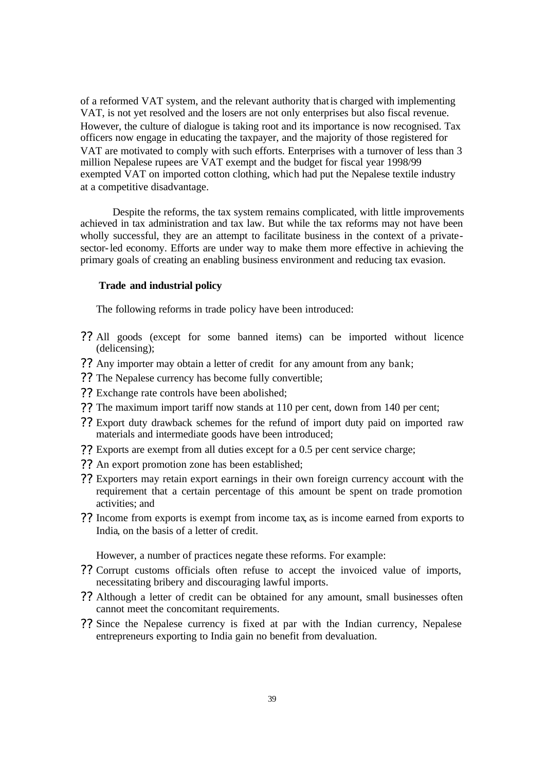of a reformed VAT system, and the relevant authority that is charged with implementing VAT, is not yet resolved and the losers are not only enterprises but also fiscal revenue. However, the culture of dialogue is taking root and its importance is now recognised. Tax officers now engage in educating the taxpayer, and the majority of those registered for VAT are motivated to comply with such efforts. Enterprises with a turnover of less than 3 million Nepalese rupees are VAT exempt and the budget for fiscal year 1998/99 exempted VAT on imported cotton clothing, which had put the Nepalese textile industry at a competitive disadvantage.

Despite the reforms, the tax system remains complicated, with little improvements achieved in tax administration and tax law. But while the tax reforms may not have been wholly successful, they are an attempt to facilitate business in the context of a privatesector-led economy. Efforts are under way to make them more effective in achieving the primary goals of creating an enabling business environment and reducing tax evasion.

## **Trade and industrial policy**

The following reforms in trade policy have been introduced:

- ?? All goods (except for some banned items) can be imported without licence (delicensing);
- ?? Any importer may obtain a letter of credit for any amount from any bank;
- ?? The Nepalese currency has become fully convertible;
- ?? Exchange rate controls have been abolished;
- ?? The maximum import tariff now stands at 110 per cent, down from 140 per cent;
- ?? Export duty drawback schemes for the refund of import duty paid on imported raw materials and intermediate goods have been introduced;
- ?? Exports are exempt from all duties except for a 0.5 per cent service charge;
- ?? An export promotion zone has been established;
- ?? Exporters may retain export earnings in their own foreign currency account with the requirement that a certain percentage of this amount be spent on trade promotion activities; and
- ?? Income from exports is exempt from income tax, as is income earned from exports to India, on the basis of a letter of credit.

However, a number of practices negate these reforms. For example:

- ?? Corrupt customs officials often refuse to accept the invoiced value of imports, necessitating bribery and discouraging lawful imports.
- ?? Although a letter of credit can be obtained for any amount, small businesses often cannot meet the concomitant requirements.
- ?? Since the Nepalese currency is fixed at par with the Indian currency, Nepalese entrepreneurs exporting to India gain no benefit from devaluation.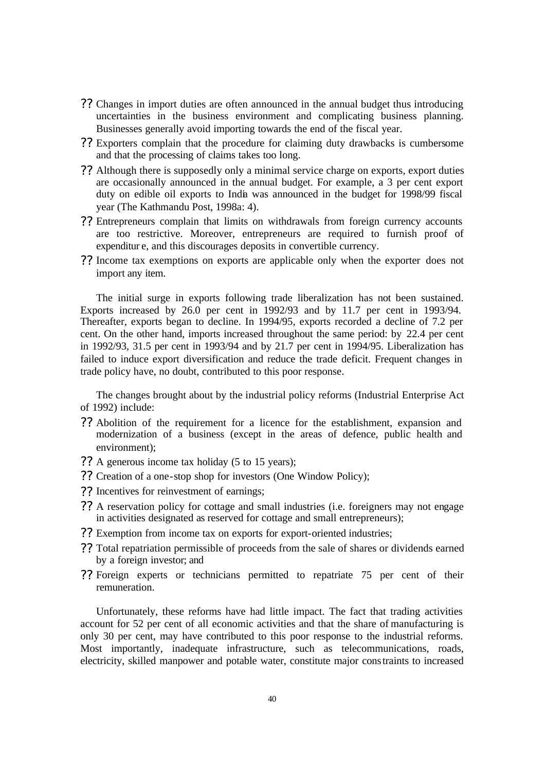- ?? Changes in import duties are often announced in the annual budget thus introducing uncertainties in the business environment and complicating business planning. Businesses generally avoid importing towards the end of the fiscal year.
- ?? Exporters complain that the procedure for claiming duty drawbacks is cumbersome and that the processing of claims takes too long.
- ?? Although there is supposedly only a minimal service charge on exports, export duties are occasionally announced in the annual budget. For example, a 3 per cent export duty on edible oil exports to India was announced in the budget for 1998/99 fiscal year (The Kathmandu Post, 1998a: 4).
- ?? Entrepreneurs complain that limits on withdrawals from foreign currency accounts are too restrictive. Moreover, entrepreneurs are required to furnish proof of expenditur e, and this discourages deposits in convertible currency.
- ?? Income tax exemptions on exports are applicable only when the exporter does not import any item.

The initial surge in exports following trade liberalization has not been sustained. Exports increased by 26.0 per cent in 1992/93 and by 11.7 per cent in 1993/94. Thereafter, exports began to decline. In 1994/95, exports recorded a decline of 7.2 per cent. On the other hand, imports increased throughout the same period: by 22.4 per cent in 1992/93, 31.5 per cent in 1993/94 and by 21.7 per cent in 1994/95. Liberalization has failed to induce export diversification and reduce the trade deficit. Frequent changes in trade policy have, no doubt, contributed to this poor response.

The changes brought about by the industrial policy reforms (Industrial Enterprise Act of 1992) include:

- ?? Abolition of the requirement for a licence for the establishment, expansion and modernization of a business (except in the areas of defence, public health and environment);
- ?? A generous income tax holiday (5 to 15 years);
- ?? Creation of a one-stop shop for investors (One Window Policy);
- ?? Incentives for reinvestment of earnings;
- ?? A reservation policy for cottage and small industries (i.e. foreigners may not engage in activities designated as reserved for cottage and small entrepreneurs);
- ?? Exemption from income tax on exports for export-oriented industries;
- ?? Total repatriation permissible of proceeds from the sale of shares or dividends earned by a foreign investor; and
- ?? Foreign experts or technicians permitted to repatriate 75 per cent of their remuneration.

Unfortunately, these reforms have had little impact. The fact that trading activities account for 52 per cent of all economic activities and that the share of manufacturing is only 30 per cent, may have contributed to this poor response to the industrial reforms. Most importantly, inadequate infrastructure, such as telecommunications, roads, electricity, skilled manpower and potable water, constitute major constraints to increased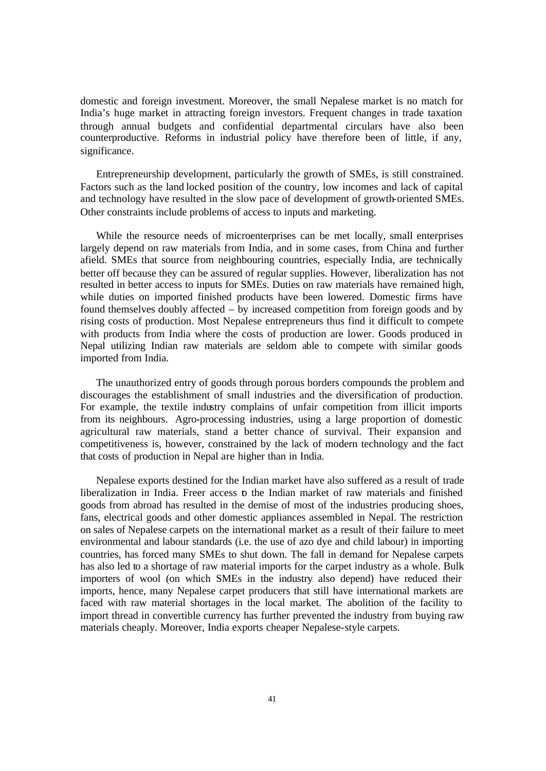domestic and foreign investment. Moreover, the small Nepalese market is no match for India's huge market in attracting foreign investors. Frequent changes in trade taxation through annual budgets and confidential departmental circulars have also been counterproductive. Reforms in industrial policy have therefore been of little, if any, significance.

Entrepreneurship development, particularly the growth of SMEs, is still constrained. Factors such as the land locked position of the country, low incomes and lack of capital and technology have resulted in the slow pace of development of growth-oriented SMEs. Other constraints include problems of access to inputs and marketing.

While the resource needs of microenterprises can be met locally, small enterprises largely depend on raw materials from India, and in some cases, from China and further afield. SMEs that source from neighbouring countries, especially India, are technically better off because they can be assured of regular supplies. However, liberalization has not resulted in better access to inputs for SMEs. Duties on raw materials have remained high, while duties on imported finished products have been lowered. Domestic firms have found themselves doubly affected – by increased competition from foreign goods and by rising costs of production. Most Nepalese entrepreneurs thus find it difficult to compete with products from India where the costs of production are lower. Goods produced in Nepal utilizing Indian raw materials are seldom able to compete with similar goods imported from India.

The unauthorized entry of goods through porous borders compounds the problem and discourages the establishment of small industries and the diversification of production. For example, the textile industry complains of unfair competition from illicit imports from its neighbours. Agro-processing industries, using a large proportion of domestic agricultural raw materials, stand a better chance of survival. Their expansion and competitiveness is, however, constrained by the lack of modern technology and the fact that costs of production in Nepal are higher than in India.

Nepalese exports destined for the Indian market have also suffered as a result of trade liberalization in India. Freer access to the Indian market of raw materials and finished goods from abroad has resulted in the demise of most of the industries producing shoes, fans, electrical goods and other domestic appliances assembled in Nepal. The restriction on sales of Nepalese carpets on the international market as a result of their failure to meet environmental and labour standards (i.e. the use of azo dye and child labour) in importing countries, has forced many SMEs to shut down. The fall in demand for Nepalese carpets has also led to a shortage of raw material imports for the carpet industry as a whole. Bulk importers of wool (on which SMEs in the industry also depend) have reduced their imports, hence, many Nepalese carpet producers that still have international markets are faced with raw material shortages in the local market. The abolition of the facility to import thread in convertible currency has further prevented the industry from buying raw materials cheaply. Moreover, India exports cheaper Nepalese-style carpets.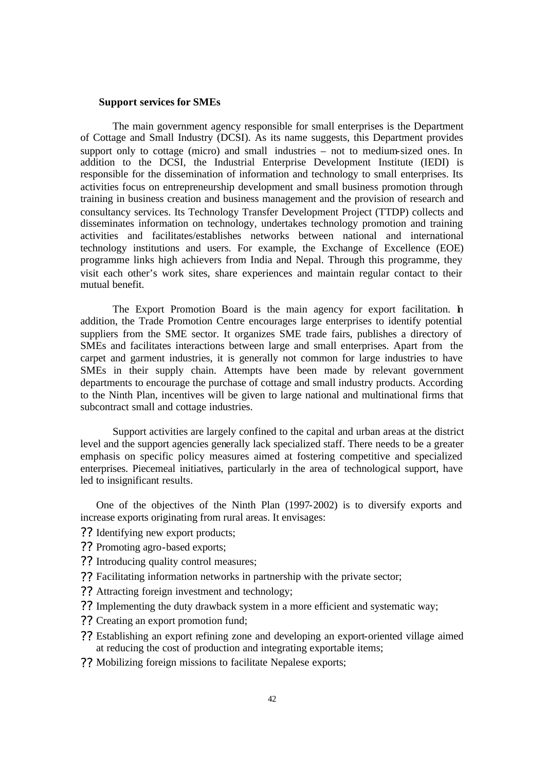#### **Support services for SMEs**

The main government agency responsible for small enterprises is the Department of Cottage and Small Industry (DCSI). As its name suggests, this Department provides support only to cottage (micro) and small industries – not to medium-sized ones. In addition to the DCSI, the Industrial Enterprise Development Institute (IEDI) is responsible for the dissemination of information and technology to small enterprises. Its activities focus on entrepreneurship development and small business promotion through training in business creation and business management and the provision of research and consultancy services. Its Technology Transfer Development Project (TTDP) collects and disseminates information on technology, undertakes technology promotion and training activities and facilitates/establishes networks between national and international technology institutions and users. For example, the Exchange of Excellence (EOE) programme links high achievers from India and Nepal. Through this programme, they visit each other's work sites, share experiences and maintain regular contact to their mutual benefit.

The Export Promotion Board is the main agency for export facilitation. In addition, the Trade Promotion Centre encourages large enterprises to identify potential suppliers from the SME sector. It organizes SME trade fairs, publishes a directory of SMEs and facilitates interactions between large and small enterprises. Apart from the carpet and garment industries, it is generally not common for large industries to have SMEs in their supply chain. Attempts have been made by relevant government departments to encourage the purchase of cottage and small industry products. According to the Ninth Plan, incentives will be given to large national and multinational firms that subcontract small and cottage industries.

Support activities are largely confined to the capital and urban areas at the district level and the support agencies generally lack specialized staff. There needs to be a greater emphasis on specific policy measures aimed at fostering competitive and specialized enterprises. Piecemeal initiatives, particularly in the area of technological support, have led to insignificant results.

One of the objectives of the Ninth Plan (1997-2002) is to diversify exports and increase exports originating from rural areas. It envisages:

- ?? Identifying new export products;
- ?? Promoting agro-based exports;
- ?? Introducing quality control measures;
- ?? Facilitating information networks in partnership with the private sector;
- ?? Attracting foreign investment and technology;
- ?? Implementing the duty drawback system in a more efficient and systematic way;
- ?? Creating an export promotion fund;
- ?? Establishing an export refining zone and developing an export-oriented village aimed at reducing the cost of production and integrating exportable items;
- ?? Mobilizing foreign missions to facilitate Nepalese exports;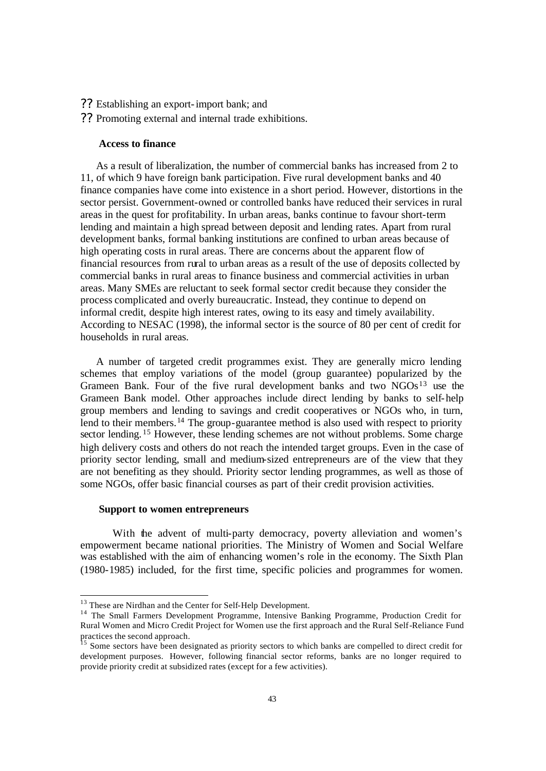- ?? Establishing an export-import bank; and
- ?? Promoting external and internal trade exhibitions.

#### **Access to finance**

As a result of liberalization, the number of commercial banks has increased from 2 to 11, of which 9 have foreign bank participation. Five rural development banks and 40 finance companies have come into existence in a short period. However, distortions in the sector persist. Government-owned or controlled banks have reduced their services in rural areas in the quest for profitability. In urban areas, banks continue to favour short-term lending and maintain a high spread between deposit and lending rates. Apart from rural development banks, formal banking institutions are confined to urban areas because of high operating costs in rural areas. There are concerns about the apparent flow of financial resources from rural to urban areas as a result of the use of deposits collected by commercial banks in rural areas to finance business and commercial activities in urban areas. Many SMEs are reluctant to seek formal sector credit because they consider the process complicated and overly bureaucratic. Instead, they continue to depend on informal credit, despite high interest rates, owing to its easy and timely availability. According to NESAC (1998), the informal sector is the source of 80 per cent of credit for households in rural areas.

A number of targeted credit programmes exist. They are generally micro lending schemes that employ variations of the model (group guarantee) popularized by the Grameen Bank. Four of the five rural development banks and two NGOs<sup>13</sup> use the Grameen Bank model. Other approaches include direct lending by banks to self-help group members and lending to savings and credit cooperatives or NGOs who, in turn, lend to their members.<sup>14</sup> The group-guarantee method is also used with respect to priority sector lending. <sup>15</sup> However, these lending schemes are not without problems. Some charge high delivery costs and others do not reach the intended target groups. Even in the case of priority sector lending, small and medium-sized entrepreneurs are of the view that they are not benefiting as they should. Priority sector lending programmes, as well as those of some NGOs, offer basic financial courses as part of their credit provision activities.

# **Support to women entrepreneurs**

 $\overline{a}$ 

With the advent of multi-party democracy, poverty alleviation and women's empowerment became national priorities. The Ministry of Women and Social Welfare was established with the aim of enhancing women's role in the economy. The Sixth Plan (1980-1985) included, for the first time, specific policies and programmes for women.

<sup>&</sup>lt;sup>13</sup> These are Nirdhan and the Center for Self-Help Development.

<sup>&</sup>lt;sup>14</sup> The Small Farmers Development Programme, Intensive Banking Programme, Production Credit for Rural Women and Micro Credit Project for Women use the first approach and the Rural Self-Reliance Fund practices the second approach.

<sup>&</sup>lt;sup>15</sup> Some sectors have been designated as priority sectors to which banks are compelled to direct credit for development purposes. However, following financial sector reforms, banks are no longer required to provide priority credit at subsidized rates (except for a few activities).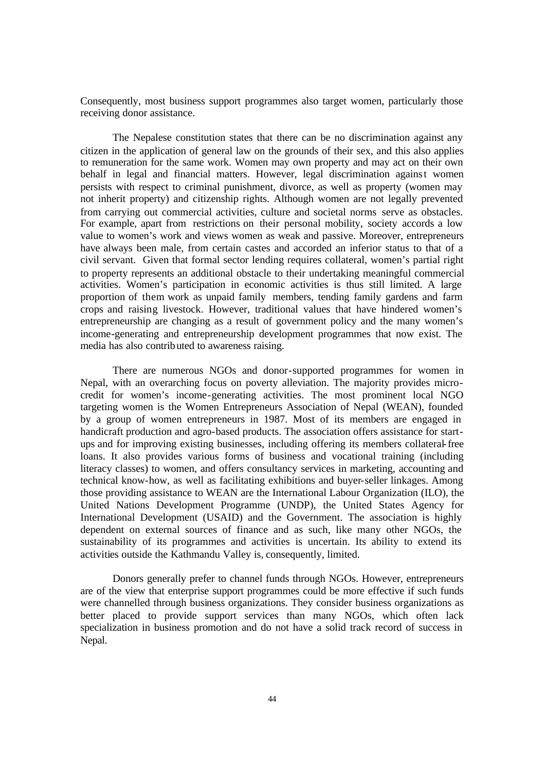Consequently, most business support programmes also target women, particularly those receiving donor assistance.

The Nepalese constitution states that there can be no discrimination against any citizen in the application of general law on the grounds of their sex, and this also applies to remuneration for the same work. Women may own property and may act on their own behalf in legal and financial matters. However, legal discrimination against women persists with respect to criminal punishment, divorce, as well as property (women may not inherit property) and citizenship rights. Although women are not legally prevented from carrying out commercial activities, culture and societal norms serve as obstacles. For example, apart from restrictions on their personal mobility, society accords a low value to women's work and views women as weak and passive. Moreover, entrepreneurs have always been male, from certain castes and accorded an inferior status to that of a civil servant. Given that formal sector lending requires collateral, women's partial right to property represents an additional obstacle to their undertaking meaningful commercial activities. Women's participation in economic activities is thus still limited. A large proportion of them work as unpaid family members, tending family gardens and farm crops and raising livestock. However, traditional values that have hindered women's entrepreneurship are changing as a result of government policy and the many women's income-generating and entrepreneurship development programmes that now exist. The media has also contributed to awareness raising.

There are numerous NGOs and donor-supported programmes for women in Nepal, with an overarching focus on poverty alleviation. The majority provides microcredit for women's income-generating activities. The most prominent local NGO targeting women is the Women Entrepreneurs Association of Nepal (WEAN), founded by a group of women entrepreneurs in 1987. Most of its members are engaged in handicraft production and agro-based products. The association offers assistance for startups and for improving existing businesses, including offering its members collateral-free loans. It also provides various forms of business and vocational training (including literacy classes) to women, and offers consultancy services in marketing, accounting and technical know-how, as well as facilitating exhibitions and buyer-seller linkages. Among those providing assistance to WEAN are the International Labour Organization (ILO), the United Nations Development Programme (UNDP), the United States Agency for International Development (USAID) and the Government. The association is highly dependent on external sources of finance and as such, like many other NGOs, the sustainability of its programmes and activities is uncertain. Its ability to extend its activities outside the Kathmandu Valley is, consequently, limited.

Donors generally prefer to channel funds through NGOs. However, entrepreneurs are of the view that enterprise support programmes could be more effective if such funds were channelled through business organizations. They consider business organizations as better placed to provide support services than many NGOs, which often lack specialization in business promotion and do not have a solid track record of success in Nepal.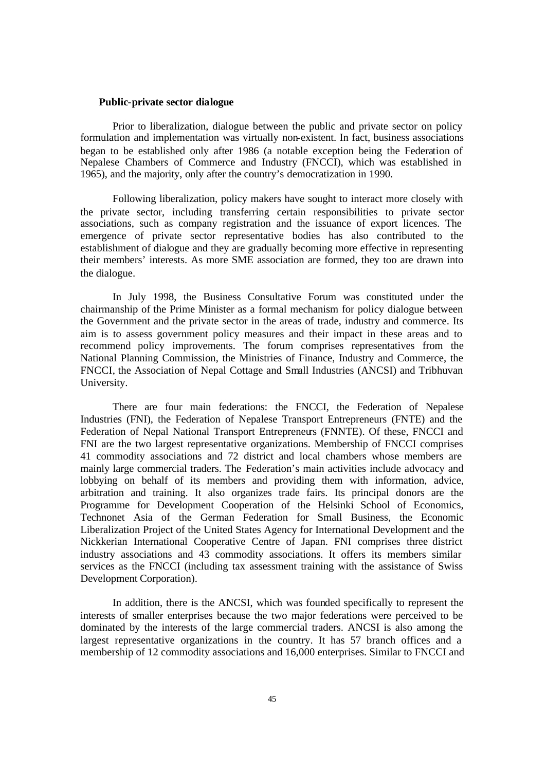#### **Public-private sector dialogue**

Prior to liberalization, dialogue between the public and private sector on policy formulation and implementation was virtually non-existent. In fact, business associations began to be established only after 1986 (a notable exception being the Federation of Nepalese Chambers of Commerce and Industry (FNCCI), which was established in 1965), and the majority, only after the country's democratization in 1990.

Following liberalization, policy makers have sought to interact more closely with the private sector, including transferring certain responsibilities to private sector associations, such as company registration and the issuance of export licences. The emergence of private sector representative bodies has also contributed to the establishment of dialogue and they are gradually becoming more effective in representing their members' interests. As more SME association are formed, they too are drawn into the dialogue.

In July 1998, the Business Consultative Forum was constituted under the chairmanship of the Prime Minister as a formal mechanism for policy dialogue between the Government and the private sector in the areas of trade, industry and commerce. Its aim is to assess government policy measures and their impact in these areas and to recommend policy improvements. The forum comprises representatives from the National Planning Commission, the Ministries of Finance, Industry and Commerce, the FNCCI, the Association of Nepal Cottage and Small Industries (ANCSI) and Tribhuvan University.

There are four main federations: the FNCCI, the Federation of Nepalese Industries (FNI), the Federation of Nepalese Transport Entrepreneurs (FNTE) and the Federation of Nepal National Transport Entrepreneurs (FNNTE). Of these, FNCCI and FNI are the two largest representative organizations. Membership of FNCCI comprises 41 commodity associations and 72 district and local chambers whose members are mainly large commercial traders. The Federation's main activities include advocacy and lobbying on behalf of its members and providing them with information, advice, arbitration and training. It also organizes trade fairs. Its principal donors are the Programme for Development Cooperation of the Helsinki School of Economics, Technonet Asia of the German Federation for Small Business, the Economic Liberalization Project of the United States Agency for International Development and the Nickkerian International Cooperative Centre of Japan. FNI comprises three district industry associations and 43 commodity associations. It offers its members similar services as the FNCCI (including tax assessment training with the assistance of Swiss Development Corporation).

In addition, there is the ANCSI, which was founded specifically to represent the interests of smaller enterprises because the two major federations were perceived to be dominated by the interests of the large commercial traders. ANCSI is also among the largest representative organizations in the country. It has 57 branch offices and a membership of 12 commodity associations and 16,000 enterprises. Similar to FNCCI and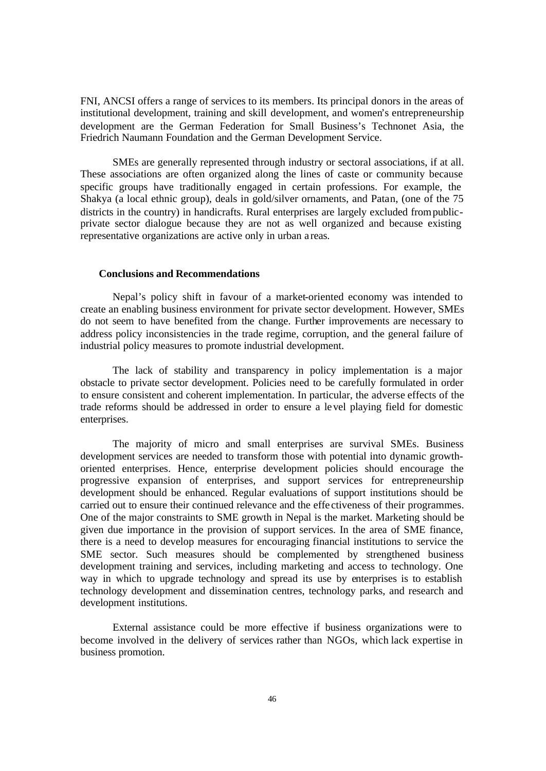FNI, ANCSI offers a range of services to its members. Its principal donors in the areas of institutional development, training and skill development, and women's entrepreneurship development are the German Federation for Small Business's Technonet Asia, the Friedrich Naumann Foundation and the German Development Service.

SMEs are generally represented through industry or sectoral associations, if at all. These associations are often organized along the lines of caste or community because specific groups have traditionally engaged in certain professions. For example, the Shakya (a local ethnic group), deals in gold/silver ornaments, and Patan, (one of the 75 districts in the country) in handicrafts. Rural enterprises are largely excluded from publicprivate sector dialogue because they are not as well organized and because existing representative organizations are active only in urban a reas.

## **Conclusions and Recommendations**

Nepal's policy shift in favour of a market-oriented economy was intended to create an enabling business environment for private sector development. However, SMEs do not seem to have benefited from the change. Further improvements are necessary to address policy inconsistencies in the trade regime, corruption, and the general failure of industrial policy measures to promote industrial development.

The lack of stability and transparency in policy implementation is a major obstacle to private sector development. Policies need to be carefully formulated in order to ensure consistent and coherent implementation. In particular, the adverse effects of the trade reforms should be addressed in order to ensure a level playing field for domestic enterprises.

The majority of micro and small enterprises are survival SMEs. Business development services are needed to transform those with potential into dynamic growthoriented enterprises. Hence, enterprise development policies should encourage the progressive expansion of enterprises, and support services for entrepreneurship development should be enhanced. Regular evaluations of support institutions should be carried out to ensure their continued relevance and the effe ctiveness of their programmes. One of the major constraints to SME growth in Nepal is the market. Marketing should be given due importance in the provision of support services. In the area of SME finance, there is a need to develop measures for encouraging financial institutions to service the SME sector. Such measures should be complemented by strengthened business development training and services, including marketing and access to technology. One way in which to upgrade technology and spread its use by enterprises is to establish technology development and dissemination centres, technology parks, and research and development institutions.

External assistance could be more effective if business organizations were to become involved in the delivery of services rather than NGOs, which lack expertise in business promotion.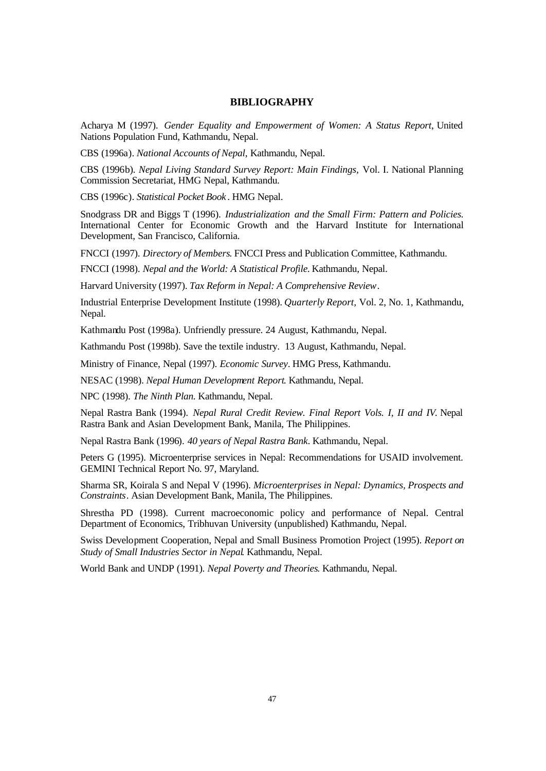#### **BIBLIOGRAPHY**

Acharya M (1997). *Gender Equality and Empowerment of Women: A Status Report*, United Nations Population Fund, Kathmandu, Nepal.

CBS (1996a). *National Accounts of Nepal*, Kathmandu, Nepal.

CBS (1996b). *Nepal Living Standard Survey Report: Main Findings,* Vol. I. National Planning Commission Secretariat, HMG Nepal, Kathmandu.

CBS (1996c). *Statistical Pocket Book* . HMG Nepal.

Snodgrass DR and Biggs T (1996). *Industrialization and the Small Firm: Pattern and Policies.* International Center for Economic Growth and the Harvard Institute for International Development, San Francisco, California.

FNCCI (1997). *Directory of Members*. FNCCI Press and Publication Committee, Kathmandu.

FNCCI (1998). *Nepal and the World: A Statistical Profile.* Kathmandu, Nepal.

Harvard University (1997). *Tax Reform in Nepal: A Comprehensive Review*.

Industrial Enterprise Development Institute (1998). *Quarterly Report,* Vol. 2, No. 1, Kathmandu, Nepal.

Kathmandu Post (1998a). Unfriendly pressure. 24 August, Kathmandu, Nepal.

Kathmandu Post (1998b). Save the textile industry. 13 August, Kathmandu, Nepal.

Ministry of Finance, Nepal (1997). *Economic Survey*. HMG Press, Kathmandu.

NESAC (1998). *Nepal Human Development Report*. Kathmandu, Nepal.

NPC (1998). *The Ninth Plan.* Kathmandu, Nepal.

Nepal Rastra Bank (1994). *Nepal Rural Credit Review. Final Report Vols. I, II and IV*. Nepal Rastra Bank and Asian Development Bank, Manila, The Philippines.

Nepal Rastra Bank (1996). *40 years of Nepal Rastra Bank*. Kathmandu, Nepal.

Peters G (1995). Microenterprise services in Nepal: Recommendations for USAID involvement. GEMINI Technical Report No. 97, Maryland.

Sharma SR, Koirala S and Nepal V (1996). *Microenterprises in Nepal: Dynamics, Prospects and Constraints*. Asian Development Bank, Manila, The Philippines.

Shrestha PD (1998). Current macroeconomic policy and performance of Nepal. Central Department of Economics, Tribhuvan University (unpublished) Kathmandu, Nepal.

Swiss Development Cooperation, Nepal and Small Business Promotion Project (1995). *Report on Study of Small Industries Sector in Nepal*. Kathmandu, Nepal.

World Bank and UNDP (1991). *Nepal Poverty and Theories*. Kathmandu, Nepal.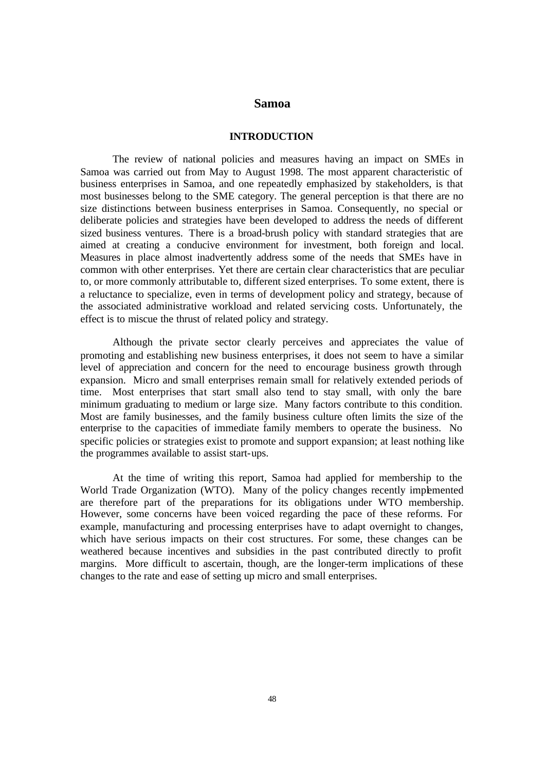## **Samoa**

# **INTRODUCTION**

The review of national policies and measures having an impact on SMEs in Samoa was carried out from May to August 1998. The most apparent characteristic of business enterprises in Samoa, and one repeatedly emphasized by stakeholders, is that most businesses belong to the SME category. The general perception is that there are no size distinctions between business enterprises in Samoa. Consequently, no special or deliberate policies and strategies have been developed to address the needs of different sized business ventures. There is a broad-brush policy with standard strategies that are aimed at creating a conducive environment for investment, both foreign and local. Measures in place almost inadvertently address some of the needs that SMEs have in common with other enterprises. Yet there are certain clear characteristics that are peculiar to, or more commonly attributable to, different sized enterprises. To some extent, there is a reluctance to specialize, even in terms of development policy and strategy, because of the associated administrative workload and related servicing costs. Unfortunately, the effect is to miscue the thrust of related policy and strategy.

Although the private sector clearly perceives and appreciates the value of promoting and establishing new business enterprises, it does not seem to have a similar level of appreciation and concern for the need to encourage business growth through expansion. Micro and small enterprises remain small for relatively extended periods of time. Most enterprises that start small also tend to stay small, with only the bare minimum graduating to medium or large size. Many factors contribute to this condition. Most are family businesses, and the family business culture often limits the size of the enterprise to the capacities of immediate family members to operate the business. No specific policies or strategies exist to promote and support expansion; at least nothing like the programmes available to assist start-ups.

At the time of writing this report, Samoa had applied for membership to the World Trade Organization (WTO). Many of the policy changes recently implemented are therefore part of the preparations for its obligations under WTO membership. However, some concerns have been voiced regarding the pace of these reforms. For example, manufacturing and processing enterprises have to adapt overnight to changes, which have serious impacts on their cost structures. For some, these changes can be weathered because incentives and subsidies in the past contributed directly to profit margins. More difficult to ascertain, though, are the longer-term implications of these changes to the rate and ease of setting up micro and small enterprises.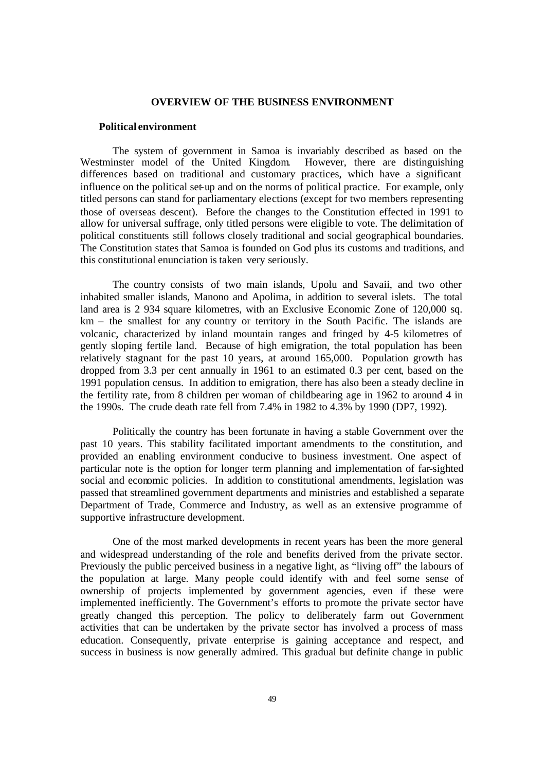### **OVERVIEW OF THE BUSINESS ENVIRONMENT**

## **Political environment**

The system of government in Samoa is invariably described as based on the Westminster model of the United Kingdom. However, there are distinguishing differences based on traditional and customary practices, which have a significant influence on the political set-up and on the norms of political practice. For example, only titled persons can stand for parliamentary elections (except for two members representing those of overseas descent). Before the changes to the Constitution effected in 1991 to allow for universal suffrage, only titled persons were eligible to vote. The delimitation of political constituents still follows closely traditional and social geographical boundaries. The Constitution states that Samoa is founded on God plus its customs and traditions, and this constitutional enunciation is taken very seriously.

The country consists of two main islands, Upolu and Savaii, and two other inhabited smaller islands, Manono and Apolima, in addition to several islets. The total land area is 2 934 square kilometres, with an Exclusive Economic Zone of 120,000 sq. km – the smallest for any country or territory in the South Pacific. The islands are volcanic, characterized by inland mountain ranges and fringed by 4-5 kilometres of gently sloping fertile land. Because of high emigration, the total population has been relatively stagnant for the past 10 years, at around 165,000. Population growth has dropped from 3.3 per cent annually in 1961 to an estimated 0.3 per cent, based on the 1991 population census. In addition to emigration, there has also been a steady decline in the fertility rate, from 8 children per woman of childbearing age in 1962 to around 4 in the 1990s. The crude death rate fell from 7.4% in 1982 to 4.3% by 1990 (DP7, 1992).

Politically the country has been fortunate in having a stable Government over the past 10 years. This stability facilitated important amendments to the constitution, and provided an enabling environment conducive to business investment. One aspect of particular note is the option for longer term planning and implementation of far-sighted social and economic policies. In addition to constitutional amendments, legislation was passed that streamlined government departments and ministries and established a separate Department of Trade, Commerce and Industry, as well as an extensive programme of supportive infrastructure development.

One of the most marked developments in recent years has been the more general and widespread understanding of the role and benefits derived from the private sector. Previously the public perceived business in a negative light, as "living off" the labours of the population at large. Many people could identify with and feel some sense of ownership of projects implemented by government agencies, even if these were implemented inefficiently. The Government's efforts to promote the private sector have greatly changed this perception. The policy to deliberately farm out Government activities that can be undertaken by the private sector has involved a process of mass education. Consequently, private enterprise is gaining acceptance and respect, and success in business is now generally admired. This gradual but definite change in public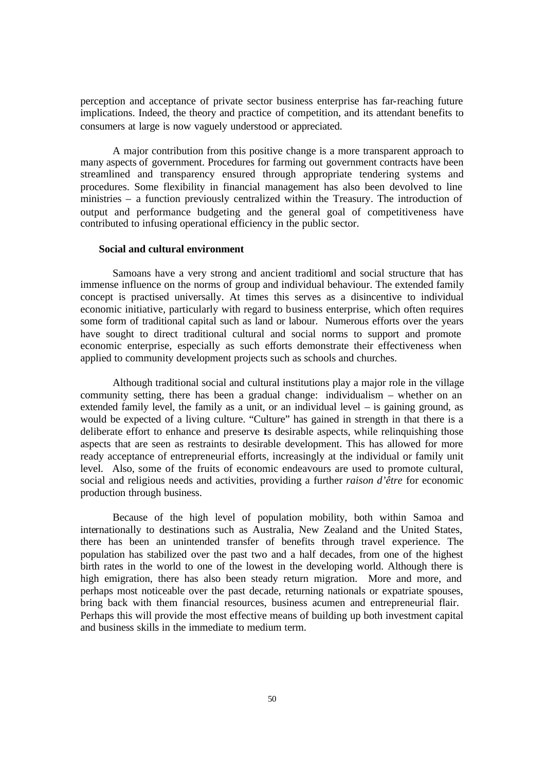perception and acceptance of private sector business enterprise has far-reaching future implications. Indeed, the theory and practice of competition, and its attendant benefits to consumers at large is now vaguely understood or appreciated.

A major contribution from this positive change is a more transparent approach to many aspects of government. Procedures for farming out government contracts have been streamlined and transparency ensured through appropriate tendering systems and procedures. Some flexibility in financial management has also been devolved to line ministries – a function previously centralized within the Treasury. The introduction of output and performance budgeting and the general goal of competitiveness have contributed to infusing operational efficiency in the public sector.

### **Social and cultural environment**

Samoans have a very strong and ancient traditional and social structure that has immense influence on the norms of group and individual behaviour. The extended family concept is practised universally. At times this serves as a disincentive to individual economic initiative, particularly with regard to business enterprise, which often requires some form of traditional capital such as land or labour. Numerous efforts over the years have sought to direct traditional cultural and social norms to support and promote economic enterprise, especially as such efforts demonstrate their effectiveness when applied to community development projects such as schools and churches.

Although traditional social and cultural institutions play a major role in the village community setting, there has been a gradual change: individualism – whether on an extended family level, the family as a unit, or an individual level  $-$  is gaining ground, as would be expected of a living culture. "Culture" has gained in strength in that there is a deliberate effort to enhance and preserve its desirable aspects, while relinquishing those aspects that are seen as restraints to desirable development. This has allowed for more ready acceptance of entrepreneurial efforts, increasingly at the individual or family unit level. Also, some of the fruits of economic endeavours are used to promote cultural, social and religious needs and activities, providing a further *raison d'être* for economic production through business.

Because of the high level of population mobility, both within Samoa and internationally to destinations such as Australia, New Zealand and the United States, there has been an unintended transfer of benefits through travel experience. The population has stabilized over the past two and a half decades, from one of the highest birth rates in the world to one of the lowest in the developing world. Although there is high emigration, there has also been steady return migration. More and more, and perhaps most noticeable over the past decade, returning nationals or expatriate spouses, bring back with them financial resources, business acumen and entrepreneurial flair. Perhaps this will provide the most effective means of building up both investment capital and business skills in the immediate to medium term.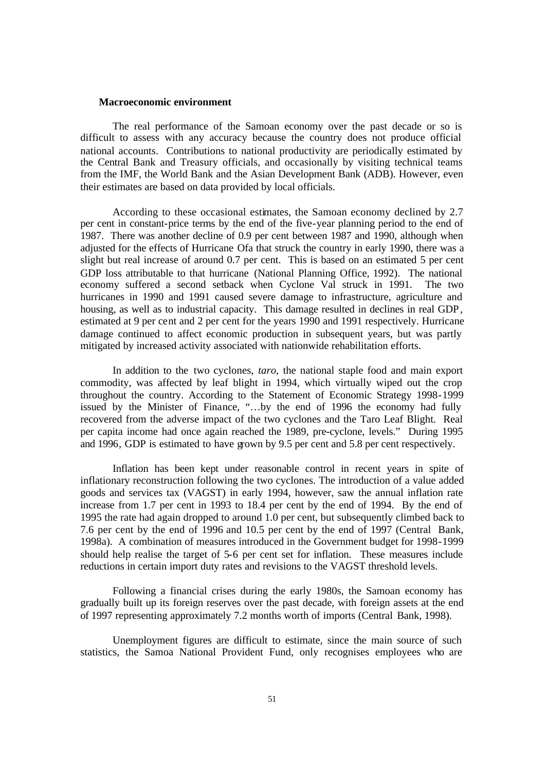#### **Macroeconomic environment**

The real performance of the Samoan economy over the past decade or so is difficult to assess with any accuracy because the country does not produce official national accounts. Contributions to national productivity are periodically estimated by the Central Bank and Treasury officials, and occasionally by visiting technical teams from the IMF, the World Bank and the Asian Development Bank (ADB). However, even their estimates are based on data provided by local officials.

According to these occasional estimates, the Samoan economy declined by 2.7 per cent in constant-price terms by the end of the five-year planning period to the end of 1987. There was another decline of 0.9 per cent between 1987 and 1990, although when adjusted for the effects of Hurricane Ofa that struck the country in early 1990, there was a slight but real increase of around 0.7 per cent. This is based on an estimated 5 per cent GDP loss attributable to that hurricane (National Planning Office, 1992). The national economy suffered a second setback when Cyclone Val struck in 1991. The two hurricanes in 1990 and 1991 caused severe damage to infrastructure, agriculture and housing, as well as to industrial capacity. This damage resulted in declines in real GDP, estimated at 9 per cent and 2 per cent for the years 1990 and 1991 respectively. Hurricane damage continued to affect economic production in subsequent years, but was partly mitigated by increased activity associated with nationwide rehabilitation efforts.

In addition to the two cyclones, *taro,* the national staple food and main export commodity, was affected by leaf blight in 1994, which virtually wiped out the crop throughout the country. According to the Statement of Economic Strategy 1998-1999 issued by the Minister of Finance, "…by the end of 1996 the economy had fully recovered from the adverse impact of the two cyclones and the Taro Leaf Blight. Real per capita income had once again reached the 1989, pre-cyclone, levels." During 1995 and 1996, GDP is estimated to have grown by 9.5 per cent and 5.8 per cent respectively.

Inflation has been kept under reasonable control in recent years in spite of inflationary reconstruction following the two cyclones. The introduction of a value added goods and services tax (VAGST) in early 1994, however, saw the annual inflation rate increase from 1.7 per cent in 1993 to 18.4 per cent by the end of 1994. By the end of 1995 the rate had again dropped to around 1.0 per cent, but subsequently climbed back to 7.6 per cent by the end of 1996 and 10.5 per cent by the end of 1997 (Central Bank, 1998a). A combination of measures introduced in the Government budget for 1998-1999 should help realise the target of 5-6 per cent set for inflation. These measures include reductions in certain import duty rates and revisions to the VAGST threshold levels.

Following a financial crises during the early 1980s, the Samoan economy has gradually built up its foreign reserves over the past decade, with foreign assets at the end of 1997 representing approximately 7.2 months worth of imports (Central Bank, 1998).

Unemployment figures are difficult to estimate, since the main source of such statistics, the Samoa National Provident Fund, only recognises employees who are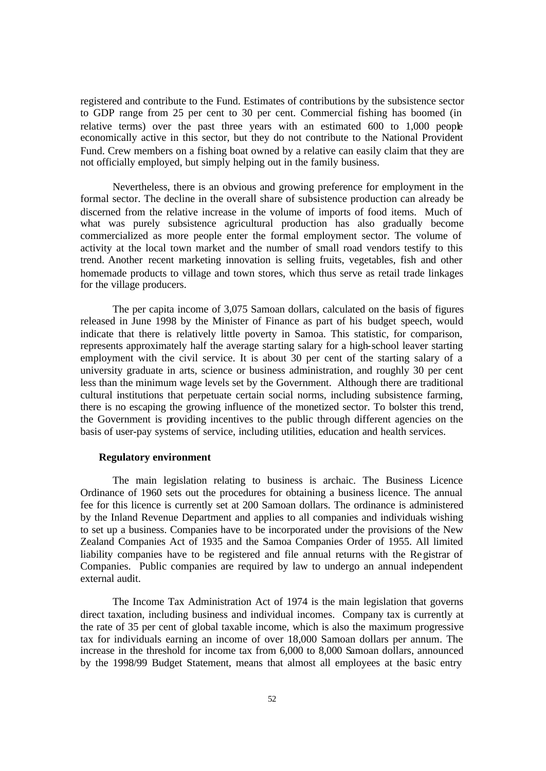registered and contribute to the Fund. Estimates of contributions by the subsistence sector to GDP range from 25 per cent to 30 per cent. Commercial fishing has boomed (in relative terms) over the past three years with an estimated 600 to 1,000 people economically active in this sector, but they do not contribute to the National Provident Fund. Crew members on a fishing boat owned by a relative can easily claim that they are not officially employed, but simply helping out in the family business.

Nevertheless, there is an obvious and growing preference for employment in the formal sector. The decline in the overall share of subsistence production can already be discerned from the relative increase in the volume of imports of food items. Much of what was purely subsistence agricultural production has also gradually become commercialized as more people enter the formal employment sector. The volume of activity at the local town market and the number of small road vendors testify to this trend. Another recent marketing innovation is selling fruits, vegetables, fish and other homemade products to village and town stores, which thus serve as retail trade linkages for the village producers.

The per capita income of 3,075 Samoan dollars, calculated on the basis of figures released in June 1998 by the Minister of Finance as part of his budget speech, would indicate that there is relatively little poverty in Samoa. This statistic, for comparison, represents approximately half the average starting salary for a high-school leaver starting employment with the civil service. It is about 30 per cent of the starting salary of a university graduate in arts, science or business administration, and roughly 30 per cent less than the minimum wage levels set by the Government. Although there are traditional cultural institutions that perpetuate certain social norms, including subsistence farming, there is no escaping the growing influence of the monetized sector. To bolster this trend, the Government is providing incentives to the public through different agencies on the basis of user-pay systems of service, including utilities, education and health services.

# **Regulatory environment**

The main legislation relating to business is archaic. The Business Licence Ordinance of 1960 sets out the procedures for obtaining a business licence. The annual fee for this licence is currently set at 200 Samoan dollars. The ordinance is administered by the Inland Revenue Department and applies to all companies and individuals wishing to set up a business. Companies have to be incorporated under the provisions of the New Zealand Companies Act of 1935 and the Samoa Companies Order of 1955. All limited liability companies have to be registered and file annual returns with the Registrar of Companies. Public companies are required by law to undergo an annual independent external audit.

The Income Tax Administration Act of 1974 is the main legislation that governs direct taxation, including business and individual incomes. Company tax is currently at the rate of 35 per cent of global taxable income, which is also the maximum progressive tax for individuals earning an income of over 18,000 Samoan dollars per annum. The increase in the threshold for income tax from 6,000 to 8,000 Samoan dollars, announced by the 1998/99 Budget Statement, means that almost all employees at the basic entry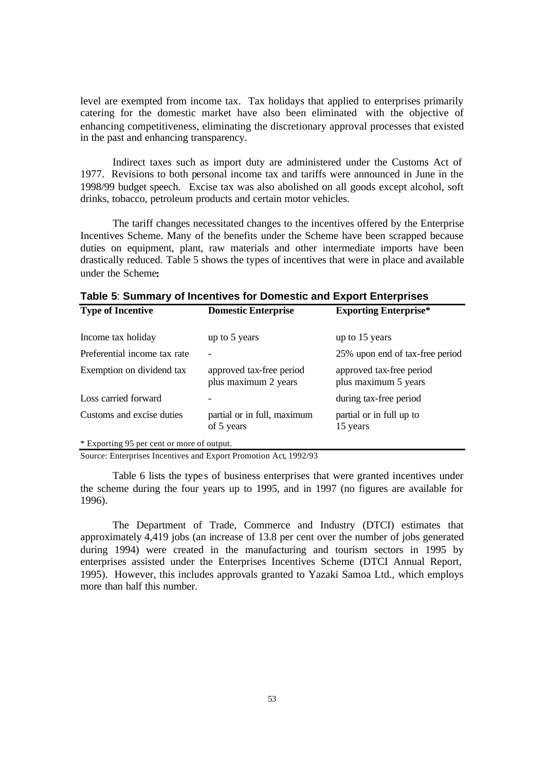level are exempted from income tax. Tax holidays that applied to enterprises primarily catering for the domestic market have also been eliminated with the objective of enhancing competitiveness, eliminating the discretionary approval processes that existed in the past and enhancing transparency.

Indirect taxes such as import duty are administered under the Customs Act of 1977. Revisions to both personal income tax and tariffs were announced in June in the 1998/99 budget speech. Excise tax was also abolished on all goods except alcohol, soft drinks, tobacco, petroleum products and certain motor vehicles.

The tariff changes necessitated changes to the incentives offered by the Enterprise Incentives Scheme. Many of the benefits under the Scheme have been scrapped because duties on equipment, plant, raw materials and other intermediate imports have been drastically reduced. Table 5 shows the types of incentives that were in place and available under the Scheme**:**

| <b>Type of Incentive</b>                   | <b>Domestic Enterprise</b>                       | <b>Exporting Enterprise*</b>                     |  |
|--------------------------------------------|--------------------------------------------------|--------------------------------------------------|--|
| Income tax holiday                         | up to 5 years                                    | up to 15 years                                   |  |
| Preferential income tax rate               |                                                  | 25% upon end of tax-free period                  |  |
| Exemption on dividend tax                  | approved tax-free period<br>plus maximum 2 years | approved tax-free period<br>plus maximum 5 years |  |
| Loss carried forward                       |                                                  | during tax-free period                           |  |
| Customs and excise duties                  | partial or in full, maximum<br>of 5 years        | partial or in full up to<br>15 years             |  |
| * Exporting 95 per cent or more of output. |                                                  |                                                  |  |

**Table 5**: **Summary of Incentives for Domestic and Export Enterprises**

Source: Enterprises Incentives and Export Promotion Act, 1992/93

Table 6 lists the types of business enterprises that were granted incentives under the scheme during the four years up to 1995, and in 1997 (no figures are available for 1996).

The Department of Trade, Commerce and Industry (DTCI) estimates that approximately 4,419 jobs (an increase of 13.8 per cent over the number of jobs generated during 1994) were created in the manufacturing and tourism sectors in 1995 by enterprises assisted under the Enterprises Incentives Scheme (DTCI Annual Report, 1995). However, this includes approvals granted to Yazaki Samoa Ltd., which employs more than half this number.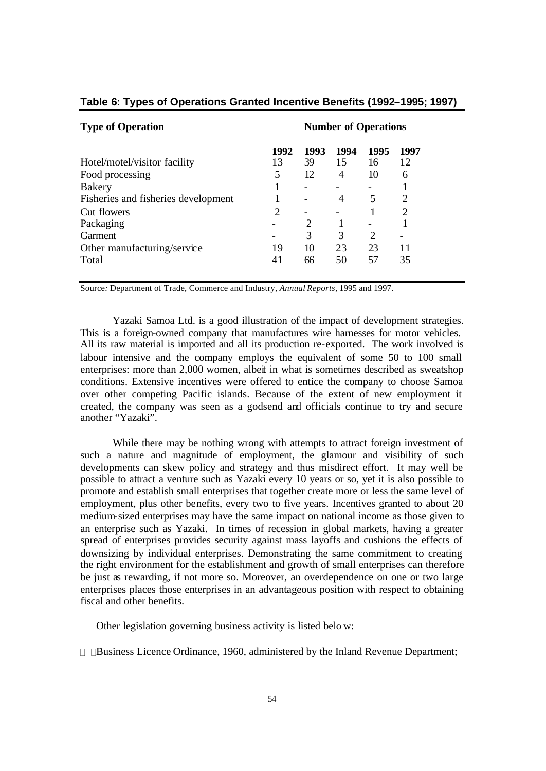| <b>Type of Operation</b>            | <b>Number of Operations</b> |      |                |                             |                             |
|-------------------------------------|-----------------------------|------|----------------|-----------------------------|-----------------------------|
|                                     | 1992                        | 1993 | 1994           | 1995                        | 1997                        |
| Hotel/motel/visitor facility        | 13                          | 39   | 15             | 16                          | 12                          |
| Food processing                     | 5                           | 12   | $\overline{4}$ | 10                          | 6                           |
| <b>Bakery</b>                       |                             |      |                |                             |                             |
| Fisheries and fisheries development |                             |      | 4              | 5                           | $\mathcal{D}_{\mathcal{A}}$ |
| Cut flowers                         | 2                           |      |                |                             | 2                           |
| Packaging                           |                             |      |                |                             |                             |
| Garment                             |                             | 3    | 3              | $\mathcal{D}_{\mathcal{A}}$ |                             |
| Other manufacturing/service         | 19                          | 10   | 23             | 23                          | 11                          |
| Total                               | 41                          | 66   | 50             | 57                          | 35                          |

# **Table 6: Types of Operations Granted Incentive Benefits (1992–1995; 1997)**

Source*:* Department of Trade, Commerce and Industry, *Annual Reports,* 1995 and 1997.

Yazaki Samoa Ltd. is a good illustration of the impact of development strategies. This is a foreign-owned company that manufactures wire harnesses for motor vehicles. All its raw material is imported and all its production re-exported. The work involved is labour intensive and the company employs the equivalent of some 50 to 100 small enterprises: more than 2,000 women, albeit in what is sometimes described as sweatshop conditions. Extensive incentives were offered to entice the company to choose Samoa over other competing Pacific islands. Because of the extent of new employment it created, the company was seen as a godsend and officials continue to try and secure another "Yazaki".

While there may be nothing wrong with attempts to attract foreign investment of such a nature and magnitude of employment, the glamour and visibility of such developments can skew policy and strategy and thus misdirect effort. It may well be possible to attract a venture such as Yazaki every 10 years or so, yet it is also possible to promote and establish small enterprises that together create more or less the same level of employment, plus other benefits, every two to five years. Incentives granted to about 20 medium-sized enterprises may have the same impact on national income as those given to an enterprise such as Yazaki. In times of recession in global markets, having a greater spread of enterprises provides security against mass layoffs and cushions the effects of downsizing by individual enterprises. Demonstrating the same commitment to creating the right environment for the establishment and growth of small enterprises can therefore be just as rewarding, if not more so. Moreover, an overdependence on one or two large enterprises places those enterprises in an advantageous position with respect to obtaining fiscal and other benefits.

Other legislation governing business activity is listed belo w:

? ?Business Licence Ordinance, 1960, administered by the Inland Revenue Department;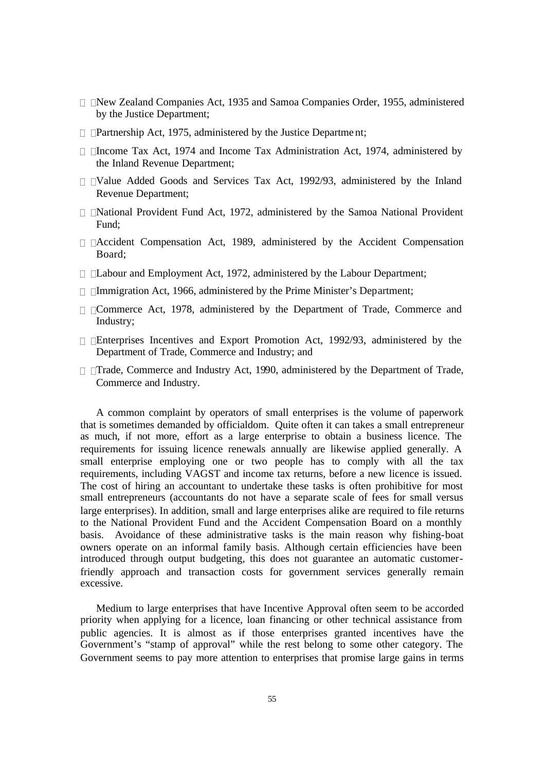- ? ?New Zealand Companies Act, 1935 and Samoa Companies Order, 1955, administered by the Justice Department;
- ? ?Partnership Act, 1975, administered by the Justice Department;
- ? ?Income Tax Act, 1974 and Income Tax Administration Act, 1974, administered by the Inland Revenue Department;
- ? ?Value Added Goods and Services Tax Act, 1992/93, administered by the Inland Revenue Department;
- ? ?National Provident Fund Act, 1972, administered by the Samoa National Provident Fund;
- ? ?Accident Compensation Act, 1989, administered by the Accident Compensation Board;
- ? ?Labour and Employment Act, 1972, administered by the Labour Department;
- ? ?Immigration Act, 1966, administered by the Prime Minister's Department;
- ? ?Commerce Act, 1978, administered by the Department of Trade, Commerce and Industry;
- ? ?Enterprises Incentives and Export Promotion Act, 1992/93, administered by the Department of Trade, Commerce and Industry; and
- ? ?Trade, Commerce and Industry Act, 1990, administered by the Department of Trade, Commerce and Industry.

A common complaint by operators of small enterprises is the volume of paperwork that is sometimes demanded by officialdom. Quite often it can takes a small entrepreneur as much, if not more, effort as a large enterprise to obtain a business licence. The requirements for issuing licence renewals annually are likewise applied generally. A small enterprise employing one or two people has to comply with all the tax requirements, including VAGST and income tax returns, before a new licence is issued. The cost of hiring an accountant to undertake these tasks is often prohibitive for most small entrepreneurs (accountants do not have a separate scale of fees for small versus large enterprises). In addition, small and large enterprises alike are required to file returns to the National Provident Fund and the Accident Compensation Board on a monthly basis. Avoidance of these administrative tasks is the main reason why fishing-boat owners operate on an informal family basis. Although certain efficiencies have been introduced through output budgeting, this does not guarantee an automatic customerfriendly approach and transaction costs for government services generally remain excessive.

Medium to large enterprises that have Incentive Approval often seem to be accorded priority when applying for a licence, loan financing or other technical assistance from public agencies. It is almost as if those enterprises granted incentives have the Government's "stamp of approval" while the rest belong to some other category. The Government seems to pay more attention to enterprises that promise large gains in terms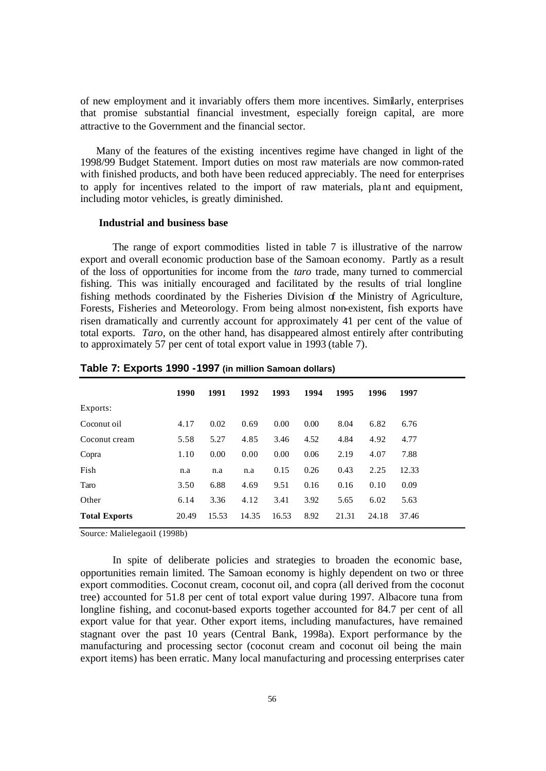of new employment and it invariably offers them more incentives. Similarly, enterprises that promise substantial financial investment, especially foreign capital, are more attractive to the Government and the financial sector.

Many of the features of the existing incentives regime have changed in light of the 1998/99 Budget Statement. Import duties on most raw materials are now common-rated with finished products, and both have been reduced appreciably. The need for enterprises to apply for incentives related to the import of raw materials, plant and equipment, including motor vehicles, is greatly diminished.

### **Industrial and business base**

The range of export commodities listed in table 7 is illustrative of the narrow export and overall economic production base of the Samoan economy. Partly as a result of the loss of opportunities for income from the *taro* trade, many turned to commercial fishing. This was initially encouraged and facilitated by the results of trial longline fishing methods coordinated by the Fisheries Division of the Ministry of Agriculture, Forests, Fisheries and Meteorology. From being almost non-existent, fish exports have risen dramatically and currently account for approximately 41 per cent of the value of total exports. *Taro,* on the other hand, has disappeared almost entirely after contributing to approximately 57 per cent of total export value in 1993 (table 7).

|                      | 1990  | 1991  | 1992  | 1993  | 1994 | 1995  | 1996  | 1997  |
|----------------------|-------|-------|-------|-------|------|-------|-------|-------|
| Exports:             |       |       |       |       |      |       |       |       |
| Coconut oil          | 4.17  | 0.02  | 0.69  | 0.00  | 0.00 | 8.04  | 6.82  | 6.76  |
| Coconut cream        | 5.58  | 5.27  | 4.85  | 3.46  | 4.52 | 4.84  | 4.92  | 4.77  |
| Copra                | 1.10  | 0.00  | 0.00  | 0.00  | 0.06 | 2.19  | 4.07  | 7.88  |
| Fish                 | n.a   | n.a   | n.a   | 0.15  | 0.26 | 0.43  | 2.25  | 12.33 |
| Taro                 | 3.50  | 6.88  | 4.69  | 9.51  | 0.16 | 0.16  | 0.10  | 0.09  |
| Other                | 6.14  | 3.36  | 4.12  | 3.41  | 3.92 | 5.65  | 6.02  | 5.63  |
| <b>Total Exports</b> | 20.49 | 15.53 | 14.35 | 16.53 | 8.92 | 21.31 | 24.18 | 37.46 |

**Table 7: Exports 1990 -1997 (in million Samoan dollars)**

Source*:* Malielegaoi1 (1998b)

In spite of deliberate policies and strategies to broaden the economic base, opportunities remain limited. The Samoan economy is highly dependent on two or three export commodities. Coconut cream, coconut oil, and copra (all derived from the coconut tree) accounted for 51.8 per cent of total export value during 1997. Albacore tuna from longline fishing, and coconut-based exports together accounted for 84.7 per cent of all export value for that year. Other export items, including manufactures, have remained stagnant over the past 10 years (Central Bank, 1998a). Export performance by the manufacturing and processing sector (coconut cream and coconut oil being the main export items) has been erratic. Many local manufacturing and processing enterprises cater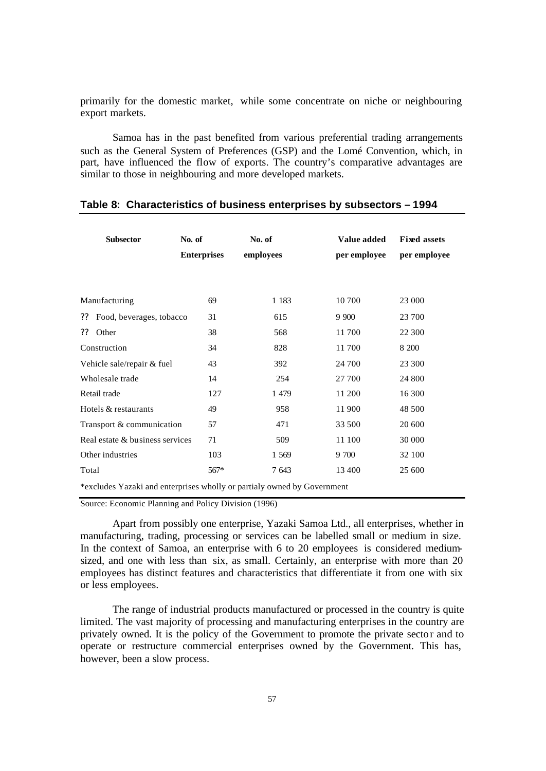primarily for the domestic market, while some concentrate on niche or neighbouring export markets.

Samoa has in the past benefited from various preferential trading arrangements such as the General System of Preferences (GSP) and the Lomé Convention, which, in part, have influenced the flow of exports. The country's comparative advantages are similar to those in neighbouring and more developed markets.

| <b>Subsector</b>                                                        | No. of             | No. of    | Value added  | <b>Fixed assets</b> |  |  |
|-------------------------------------------------------------------------|--------------------|-----------|--------------|---------------------|--|--|
|                                                                         | <b>Enterprises</b> | employees | per employee | per employee        |  |  |
|                                                                         |                    |           |              |                     |  |  |
| Manufacturing                                                           | 69                 | 1 1 8 3   | 10 700       | 23 000              |  |  |
| Food, beverages, tobacco<br>??                                          | 31                 | 615       | 9 9 0 0      | 23 700              |  |  |
| ??<br>Other                                                             | 38                 | 568       | 11700        | 22 300              |  |  |
| Construction                                                            | 34                 | 828       | 11 700       | 8 200               |  |  |
| Vehicle sale/repair & fuel                                              | 43                 | 392       | 24 700       | 23 300              |  |  |
| Wholesale trade                                                         | 14                 | 254       | 27 700       | 24 800              |  |  |
| Retail trade                                                            | 127                | 1 4 7 9   | 11 200       | 16 300              |  |  |
| Hotels & restaurants                                                    | 49                 | 958       | 11 900       | 48 500              |  |  |
| Transport & communication                                               | 57                 | 471       | 33 500       | 20 600              |  |  |
| Real estate & business services                                         | 71                 | 509       | 11 100       | 30 000              |  |  |
| Other industries                                                        | 103                | 1 569     | 9 700        | 32 100              |  |  |
| Total                                                                   | $567*$             | 7 643     | 13 400       | 25 600              |  |  |
| *excludes Yazaki and enterprises wholly or partialy owned by Government |                    |           |              |                     |  |  |

# **Table 8: Characteristics of business enterprises by subsectors – 1994**

Source: Economic Planning and Policy Division (1996)

Apart from possibly one enterprise, Yazaki Samoa Ltd., all enterprises, whether in manufacturing, trading, processing or services can be labelled small or medium in size. In the context of Samoa, an enterprise with 6 to 20 employees is considered mediumsized, and one with less than six, as small. Certainly, an enterprise with more than 20 employees has distinct features and characteristics that differentiate it from one with six or less employees.

The range of industrial products manufactured or processed in the country is quite limited. The vast majority of processing and manufacturing enterprises in the country are privately owned. It is the policy of the Government to promote the private sector and to operate or restructure commercial enterprises owned by the Government. This has, however, been a slow process.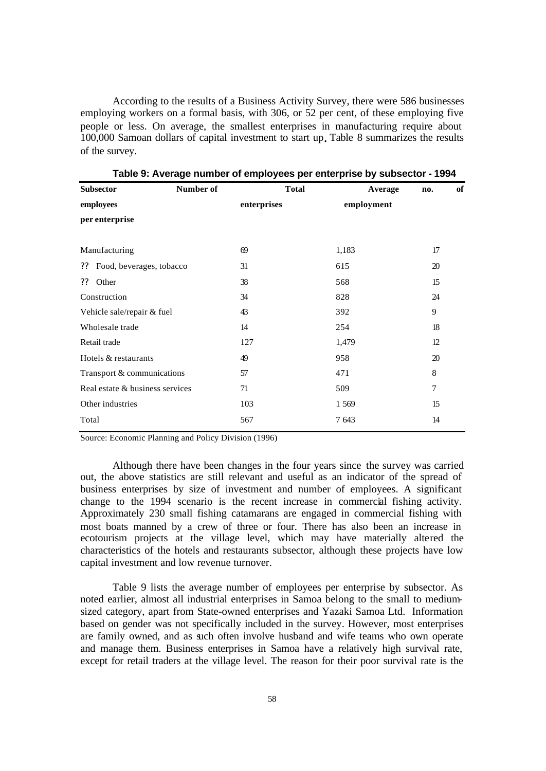According to the results of a Business Activity Survey, there were 586 businesses employing workers on a formal basis, with 306, or 52 per cent, of these employing five people or less. On average, the smallest enterprises in manufacturing require about 100,000 Samoan dollars of capital investment to start up**.** Table 8 summarizes the results of the survey.

| <b>Subsector</b>                | Number of | <b>Total</b> | Average    | no. | of |
|---------------------------------|-----------|--------------|------------|-----|----|
| employees                       |           | enterprises  | employment |     |    |
| per enterprise                  |           |              |            |     |    |
|                                 |           |              |            |     |    |
| Manufacturing                   |           | 69           | 1,183      | 17  |    |
| Food, beverages, tobacco<br>??  |           | 31           | 615        | 20  |    |
| Other<br>??                     |           | 38           | 568        | 15  |    |
| Construction                    |           | 34           | 828        | 24  |    |
| Vehicle sale/repair & fuel      |           | 43           | 392        | 9   |    |
| Wholesale trade                 |           | 14           | 254        | 18  |    |
| Retail trade                    |           | 127          | 1,479      | 12  |    |
| Hotels & restaurants            |           | 49           | 958        | 20  |    |
| Transport & communications      |           | 57           | 471        | 8   |    |
| Real estate & business services |           | 71           | 509        | 7   |    |
| Other industries                |           | 103          | 1 5 6 9    | 15  |    |
| Total                           |           | 567          | 7 643      | 14  |    |

**Table 9: Average number of employees per enterprise by subsector - 1994**

Source: Economic Planning and Policy Division (1996)

Although there have been changes in the four years since the survey was carried out, the above statistics are still relevant and useful as an indicator of the spread of business enterprises by size of investment and number of employees. A significant change to the 1994 scenario is the recent increase in commercial fishing activity. Approximately 230 small fishing catamarans are engaged in commercial fishing with most boats manned by a crew of three or four. There has also been an increase in ecotourism projects at the village level, which may have materially altered the characteristics of the hotels and restaurants subsector, although these projects have low capital investment and low revenue turnover.

Table 9 lists the average number of employees per enterprise by subsector. As noted earlier, almost all industrial enterprises in Samoa belong to the small to mediumsized category, apart from State-owned enterprises and Yazaki Samoa Ltd. Information based on gender was not specifically included in the survey. However, most enterprises are family owned, and as such often involve husband and wife teams who own operate and manage them. Business enterprises in Samoa have a relatively high survival rate, except for retail traders at the village level. The reason for their poor survival rate is the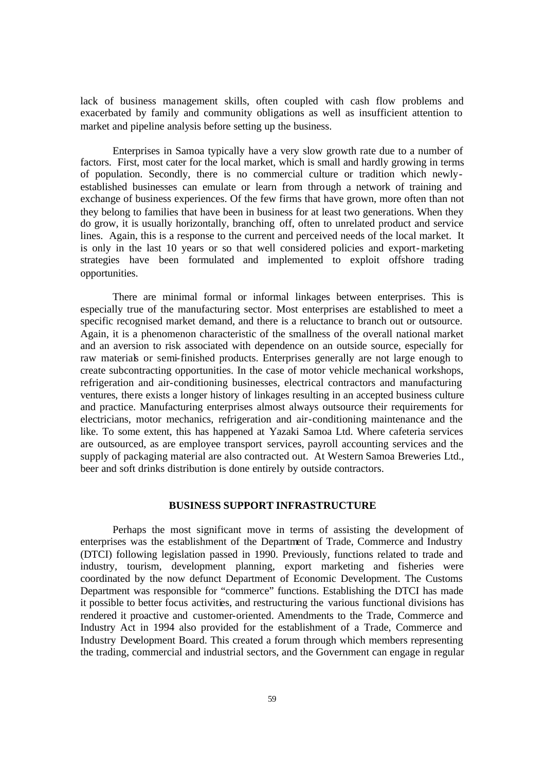lack of business management skills, often coupled with cash flow problems and exacerbated by family and community obligations as well as insufficient attention to market and pipeline analysis before setting up the business.

Enterprises in Samoa typically have a very slow growth rate due to a number of factors. First, most cater for the local market, which is small and hardly growing in terms of population. Secondly, there is no commercial culture or tradition which newlyestablished businesses can emulate or learn from through a network of training and exchange of business experiences. Of the few firms that have grown, more often than not they belong to families that have been in business for at least two generations. When they do grow, it is usually horizontally, branching off, often to unrelated product and service lines. Again, this is a response to the current and perceived needs of the local market. It is only in the last 10 years or so that well considered policies and export-marketing strategies have been formulated and implemented to exploit offshore trading opportunities.

There are minimal formal or informal linkages between enterprises. This is especially true of the manufacturing sector. Most enterprises are established to meet a specific recognised market demand, and there is a reluctance to branch out or outsource. Again, it is a phenomenon characteristic of the smallness of the overall national market and an aversion to risk associated with dependence on an outside source, especially for raw materials or semi-finished products. Enterprises generally are not large enough to create subcontracting opportunities. In the case of motor vehicle mechanical workshops, refrigeration and air-conditioning businesses, electrical contractors and manufacturing ventures, there exists a longer history of linkages resulting in an accepted business culture and practice. Manufacturing enterprises almost always outsource their requirements for electricians, motor mechanics, refrigeration and air-conditioning maintenance and the like. To some extent, this has happened at Yazaki Samoa Ltd. Where cafeteria services are outsourced, as are employee transport services, payroll accounting services and the supply of packaging material are also contracted out. At Western Samoa Breweries Ltd., beer and soft drinks distribution is done entirely by outside contractors.

# **BUSINESS SUPPORT INFRASTRUCTURE**

Perhaps the most significant move in terms of assisting the development of enterprises was the establishment of the Department of Trade, Commerce and Industry (DTCI) following legislation passed in 1990. Previously, functions related to trade and industry, tourism, development planning, export marketing and fisheries were coordinated by the now defunct Department of Economic Development. The Customs Department was responsible for "commerce" functions. Establishing the DTCI has made it possible to better focus activities, and restructuring the various functional divisions has rendered it proactive and customer-oriented. Amendments to the Trade, Commerce and Industry Act in 1994 also provided for the establishment of a Trade, Commerce and Industry Development Board. This created a forum through which members representing the trading, commercial and industrial sectors, and the Government can engage in regular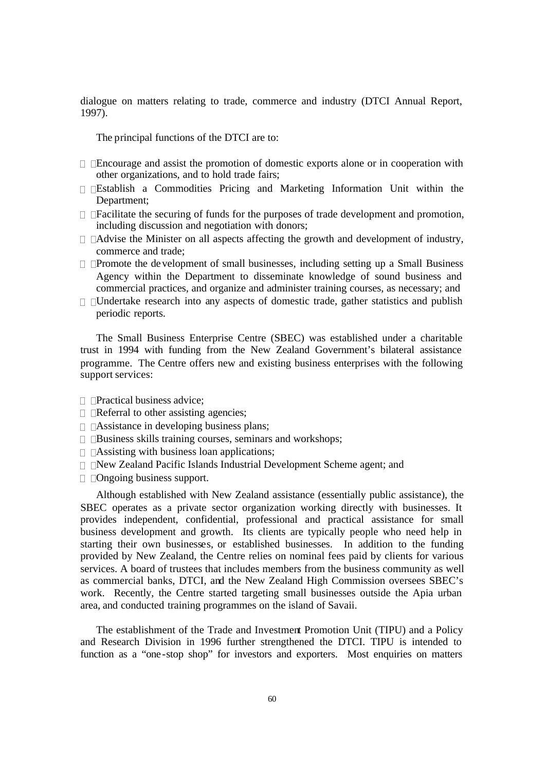dialogue on matters relating to trade, commerce and industry (DTCI Annual Report, 1997).

The principal functions of the DTCI are to:

- ? ?Encourage and assist the promotion of domestic exports alone or in cooperation with other organizations, and to hold trade fairs;
- ? ?Establish a Commodities Pricing and Marketing Information Unit within the Department;
- ? ?Facilitate the securing of funds for the purposes of trade development and promotion, including discussion and negotiation with donors;
- ? ?Advise the Minister on all aspects affecting the growth and development of industry, commerce and trade;
- ? ?Promote the development of small businesses, including setting up a Small Business Agency within the Department to disseminate knowledge of sound business and commercial practices, and organize and administer training courses, as necessary; and
- ? ?Undertake research into any aspects of domestic trade, gather statistics and publish periodic reports.

The Small Business Enterprise Centre (SBEC) was established under a charitable trust in 1994 with funding from the New Zealand Government's bilateral assistance programme. The Centre offers new and existing business enterprises with the following support services:

- ? ?Practical business advice;
- ? ?Referral to other assisting agencies;
- ? ?Assistance in developing business plans;
- ? ?Business skills training courses, seminars and workshops;
- ? ?Assisting with business loan applications;
- ? ?New Zealand Pacific Islands Industrial Development Scheme agent; and
- ? ?Ongoing business support.

Although established with New Zealand assistance (essentially public assistance), the SBEC operates as a private sector organization working directly with businesses. It provides independent, confidential, professional and practical assistance for small business development and growth. Its clients are typically people who need help in starting their own businesses, or established businesses. In addition to the funding provided by New Zealand, the Centre relies on nominal fees paid by clients for various services. A board of trustees that includes members from the business community as well as commercial banks, DTCI, and the New Zealand High Commission oversees SBEC's work. Recently, the Centre started targeting small businesses outside the Apia urban area, and conducted training programmes on the island of Savaii.

The establishment of the Trade and Investment Promotion Unit (TIPU) and a Policy and Research Division in 1996 further strengthened the DTCI. TIPU is intended to function as a "one-stop shop" for investors and exporters. Most enquiries on matters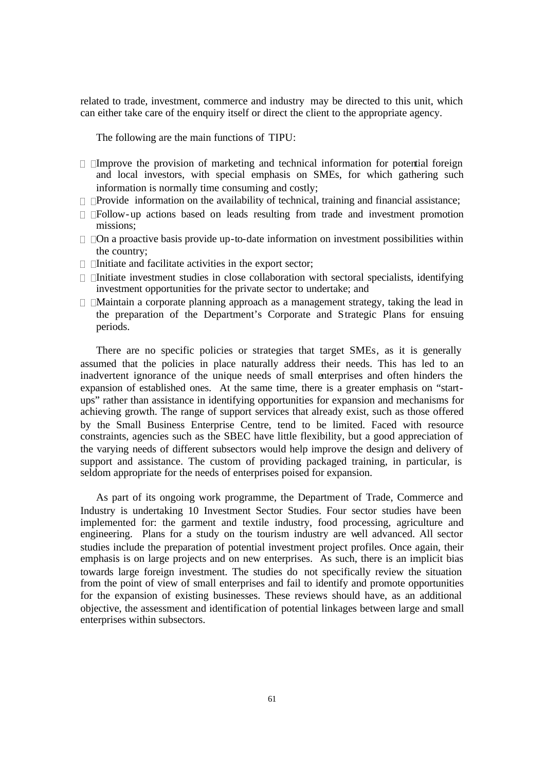related to trade, investment, commerce and industry may be directed to this unit, which can either take care of the enquiry itself or direct the client to the appropriate agency.

The following are the main functions of TIPU:

- ? ?Improve the provision of marketing and technical information for potential foreign and local investors, with special emphasis on SMEs, for which gathering such information is normally time consuming and costly;
- ? ?Provide information on the availability of technical, training and financial assistance;
- ? ?Follow-up actions based on leads resulting from trade and investment promotion missions;
- ? ?On a proactive basis provide up-to-date information on investment possibilities within the country;
- ? ?Initiate and facilitate activities in the export sector;
- ? ?Initiate investment studies in close collaboration with sectoral specialists, identifying investment opportunities for the private sector to undertake; and
- ? ?Maintain a corporate planning approach as a management strategy, taking the lead in the preparation of the Department's Corporate and Strategic Plans for ensuing periods.

There are no specific policies or strategies that target SMEs, as it is generally assumed that the policies in place naturally address their needs. This has led to an inadvertent ignorance of the unique needs of small enterprises and often hinders the expansion of established ones. At the same time, there is a greater emphasis on "startups" rather than assistance in identifying opportunities for expansion and mechanisms for achieving growth. The range of support services that already exist, such as those offered by the Small Business Enterprise Centre, tend to be limited. Faced with resource constraints, agencies such as the SBEC have little flexibility, but a good appreciation of the varying needs of different subsectors would help improve the design and delivery of support and assistance. The custom of providing packaged training, in particular, is seldom appropriate for the needs of enterprises poised for expansion.

As part of its ongoing work programme, the Department of Trade, Commerce and Industry is undertaking 10 Investment Sector Studies. Four sector studies have been implemented for: the garment and textile industry, food processing, agriculture and engineering. Plans for a study on the tourism industry are well advanced. All sector studies include the preparation of potential investment project profiles. Once again, their emphasis is on large projects and on new enterprises. As such, there is an implicit bias towards large foreign investment. The studies do not specifically review the situation from the point of view of small enterprises and fail to identify and promote opportunities for the expansion of existing businesses. These reviews should have, as an additional objective, the assessment and identification of potential linkages between large and small enterprises within subsectors.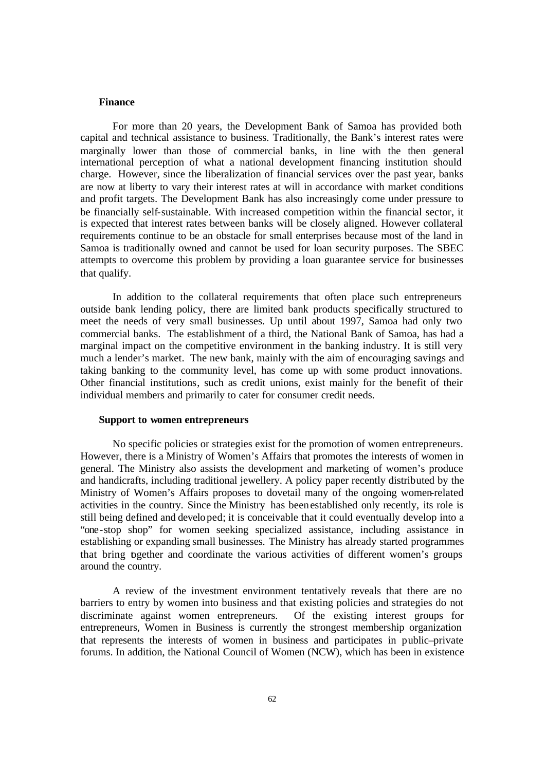#### **Finance**

For more than 20 years, the Development Bank of Samoa has provided both capital and technical assistance to business. Traditionally, the Bank's interest rates were marginally lower than those of commercial banks, in line with the then general international perception of what a national development financing institution should charge. However, since the liberalization of financial services over the past year, banks are now at liberty to vary their interest rates at will in accordance with market conditions and profit targets. The Development Bank has also increasingly come under pressure to be financially self-sustainable. With increased competition within the financial sector, it is expected that interest rates between banks will be closely aligned. However collateral requirements continue to be an obstacle for small enterprises because most of the land in Samoa is traditionally owned and cannot be used for loan security purposes. The SBEC attempts to overcome this problem by providing a loan guarantee service for businesses that qualify.

In addition to the collateral requirements that often place such entrepreneurs outside bank lending policy, there are limited bank products specifically structured to meet the needs of very small businesses. Up until about 1997, Samoa had only two commercial banks. The establishment of a third, the National Bank of Samoa, has had a marginal impact on the competitive environment in the banking industry. It is still very much a lender's market. The new bank, mainly with the aim of encouraging savings and taking banking to the community level, has come up with some product innovations. Other financial institutions, such as credit unions, exist mainly for the benefit of their individual members and primarily to cater for consumer credit needs.

### **Support to women entrepreneurs**

No specific policies or strategies exist for the promotion of women entrepreneurs. However, there is a Ministry of Women's Affairs that promotes the interests of women in general. The Ministry also assists the development and marketing of women's produce and handicrafts, including traditional jewellery. A policy paper recently distributed by the Ministry of Women's Affairs proposes to dovetail many of the ongoing women-related activities in the country. Since the Ministry has been established only recently, its role is still being defined and developed; it is conceivable that it could eventually develop into a "one-stop shop" for women seeking specialized assistance, including assistance in establishing or expanding small businesses. The Ministry has already started programmes that bring together and coordinate the various activities of different women's groups around the country.

A review of the investment environment tentatively reveals that there are no barriers to entry by women into business and that existing policies and strategies do not discriminate against women entrepreneurs. Of the existing interest groups for entrepreneurs, Women in Business is currently the strongest membership organization that represents the interests of women in business and participates in public–private forums. In addition, the National Council of Women (NCW), which has been in existence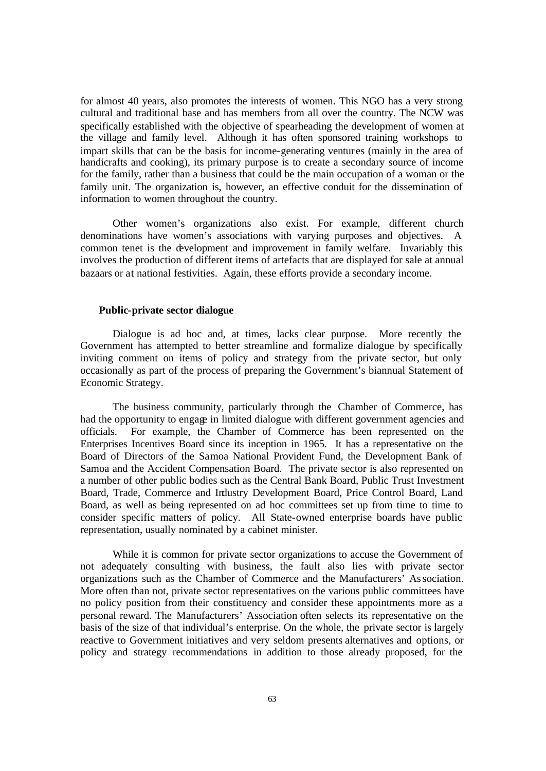for almost 40 years, also promotes the interests of women. This NGO has a very strong cultural and traditional base and has members from all over the country. The NCW was specifically established with the objective of spearheading the development of women at the village and family level. Although it has often sponsored training workshops to impart skills that can be the basis for income-generating ventur es (mainly in the area of handicrafts and cooking), its primary purpose is to create a secondary source of income for the family, rather than a business that could be the main occupation of a woman or the family unit. The organization is, however, an effective conduit for the dissemination of information to women throughout the country.

Other women's organizations also exist. For example, different church denominations have women's associations with varying purposes and objectives. A common tenet is the development and improvement in family welfare. Invariably this involves the production of different items of artefacts that are displayed for sale at annual bazaars or at national festivities. Again, these efforts provide a secondary income.

# **Public-private sector dialogue**

Dialogue is ad hoc and, at times, lacks clear purpose. More recently the Government has attempted to better streamline and formalize dialogue by specifically inviting comment on items of policy and strategy from the private sector, but only occasionally as part of the process of preparing the Government's biannual Statement of Economic Strategy.

The business community, particularly through the Chamber of Commerce, has had the opportunity to engage in limited dialogue with different government agencies and officials. For example, the Chamber of Commerce has been represented on the Enterprises Incentives Board since its inception in 1965. It has a representative on the Board of Directors of the Samoa National Provident Fund, the Development Bank of Samoa and the Accident Compensation Board. The private sector is also represented on a number of other public bodies such as the Central Bank Board, Public Trust Investment Board, Trade, Commerce and Industry Development Board, Price Control Board, Land Board, as well as being represented on ad hoc committees set up from time to time to consider specific matters of policy. All State-owned enterprise boards have public representation, usually nominated by a cabinet minister.

While it is common for private sector organizations to accuse the Government of not adequately consulting with business, the fault also lies with private sector organizations such as the Chamber of Commerce and the Manufacturers' Association. More often than not, private sector representatives on the various public committees have no policy position from their constituency and consider these appointments more as a personal reward. The Manufacturers' Association often selects its representative on the basis of the size of that individual's enterprise. On the whole, the private sector is largely reactive to Government initiatives and very seldom presents alternatives and options, or policy and strategy recommendations in addition to those already proposed, for the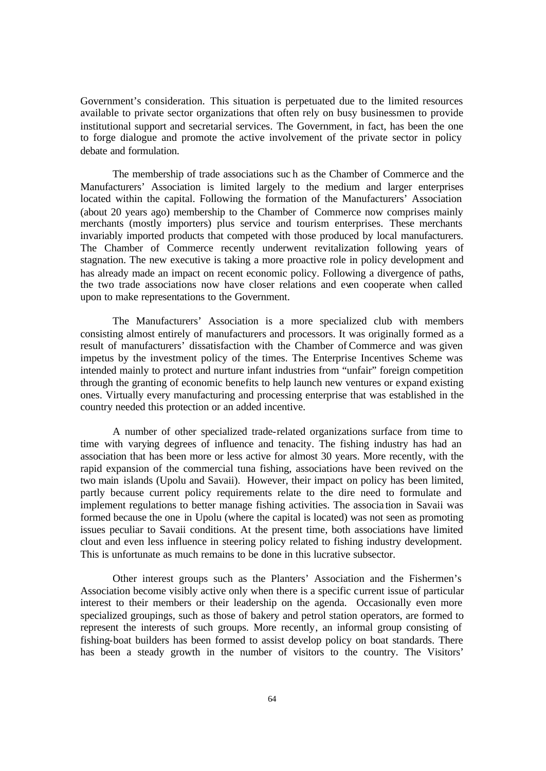Government's consideration. This situation is perpetuated due to the limited resources available to private sector organizations that often rely on busy businessmen to provide institutional support and secretarial services. The Government, in fact, has been the one to forge dialogue and promote the active involvement of the private sector in policy debate and formulation.

The membership of trade associations suc h as the Chamber of Commerce and the Manufacturers' Association is limited largely to the medium and larger enterprises located within the capital. Following the formation of the Manufacturers' Association (about 20 years ago) membership to the Chamber of Commerce now comprises mainly merchants (mostly importers) plus service and tourism enterprises. These merchants invariably imported products that competed with those produced by local manufacturers. The Chamber of Commerce recently underwent revitalization following years of stagnation. The new executive is taking a more proactive role in policy development and has already made an impact on recent economic policy. Following a divergence of paths, the two trade associations now have closer relations and even cooperate when called upon to make representations to the Government.

The Manufacturers' Association is a more specialized club with members consisting almost entirely of manufacturers and processors. It was originally formed as a result of manufacturers' dissatisfaction with the Chamber of Commerce and was given impetus by the investment policy of the times. The Enterprise Incentives Scheme was intended mainly to protect and nurture infant industries from "unfair" foreign competition through the granting of economic benefits to help launch new ventures or expand existing ones. Virtually every manufacturing and processing enterprise that was established in the country needed this protection or an added incentive.

A number of other specialized trade-related organizations surface from time to time with varying degrees of influence and tenacity. The fishing industry has had an association that has been more or less active for almost 30 years. More recently, with the rapid expansion of the commercial tuna fishing, associations have been revived on the two main islands (Upolu and Savaii). However, their impact on policy has been limited, partly because current policy requirements relate to the dire need to formulate and implement regulations to better manage fishing activities. The associa tion in Savaii was formed because the one in Upolu (where the capital is located) was not seen as promoting issues peculiar to Savaii conditions. At the present time, both associations have limited clout and even less influence in steering policy related to fishing industry development. This is unfortunate as much remains to be done in this lucrative subsector.

Other interest groups such as the Planters' Association and the Fishermen's Association become visibly active only when there is a specific current issue of particular interest to their members or their leadership on the agenda. Occasionally even more specialized groupings, such as those of bakery and petrol station operators, are formed to represent the interests of such groups. More recently, an informal group consisting of fishing-boat builders has been formed to assist develop policy on boat standards. There has been a steady growth in the number of visitors to the country. The Visitors'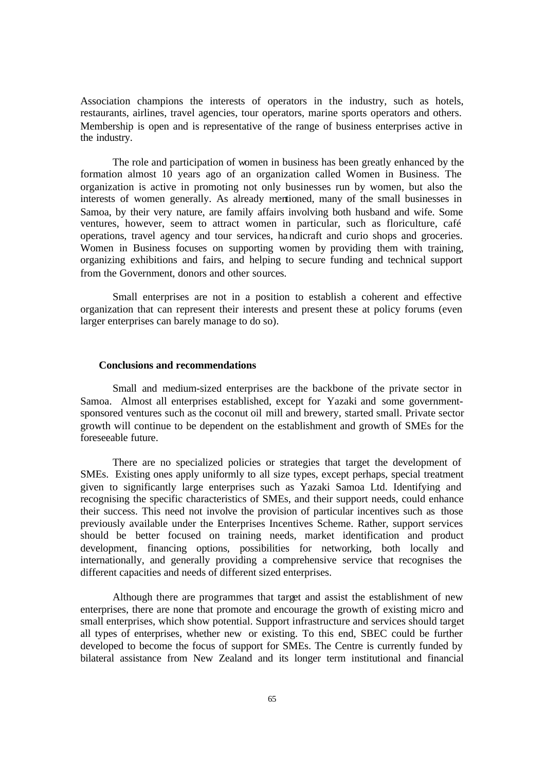Association champions the interests of operators in the industry, such as hotels, restaurants, airlines, travel agencies, tour operators, marine sports operators and others. Membership is open and is representative of the range of business enterprises active in the industry.

The role and participation of women in business has been greatly enhanced by the formation almost 10 years ago of an organization called Women in Business. The organization is active in promoting not only businesses run by women, but also the interests of women generally. As already mentioned, many of the small businesses in Samoa, by their very nature, are family affairs involving both husband and wife. Some ventures, however, seem to attract women in particular, such as floriculture, café operations, travel agency and tour services, handicraft and curio shops and groceries. Women in Business focuses on supporting women by providing them with training, organizing exhibitions and fairs, and helping to secure funding and technical support from the Government, donors and other sources.

Small enterprises are not in a position to establish a coherent and effective organization that can represent their interests and present these at policy forums (even larger enterprises can barely manage to do so).

### **Conclusions and recommendations**

Small and medium-sized enterprises are the backbone of the private sector in Samoa. Almost all enterprises established, except for Yazaki and some governmentsponsored ventures such as the coconut oil mill and brewery, started small. Private sector growth will continue to be dependent on the establishment and growth of SMEs for the foreseeable future.

There are no specialized policies or strategies that target the development of SMEs. Existing ones apply uniformly to all size types, except perhaps, special treatment given to significantly large enterprises such as Yazaki Samoa Ltd. Identifying and recognising the specific characteristics of SMEs, and their support needs, could enhance their success. This need not involve the provision of particular incentives such as those previously available under the Enterprises Incentives Scheme. Rather, support services should be better focused on training needs, market identification and product development, financing options, possibilities for networking, both locally and internationally, and generally providing a comprehensive service that recognises the different capacities and needs of different sized enterprises.

Although there are programmes that target and assist the establishment of new enterprises, there are none that promote and encourage the growth of existing micro and small enterprises, which show potential. Support infrastructure and services should target all types of enterprises, whether new or existing. To this end, SBEC could be further developed to become the focus of support for SMEs. The Centre is currently funded by bilateral assistance from New Zealand and its longer term institutional and financial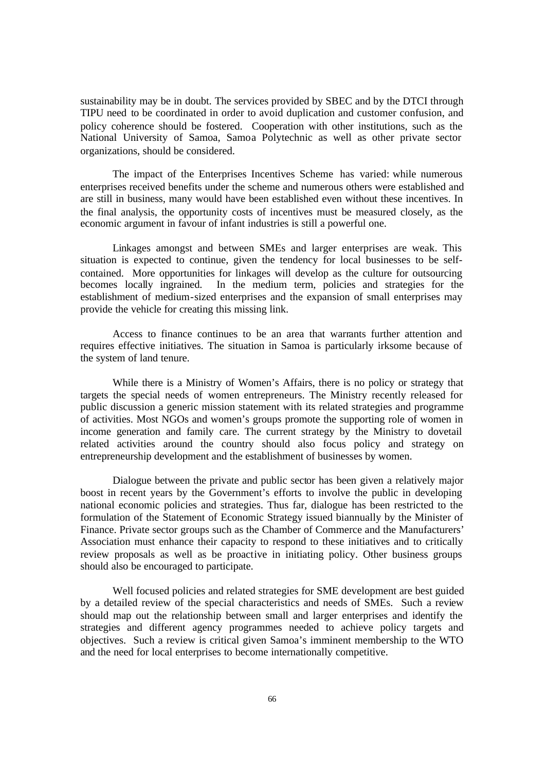sustainability may be in doubt. The services provided by SBEC and by the DTCI through TIPU need to be coordinated in order to avoid duplication and customer confusion, and policy coherence should be fostered. Cooperation with other institutions, such as the National University of Samoa, Samoa Polytechnic as well as other private sector organizations, should be considered.

The impact of the Enterprises Incentives Scheme has varied: while numerous enterprises received benefits under the scheme and numerous others were established and are still in business, many would have been established even without these incentives. In the final analysis, the opportunity costs of incentives must be measured closely, as the economic argument in favour of infant industries is still a powerful one.

Linkages amongst and between SMEs and larger enterprises are weak. This situation is expected to continue, given the tendency for local businesses to be selfcontained. More opportunities for linkages will develop as the culture for outsourcing becomes locally ingrained. In the medium term, policies and strategies for the establishment of medium-sized enterprises and the expansion of small enterprises may provide the vehicle for creating this missing link.

Access to finance continues to be an area that warrants further attention and requires effective initiatives. The situation in Samoa is particularly irksome because of the system of land tenure.

While there is a Ministry of Women's Affairs, there is no policy or strategy that targets the special needs of women entrepreneurs. The Ministry recently released for public discussion a generic mission statement with its related strategies and programme of activities. Most NGOs and women's groups promote the supporting role of women in income generation and family care. The current strategy by the Ministry to dovetail related activities around the country should also focus policy and strategy on entrepreneurship development and the establishment of businesses by women.

Dialogue between the private and public sector has been given a relatively major boost in recent years by the Government's efforts to involve the public in developing national economic policies and strategies. Thus far, dialogue has been restricted to the formulation of the Statement of Economic Strategy issued biannually by the Minister of Finance. Private sector groups such as the Chamber of Commerce and the Manufacturers' Association must enhance their capacity to respond to these initiatives and to critically review proposals as well as be proactive in initiating policy. Other business groups should also be encouraged to participate.

Well focused policies and related strategies for SME development are best guided by a detailed review of the special characteristics and needs of SMEs. Such a review should map out the relationship between small and larger enterprises and identify the strategies and different agency programmes needed to achieve policy targets and objectives. Such a review is critical given Samoa's imminent membership to the WTO and the need for local enterprises to become internationally competitive.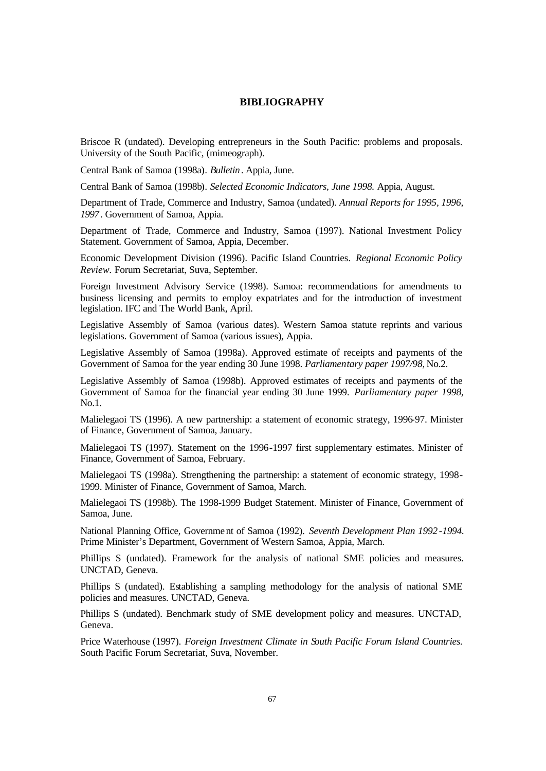#### **BIBLIOGRAPHY**

Briscoe R (undated). Developing entrepreneurs in the South Pacific: problems and proposals. University of the South Pacific, (mimeograph).

Central Bank of Samoa (1998a). *Bulletin*. Appia, June.

Central Bank of Samoa (1998b). *Selected Economic Indicators, June 1998.* Appia, August.

Department of Trade, Commerce and Industry, Samoa (undated). *Annual Reports for 1995, 1996, 1997*. Government of Samoa, Appia.

Department of Trade, Commerce and Industry, Samoa (1997). National Investment Policy Statement. Government of Samoa, Appia, December.

Economic Development Division (1996). Pacific Island Countries. *Regional Economic Policy Review.* Forum Secretariat, Suva, September.

Foreign Investment Advisory Service (1998). Samoa: recommendations for amendments to business licensing and permits to employ expatriates and for the introduction of investment legislation. IFC and The World Bank, April.

Legislative Assembly of Samoa (various dates). Western Samoa statute reprints and various legislations. Government of Samoa (various issues), Appia.

Legislative Assembly of Samoa (1998a). Approved estimate of receipts and payments of the Government of Samoa for the year ending 30 June 1998. *Parliamentary paper 1997/98,* No.2.

Legislative Assembly of Samoa (1998b). Approved estimates of receipts and payments of the Government of Samoa for the financial year ending 30 June 1999. *Parliamentary paper 1998,* No.1.

Malielegaoi TS (1996). A new partnership: a statement of economic strategy, 1996-97. Minister of Finance, Government of Samoa, January.

Malielegaoi TS (1997). Statement on the 1996-1997 first supplementary estimates. Minister of Finance, Government of Samoa, February.

Malielegaoi TS (1998a). Strengthening the partnership: a statement of economic strategy, 1998- 1999. Minister of Finance, Government of Samoa, March.

Malielegaoi TS (1998b). The 1998-1999 Budget Statement. Minister of Finance, Government of Samoa, June.

National Planning Office, Government of Samoa (1992). *Seventh Development Plan 1992 -1994*. Prime Minister's Department, Government of Western Samoa, Appia, March.

Phillips S (undated). Framework for the analysis of national SME policies and measures. UNCTAD, Geneva.

Phillips S (undated). Establishing a sampling methodology for the analysis of national SME policies and measures. UNCTAD, Geneva.

Phillips S (undated). Benchmark study of SME development policy and measures. UNCTAD, Geneva.

Price Waterhouse (1997). *Foreign Investment Climate in South Pacific Forum Island Countries.*  South Pacific Forum Secretariat, Suva, November.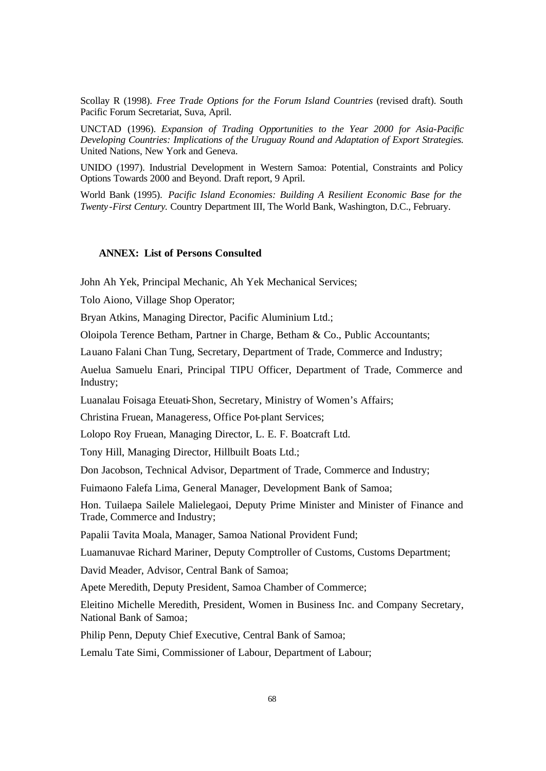Scollay R (1998). *Free Trade Options for the Forum Island Countries* (revised draft). South Pacific Forum Secretariat, Suva, April.

UNCTAD (1996). *Expansion of Trading Opportunities to the Year 2000 for Asia-Pacific Developing Countries: Implications of the Uruguay Round and Adaptation of Export Strategies.* United Nations, New York and Geneva.

UNIDO (1997). Industrial Development in Western Samoa: Potential, Constraints and Policy Options Towards 2000 and Beyond. Draft report, 9 April.

World Bank (1995). *Pacific Island Economies: Building A Resilient Economic Base for the Twenty -First Century.* Country Department III, The World Bank, Washington, D.C., February.

# **ANNEX: List of Persons Consulted**

John Ah Yek, Principal Mechanic, Ah Yek Mechanical Services;

Tolo Aiono, Village Shop Operator;

Bryan Atkins, Managing Director, Pacific Aluminium Ltd.;

Oloipola Terence Betham, Partner in Charge, Betham & Co., Public Accountants;

Lauano Falani Chan Tung, Secretary, Department of Trade, Commerce and Industry;

Auelua Samuelu Enari, Principal TIPU Officer, Department of Trade, Commerce and Industry;

Luanalau Foisaga Eteuati-Shon, Secretary, Ministry of Women's Affairs;

Christina Fruean, Manageress, Office Pot-plant Services;

Lolopo Roy Fruean, Managing Director, L. E. F. Boatcraft Ltd.

Tony Hill, Managing Director, Hillbuilt Boats Ltd.;

Don Jacobson, Technical Advisor, Department of Trade, Commerce and Industry;

Fuimaono Falefa Lima, General Manager, Development Bank of Samoa;

Hon. Tuilaepa Sailele Malielegaoi, Deputy Prime Minister and Minister of Finance and Trade, Commerce and Industry;

Papalii Tavita Moala, Manager, Samoa National Provident Fund;

Luamanuvae Richard Mariner, Deputy Comptroller of Customs, Customs Department;

David Meader, Advisor, Central Bank of Samoa;

Apete Meredith, Deputy President, Samoa Chamber of Commerce;

Eleitino Michelle Meredith, President, Women in Business Inc. and Company Secretary, National Bank of Samoa;

Philip Penn, Deputy Chief Executive, Central Bank of Samoa;

Lemalu Tate Simi, Commissioner of Labour, Department of Labour;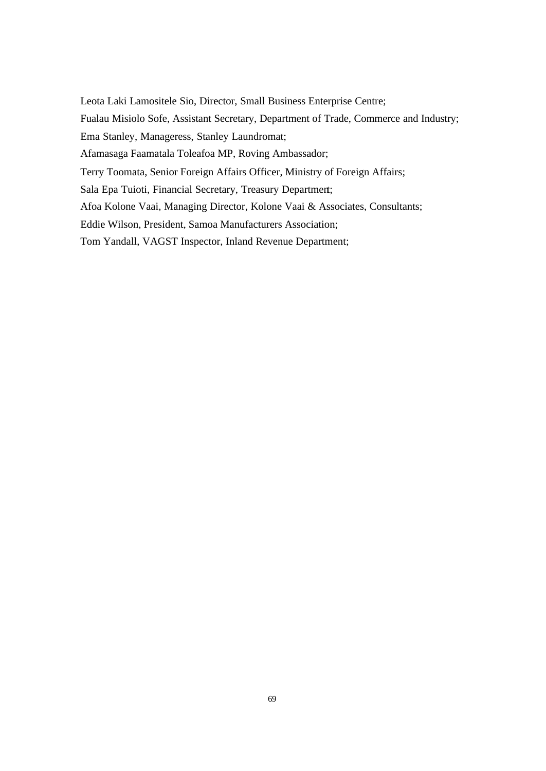Leota Laki Lamositele Sio, Director, Small Business Enterprise Centre; Fualau Misiolo Sofe, Assistant Secretary, Department of Trade, Commerce and Industry; Ema Stanley, Manageress, Stanley Laundromat; Afamasaga Faamatala Toleafoa MP, Roving Ambassador; Terry Toomata, Senior Foreign Affairs Officer, Ministry of Foreign Affairs; Sala Epa Tuioti, Financial Secretary, Treasury Department; Afoa Kolone Vaai, Managing Director, Kolone Vaai & Associates, Consultants; Eddie Wilson, President, Samoa Manufacturers Association; Tom Yandall, VAGST Inspector, Inland Revenue Department;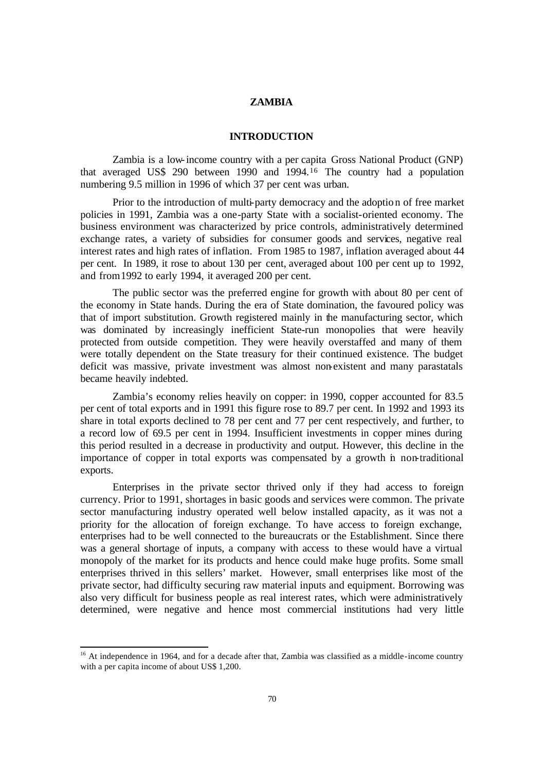# **ZAMBIA**

# **INTRODUCTION**

Zambia is a low-income country with a per capita Gross National Product (GNP) that averaged US\$ 290 between 1990 and 1994.<sup>16</sup> The country had a population numbering 9.5 million in 1996 of which 37 per cent was urban.

Prior to the introduction of multi-party democracy and the adoptio n of free market policies in 1991, Zambia was a one-party State with a socialist-oriented economy. The business environment was characterized by price controls, administratively determined exchange rates, a variety of subsidies for consumer goods and services, negative real interest rates and high rates of inflation. From 1985 to 1987, inflation averaged about 44 per cent. In 1989, it rose to about 130 per cent, averaged about 100 per cent up to 1992, and from 1992 to early 1994, it averaged 200 per cent.

The public sector was the preferred engine for growth with about 80 per cent of the economy in State hands. During the era of State domination, the favoured policy was that of import substitution. Growth registered mainly in the manufacturing sector, which was dominated by increasingly inefficient State-run monopolies that were heavily protected from outside competition. They were heavily overstaffed and many of them were totally dependent on the State treasury for their continued existence. The budget deficit was massive, private investment was almost non-existent and many parastatals became heavily indebted.

Zambia's economy relies heavily on copper: in 1990, copper accounted for 83.5 per cent of total exports and in 1991 this figure rose to 89.7 per cent. In 1992 and 1993 its share in total exports declined to 78 per cent and 77 per cent respectively, and further, to a record low of 69.5 per cent in 1994. Insufficient investments in copper mines during this period resulted in a decrease in productivity and output. However, this decline in the importance of copper in total exports was compensated by a growth in non-traditional exports.

Enterprises in the private sector thrived only if they had access to foreign currency. Prior to 1991, shortages in basic goods and services were common. The private sector manufacturing industry operated well below installed capacity, as it was not a priority for the allocation of foreign exchange. To have access to foreign exchange, enterprises had to be well connected to the bureaucrats or the Establishment. Since there was a general shortage of inputs, a company with access to these would have a virtual monopoly of the market for its products and hence could make huge profits. Some small enterprises thrived in this sellers' market. However, small enterprises like most of the private sector, had difficulty securing raw material inputs and equipment. Borrowing was also very difficult for business people as real interest rates, which were administratively determined, were negative and hence most commercial institutions had very little

l

<sup>&</sup>lt;sup>16</sup> At independence in 1964, and for a decade after that, Zambia was classified as a middle-income country with a per capita income of about US\$ 1,200.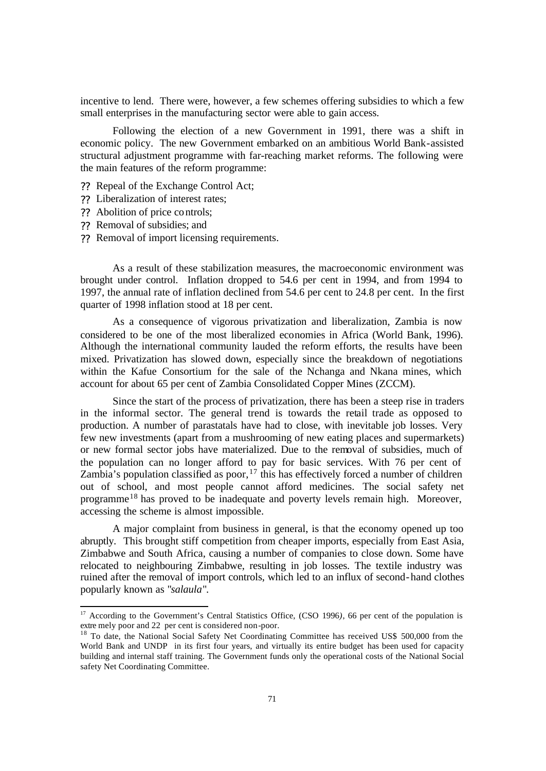incentive to lend. There were, however, a few schemes offering subsidies to which a few small enterprises in the manufacturing sector were able to gain access.

Following the election of a new Government in 1991, there was a shift in economic policy. The new Government embarked on an ambitious World Bank-assisted structural adjustment programme with far-reaching market reforms. The following were the main features of the reform programme:

- ?? Repeal of the Exchange Control Act;
- ?? Liberalization of interest rates;
- ?? Abolition of price controls;
- ?? Removal of subsidies; and

l

?? Removal of import licensing requirements.

As a result of these stabilization measures, the macroeconomic environment was brought under control. Inflation dropped to 54.6 per cent in 1994, and from 1994 to 1997, the annual rate of inflation declined from 54.6 per cent to 24.8 per cent. In the first quarter of 1998 inflation stood at 18 per cent.

As a consequence of vigorous privatization and liberalization, Zambia is now considered to be one of the most liberalized economies in Africa (World Bank, 1996). Although the international community lauded the reform efforts, the results have been mixed. Privatization has slowed down, especially since the breakdown of negotiations within the Kafue Consortium for the sale of the Nchanga and Nkana mines, which account for about 65 per cent of Zambia Consolidated Copper Mines (ZCCM).

Since the start of the process of privatization, there has been a steep rise in traders in the informal sector. The general trend is towards the retail trade as opposed to production. A number of parastatals have had to close, with inevitable job losses. Very few new investments (apart from a mushrooming of new eating places and supermarkets) or new formal sector jobs have materialized. Due to the removal of subsidies, much of the population can no longer afford to pay for basic services. With 76 per cent of Zambia's population classified as poor,  $17$  this has effectively forced a number of children out of school, and most people cannot afford medicines. The social safety net programme<sup>18</sup> has proved to be inadequate and poverty levels remain high. Moreover, accessing the scheme is almost impossible.

A major complaint from business in general, is that the economy opened up too abruptly. This brought stiff competition from cheaper imports, especially from East Asia, Zimbabwe and South Africa, causing a number of companies to close down. Some have relocated to neighbouring Zimbabwe, resulting in job losses. The textile industry was ruined after the removal of import controls, which led to an influx of second-hand clothes popularly known as "*salaula*".

<sup>&</sup>lt;sup>17</sup> According to the Government's Central Statistics Office, (CSO 1996), 66 per cent of the population is extre mely poor and 22 per cent is considered non-poor.

<sup>&</sup>lt;sup>18</sup> To date, the National Social Safety Net Coordinating Committee has received US\$ 500,000 from the World Bank and UNDP in its first four years, and virtually its entire budget has been used for capacity building and internal staff training. The Government funds only the operational costs of the National Social safety Net Coordinating Committee.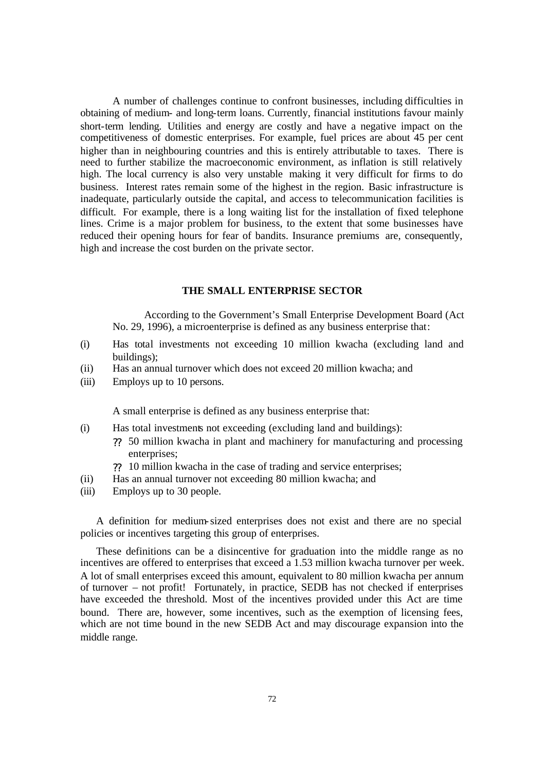A number of challenges continue to confront businesses, including difficulties in obtaining of medium- and long-term loans. Currently, financial institutions favour mainly short-term lending. Utilities and energy are costly and have a negative impact on the competitiveness of domestic enterprises. For example, fuel prices are about 45 per cent higher than in neighbouring countries and this is entirely attributable to taxes. There is need to further stabilize the macroeconomic environment, as inflation is still relatively high. The local currency is also very unstable making it very difficult for firms to do business. Interest rates remain some of the highest in the region. Basic infrastructure is inadequate, particularly outside the capital, and access to telecommunication facilities is difficult. For example, there is a long waiting list for the installation of fixed telephone lines. Crime is a major problem for business, to the extent that some businesses have reduced their opening hours for fear of bandits. Insurance premiums are, consequently, high and increase the cost burden on the private sector.

#### **THE SMALL ENTERPRISE SECTOR**

According to the Government's Small Enterprise Development Board (Act No. 29, 1996), a microenterprise is defined as any business enterprise that:

- (i) Has total investments not exceeding 10 million kwacha (excluding land and buildings);
- (ii) Has an annual turnover which does not exceed 20 million kwacha; and
- (iii) Employs up to 10 persons.

A small enterprise is defined as any business enterprise that:

- (i) Has total investments not exceeding (excluding land and buildings):
	- ?? 50 million kwacha in plant and machinery for manufacturing and processing enterprises;
	- ?? 10 million kwacha in the case of trading and service enterprises;
- (ii) Has an annual turnover not exceeding 80 million kwacha; and
- (iii) Employs up to 30 people.

A definition for medium-sized enterprises does not exist and there are no special policies or incentives targeting this group of enterprises.

These definitions can be a disincentive for graduation into the middle range as no incentives are offered to enterprises that exceed a 1.53 million kwacha turnover per week. A lot of small enterprises exceed this amount, equivalent to 80 million kwacha per annum of turnover – not profit! Fortunately, in practice, SEDB has not checked if enterprises have exceeded the threshold. Most of the incentives provided under this Act are time bound. There are, however, some incentives, such as the exemption of licensing fees, which are not time bound in the new SEDB Act and may discourage expansion into the middle range.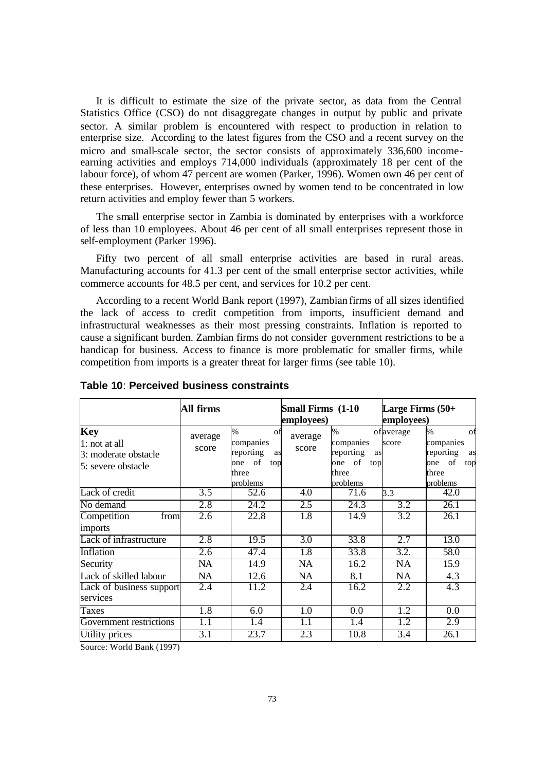It is difficult to estimate the size of the private sector, as data from the Central Statistics Office (CSO) do not disaggregate changes in output by public and private sector. A similar problem is encountered with respect to production in relation to enterprise size. According to the latest figures from the CSO and a recent survey on the micro and small-scale sector, the sector consists of approximately 336,600 incomeearning activities and employs 714,000 individuals (approximately 18 per cent of the labour force), of whom 47 percent are women (Parker, 1996). Women own 46 per cent of these enterprises. However, enterprises owned by women tend to be concentrated in low return activities and employ fewer than 5 workers.

The small enterprise sector in Zambia is dominated by enterprises with a workforce of less than 10 employees. About 46 per cent of all small enterprises represent those in self-employment (Parker 1996).

Fifty two percent of all small enterprise activities are based in rural areas. Manufacturing accounts for 41.3 per cent of the small enterprise sector activities, while commerce accounts for 48.5 per cent, and services for 10.2 per cent.

According to a recent World Bank report (1997), Zambian firms of all sizes identified the lack of access to credit competition from imports, insufficient demand and infrastructural weaknesses as their most pressing constraints. Inflation is reported to cause a significant burden. Zambian firms do not consider government restrictions to be a handicap for business. Access to finance is more problematic for smaller firms, while competition from imports is a greater threat for larger firms (see table 10).

|                                                                           | All firms        |                                                                                     | <b>Small Firms (1-10)</b><br>employees) |                                                                               | Large Firms $(50+)$<br>employees) |                                                                                              |
|---------------------------------------------------------------------------|------------------|-------------------------------------------------------------------------------------|-----------------------------------------|-------------------------------------------------------------------------------|-----------------------------------|----------------------------------------------------------------------------------------------|
| <b>Key</b><br>1: not at all<br>3: moderate obstacle<br>5: severe obstacle | average<br>score | $\%$<br>οf<br>companies<br>reporting<br>as<br>of<br>one<br>top<br>three<br>problems | average<br>score                        | $\%$<br>companies<br>reporting<br>as<br>of<br>one<br>top<br>three<br>problems | of average<br>score               | $\frac{0}{0}$<br>Οf<br>companies<br>reporting<br>as<br>of<br>top<br>one<br>three<br>problems |
| Lack of credit                                                            | $\overline{3.5}$ | 52.6                                                                                | 4.0                                     | 71.6                                                                          | 3.3                               | 42.0                                                                                         |
| No demand                                                                 | 2.8              | 24.2                                                                                | 2.5                                     | 24.3                                                                          | 3.2                               | 26.1                                                                                         |
| Competition<br>from<br>imports                                            | 2.6              | 22.8                                                                                | 1.8                                     | 14.9                                                                          | 3.2                               | 26.1                                                                                         |
| Lack of infrastructure                                                    | 2.8              | 19.5                                                                                | $\overline{3.0}$                        | 33.8                                                                          | 2.7                               | 13.0                                                                                         |
| Inflation                                                                 | 2.6              | 47.4                                                                                | 1.8                                     | 33.8                                                                          | 3.2.                              | 58.0                                                                                         |
| Security                                                                  | $\overline{NA}$  | 14.9                                                                                | NA                                      | 16.2                                                                          | NA                                | 15.9                                                                                         |
| Lack of skilled labour                                                    | <b>NA</b>        | 12.6                                                                                | <b>NA</b>                               | 8.1                                                                           | NA                                | 4.3                                                                                          |
| Lack of business support                                                  | 2.4              | 11.2                                                                                | 2.4                                     | 16.2                                                                          | 2.2                               | 4.3                                                                                          |
| services                                                                  |                  |                                                                                     |                                         |                                                                               |                                   |                                                                                              |
| Taxes                                                                     | 1.8              | 6.0                                                                                 | 1.0                                     | 0.0                                                                           | 1.2                               | 0.0                                                                                          |
| Government restrictions                                                   | $\overline{1.1}$ | 1.4                                                                                 | 1.1                                     | 1.4                                                                           | 1.2                               | 2.9                                                                                          |
| Utility prices                                                            | 3.1              | 23.7                                                                                | 2.3                                     | 10.8                                                                          | 3.4                               | 26.1                                                                                         |

**Table 10**: **Perceived business constraints**

Source: World Bank (1997)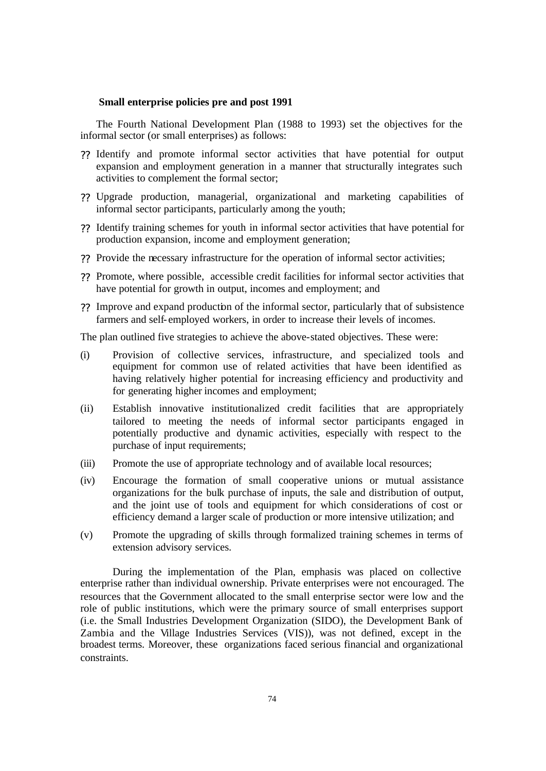#### **Small enterprise policies pre and post 1991**

The Fourth National Development Plan (1988 to 1993) set the objectives for the informal sector (or small enterprises) as follows:

- ?? Identify and promote informal sector activities that have potential for output expansion and employment generation in a manner that structurally integrates such activities to complement the formal sector;
- ?? Upgrade production, managerial, organizational and marketing capabilities of informal sector participants, particularly among the youth;
- ?? Identify training schemes for youth in informal sector activities that have potential for production expansion, income and employment generation;
- ?? Provide the necessary infrastructure for the operation of informal sector activities;
- ?? Promote, where possible, accessible credit facilities for informal sector activities that have potential for growth in output, incomes and employment; and
- ?? Improve and expand production of the informal sector, particularly that of subsistence farmers and self- employed workers, in order to increase their levels of incomes.

The plan outlined five strategies to achieve the above-stated objectives. These were:

- (i) Provision of collective services, infrastructure, and specialized tools and equipment for common use of related activities that have been identified as having relatively higher potential for increasing efficiency and productivity and for generating higher incomes and employment;
- (ii) Establish innovative institutionalized credit facilities that are appropriately tailored to meeting the needs of informal sector participants engaged in potentially productive and dynamic activities, especially with respect to the purchase of input requirements;
- (iii) Promote the use of appropriate technology and of available local resources;
- (iv) Encourage the formation of small cooperative unions or mutual assistance organizations for the bulk purchase of inputs, the sale and distribution of output, and the joint use of tools and equipment for which considerations of cost or efficiency demand a larger scale of production or more intensive utilization; and
- (v) Promote the upgrading of skills through formalized training schemes in terms of extension advisory services.

During the implementation of the Plan, emphasis was placed on collective enterprise rather than individual ownership. Private enterprises were not encouraged. The resources that the Government allocated to the small enterprise sector were low and the role of public institutions, which were the primary source of small enterprises support (i.e. the Small Industries Development Organization (SIDO), the Development Bank of Zambia and the Village Industries Services (VIS)), was not defined, except in the broadest terms. Moreover, these organizations faced serious financial and organizational constraints.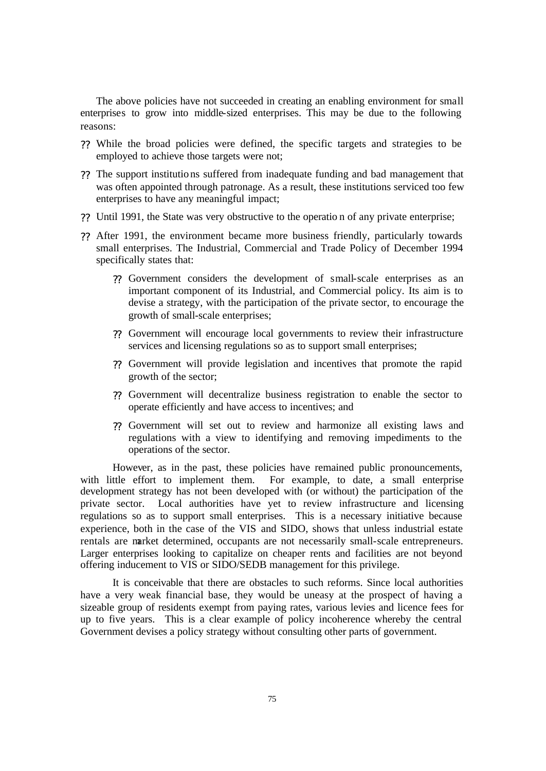The above policies have not succeeded in creating an enabling environment for small enterprises to grow into middle-sized enterprises. This may be due to the following reasons:

- ?? While the broad policies were defined, the specific targets and strategies to be employed to achieve those targets were not;
- ?? The support institutio ns suffered from inadequate funding and bad management that was often appointed through patronage. As a result, these institutions serviced too few enterprises to have any meaningful impact;
- ?? Until 1991, the State was very obstructive to the operatio n of any private enterprise;
- ?? After 1991, the environment became more business friendly, particularly towards small enterprises. The Industrial, Commercial and Trade Policy of December 1994 specifically states that:
	- ?? Government considers the development of small-scale enterprises as an important component of its Industrial, and Commercial policy. Its aim is to devise a strategy, with the participation of the private sector, to encourage the growth of small-scale enterprises;
	- ?? Government will encourage local governments to review their infrastructure services and licensing regulations so as to support small enterprises;
	- ?? Government will provide legislation and incentives that promote the rapid growth of the sector;
	- ?? Government will decentralize business registration to enable the sector to operate efficiently and have access to incentives; and
	- ?? Government will set out to review and harmonize all existing laws and regulations with a view to identifying and removing impediments to the operations of the sector.

However, as in the past, these policies have remained public pronouncements, with little effort to implement them. For example, to date, a small enterprise development strategy has not been developed with (or without) the participation of the private sector. Local authorities have yet to review infrastructure and licensing regulations so as to support small enterprises. This is a necessary initiative because experience, both in the case of the VIS and SIDO, shows that unless industrial estate rentals are market determined, occupants are not necessarily small-scale entrepreneurs. Larger enterprises looking to capitalize on cheaper rents and facilities are not beyond offering inducement to VIS or SIDO/SEDB management for this privilege.

It is conceivable that there are obstacles to such reforms. Since local authorities have a very weak financial base, they would be uneasy at the prospect of having a sizeable group of residents exempt from paying rates, various levies and licence fees for up to five years. This is a clear example of policy incoherence whereby the central Government devises a policy strategy without consulting other parts of government.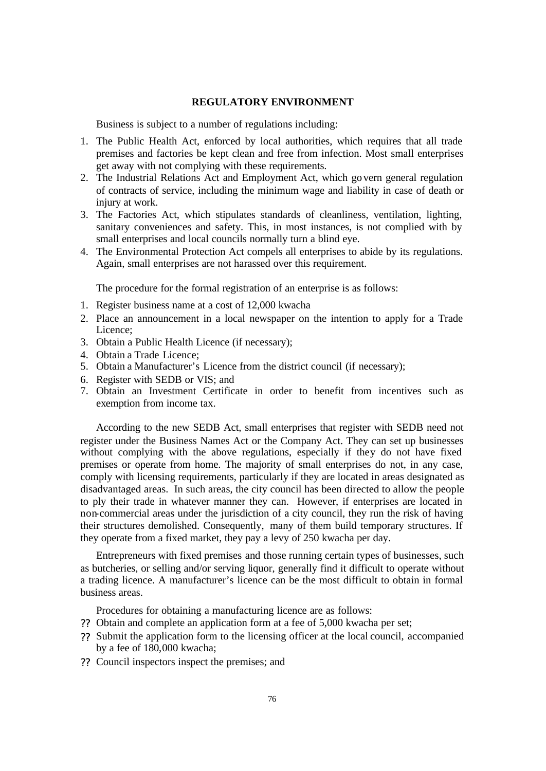# **REGULATORY ENVIRONMENT**

Business is subject to a number of regulations including:

- 1. The Public Health Act, enforced by local authorities, which requires that all trade premises and factories be kept clean and free from infection. Most small enterprises get away with not complying with these requirements.
- 2. The Industrial Relations Act and Employment Act, which go vern general regulation of contracts of service, including the minimum wage and liability in case of death or injury at work.
- 3. The Factories Act, which stipulates standards of cleanliness, ventilation, lighting, sanitary conveniences and safety. This, in most instances, is not complied with by small enterprises and local councils normally turn a blind eye.
- 4. The Environmental Protection Act compels all enterprises to abide by its regulations. Again, small enterprises are not harassed over this requirement.

The procedure for the formal registration of an enterprise is as follows:

- 1. Register business name at a cost of 12,000 kwacha
- 2. Place an announcement in a local newspaper on the intention to apply for a Trade Licence;
- 3. Obtain a Public Health Licence (if necessary);
- 4. Obtain a Trade Licence;
- 5. Obtain a Manufacturer's Licence from the district council (if necessary);
- 6. Register with SEDB or VIS; and
- 7. Obtain an Investment Certificate in order to benefit from incentives such as exemption from income tax.

According to the new SEDB Act, small enterprises that register with SEDB need not register under the Business Names Act or the Company Act. They can set up businesses without complying with the above regulations, especially if they do not have fixed premises or operate from home. The majority of small enterprises do not, in any case, comply with licensing requirements, particularly if they are located in areas designated as disadvantaged areas. In such areas, the city council has been directed to allow the people to ply their trade in whatever manner they can. However, if enterprises are located in non-commercial areas under the jurisdiction of a city council, they run the risk of having their structures demolished. Consequently, many of them build temporary structures. If they operate from a fixed market, they pay a levy of 250 kwacha per day.

Entrepreneurs with fixed premises and those running certain types of businesses, such as butcheries, or selling and/or serving liquor, generally find it difficult to operate without a trading licence. A manufacturer's licence can be the most difficult to obtain in formal business areas.

Procedures for obtaining a manufacturing licence are as follows:

- ?? Obtain and complete an application form at a fee of 5,000 kwacha per set;
- ?? Submit the application form to the licensing officer at the local council, accompanied by a fee of 180,000 kwacha;
- ?? Council inspectors inspect the premises; and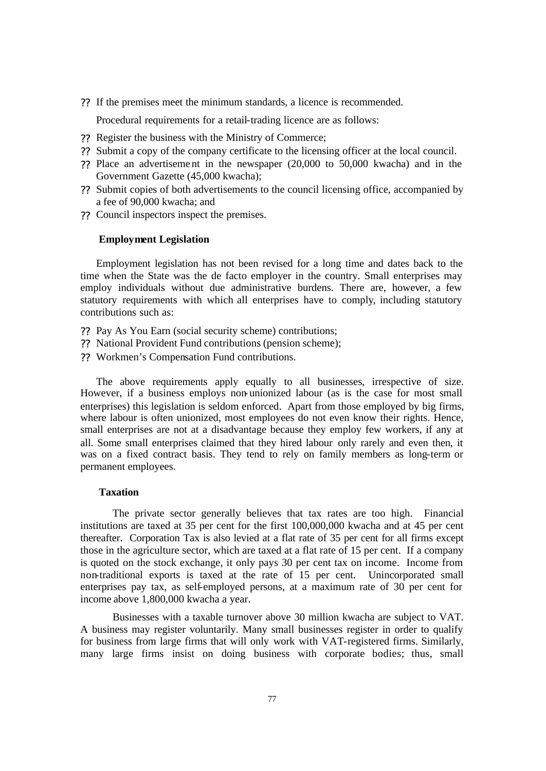?? If the premises meet the minimum standards, a licence is recommended.

Procedural requirements for a retail-trading licence are as follows:

- ?? Register the business with the Ministry of Commerce;
- ?? Submit a copy of the company certificate to the licensing officer at the local council.
- ?? Place an advertiseme nt in the newspaper (20,000 to 50,000 kwacha) and in the Government Gazette (45,000 kwacha);
- ?? Submit copies of both advertisements to the council licensing office, accompanied by a fee of 90,000 kwacha; and
- ?? Council inspectors inspect the premises.

# **Employment Legislation**

Employment legislation has not been revised for a long time and dates back to the time when the State was the de facto employer in the country. Small enterprises may employ individuals without due administrative burdens. There are, however, a few statutory requirements with which all enterprises have to comply, including statutory contributions such as:

- ?? Pay As You Earn (social security scheme) contributions;
- ?? National Provident Fund contributions (pension scheme);
- ?? Workmen's Compensation Fund contributions.

The above requirements apply equally to all businesses, irrespective of size. However, if a business employs non-unionized labour (as is the case for most small enterprises) this legislation is seldom enforced. Apart from those employed by big firms, where labour is often unionized, most employees do not even know their rights. Hence, small enterprises are not at a disadvantage because they employ few workers, if any at all. Some small enterprises claimed that they hired labour only rarely and even then, it was on a fixed contract basis. They tend to rely on family members as long-term or permanent employees.

## **Taxation**

The private sector generally believes that tax rates are too high. Financial institutions are taxed at 35 per cent for the first 100,000,000 kwacha and at 45 per cent thereafter. Corporation Tax is also levied at a flat rate of 35 per cent for all firms except those in the agriculture sector, which are taxed at a flat rate of 15 per cent. If a company is quoted on the stock exchange, it only pays 30 per cent tax on income. Income from non-traditional exports is taxed at the rate of 15 per cent. Unincorporated small enterprises pay tax, as self-employed persons, at a maximum rate of 30 per cent for income above 1,800,000 kwacha a year.

Businesses with a taxable turnover above 30 million kwacha are subject to VAT. A business may register voluntarily. Many small businesses register in order to qualify for business from large firms that will only work with VAT-registered firms. Similarly, many large firms insist on doing business with corporate bodies; thus, small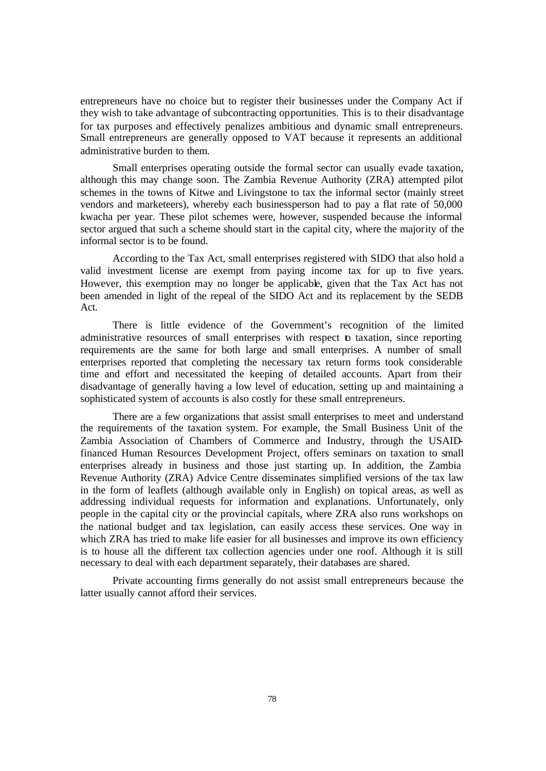entrepreneurs have no choice but to register their businesses under the Company Act if they wish to take advantage of subcontracting opportunities. This is to their disadvantage for tax purposes and effectively penalizes ambitious and dynamic small entrepreneurs. Small entrepreneurs are generally opposed to VAT because it represents an additional administrative burden to them.

Small enterprises operating outside the formal sector can usually evade taxation, although this may change soon. The Zambia Revenue Authority (ZRA) attempted pilot schemes in the towns of Kitwe and Livingstone to tax the informal sector (mainly street vendors and marketeers), whereby each businessperson had to pay a flat rate of 50,000 kwacha per year. These pilot schemes were, however, suspended because the informal sector argued that such a scheme should start in the capital city, where the majority of the informal sector is to be found.

According to the Tax Act, small enterprises registered with SIDO that also hold a valid investment license are exempt from paying income tax for up to five years. However, this exemption may no longer be applicable, given that the Tax Act has not been amended in light of the repeal of the SIDO Act and its replacement by the SEDB Act.

There is little evidence of the Government's recognition of the limited administrative resources of small enterprises with respect to taxation, since reporting requirements are the same for both large and small enterprises. A number of small enterprises reported that completing the necessary tax return forms took considerable time and effort and necessitated the keeping of detailed accounts. Apart from their disadvantage of generally having a low level of education, setting up and maintaining a sophisticated system of accounts is also costly for these small entrepreneurs.

There are a few organizations that assist small enterprises to meet and understand the requirements of the taxation system. For example, the Small Business Unit of the Zambia Association of Chambers of Commerce and Industry, through the USAIDfinanced Human Resources Development Project, offers seminars on taxation to small enterprises already in business and those just starting up. In addition, the Zambia Revenue Authority (ZRA) Advice Centre disseminates simplified versions of the tax law in the form of leaflets (although available only in English) on topical areas, as well as addressing individual requests for information and explanations. Unfortunately, only people in the capital city or the provincial capitals, where ZRA also runs workshops on the national budget and tax legislation, can easily access these services. One way in which ZRA has tried to make life easier for all businesses and improve its own efficiency is to house all the different tax collection agencies under one roof. Although it is still necessary to deal with each department separately, their databases are shared.

Private accounting firms generally do not assist small entrepreneurs because the latter usually cannot afford their services.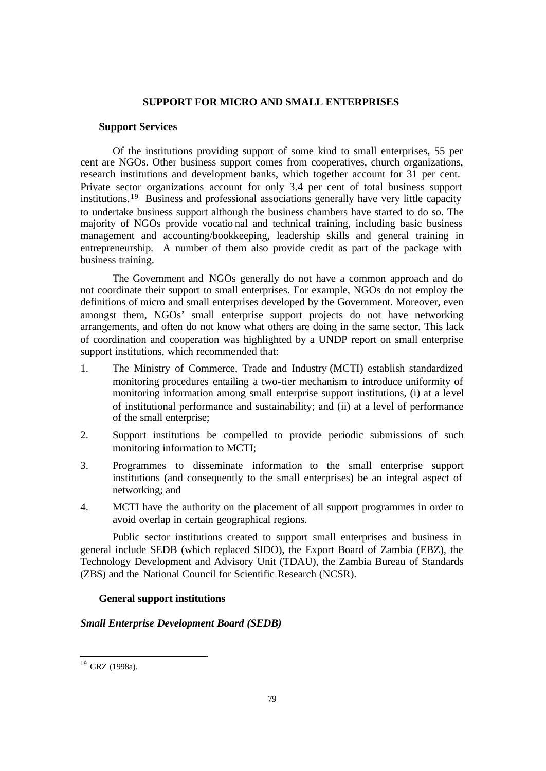#### **SUPPORT FOR MICRO AND SMALL ENTERPRISES**

## **Support Services**

Of the institutions providing support of some kind to small enterprises, 55 per cent are NGOs. Other business support comes from cooperatives, church organizations, research institutions and development banks, which together account for 31 per cent. Private sector organizations account for only 3.4 per cent of total business support institutions.<sup>19</sup> Business and professional associations generally have very little capacity to undertake business support although the business chambers have started to do so. The majority of NGOs provide vocatio nal and technical training, including basic business management and accounting/bookkeeping, leadership skills and general training in entrepreneurship. A number of them also provide credit as part of the package with business training.

The Government and NGOs generally do not have a common approach and do not coordinate their support to small enterprises. For example, NGOs do not employ the definitions of micro and small enterprises developed by the Government. Moreover, even amongst them, NGOs' small enterprise support projects do not have networking arrangements, and often do not know what others are doing in the same sector. This lack of coordination and cooperation was highlighted by a UNDP report on small enterprise support institutions, which recommended that:

- 1. The Ministry of Commerce, Trade and Industry (MCTI) establish standardized monitoring procedures entailing a two-tier mechanism to introduce uniformity of monitoring information among small enterprise support institutions, (i) at a level of institutional performance and sustainability; and (ii) at a level of performance of the small enterprise;
- 2. Support institutions be compelled to provide periodic submissions of such monitoring information to MCTI;
- 3. Programmes to disseminate information to the small enterprise support institutions (and consequently to the small enterprises) be an integral aspect of networking; and
- 4. MCTI have the authority on the placement of all support programmes in order to avoid overlap in certain geographical regions.

Public sector institutions created to support small enterprises and business in general include SEDB (which replaced SIDO), the Export Board of Zambia (EBZ), the Technology Development and Advisory Unit (TDAU), the Zambia Bureau of Standards (ZBS) and the National Council for Scientific Research (NCSR).

# **General support institutions**

# *Small Enterprise Development Board (SEDB)*

 $\overline{a}$ 

 $19$  GRZ (1998a).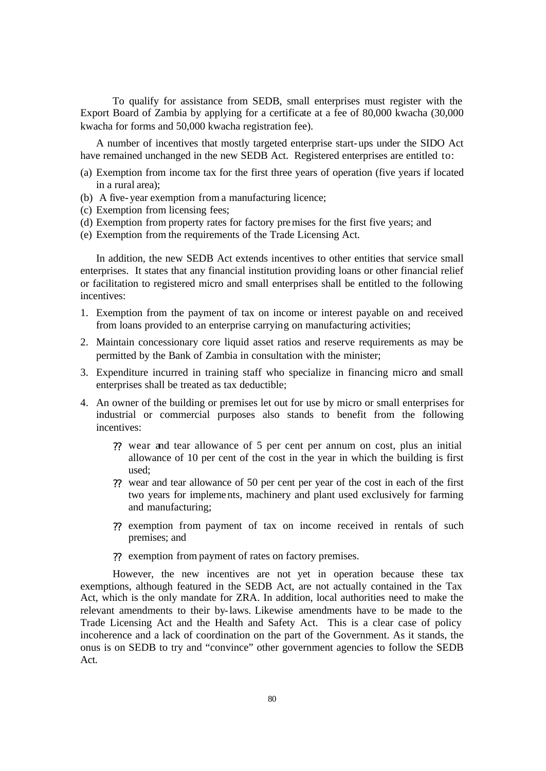To qualify for assistance from SEDB, small enterprises must register with the Export Board of Zambia by applying for a certificate at a fee of 80,000 kwacha (30,000 kwacha for forms and 50,000 kwacha registration fee).

A number of incentives that mostly targeted enterprise start-ups under the SIDO Act have remained unchanged in the new SEDB Act. Registered enterprises are entitled to:

- (a) Exemption from income tax for the first three years of operation (five years if located in a rural area);
- (b) A five-year exemption from a manufacturing licence;
- (c) Exemption from licensing fees;
- (d) Exemption from property rates for factory premises for the first five years; and
- (e) Exemption from the requirements of the Trade Licensing Act.

In addition, the new SEDB Act extends incentives to other entities that service small enterprises. It states that any financial institution providing loans or other financial relief or facilitation to registered micro and small enterprises shall be entitled to the following incentives:

- 1. Exemption from the payment of tax on income or interest payable on and received from loans provided to an enterprise carrying on manufacturing activities;
- 2. Maintain concessionary core liquid asset ratios and reserve requirements as may be permitted by the Bank of Zambia in consultation with the minister;
- 3. Expenditure incurred in training staff who specialize in financing micro and small enterprises shall be treated as tax deductible;
- 4. An owner of the building or premises let out for use by micro or small enterprises for industrial or commercial purposes also stands to benefit from the following incentives:
	- ?? wear and tear allowance of 5 per cent per annum on cost, plus an initial allowance of 10 per cent of the cost in the year in which the building is first used;
	- ?? wear and tear allowance of 50 per cent per year of the cost in each of the first two years for implements, machinery and plant used exclusively for farming and manufacturing;
	- ?? exemption from payment of tax on income received in rentals of such premises; and
	- ?? exemption from payment of rates on factory premises.

However, the new incentives are not yet in operation because these tax exemptions, although featured in the SEDB Act, are not actually contained in the Tax Act, which is the only mandate for ZRA. In addition, local authorities need to make the relevant amendments to their by-laws. Likewise amendments have to be made to the Trade Licensing Act and the Health and Safety Act. This is a clear case of policy incoherence and a lack of coordination on the part of the Government. As it stands, the onus is on SEDB to try and "convince" other government agencies to follow the SEDB Act.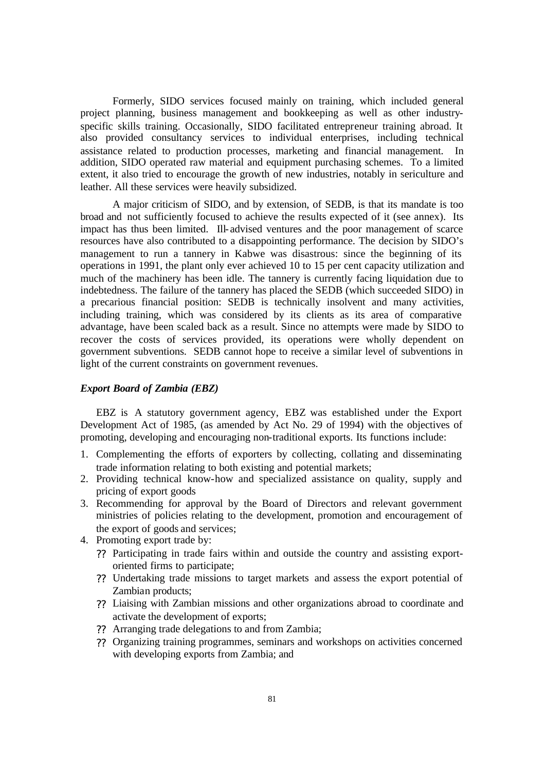Formerly, SIDO services focused mainly on training, which included general project planning, business management and bookkeeping as well as other industryspecific skills training. Occasionally, SIDO facilitated entrepreneur training abroad. It also provided consultancy services to individual enterprises, including technical assistance related to production processes, marketing and financial management. In addition, SIDO operated raw material and equipment purchasing schemes. To a limited extent, it also tried to encourage the growth of new industries, notably in sericulture and leather. All these services were heavily subsidized.

A major criticism of SIDO, and by extension, of SEDB, is that its mandate is too broad and not sufficiently focused to achieve the results expected of it (see annex). Its impact has thus been limited. Ill- advised ventures and the poor management of scarce resources have also contributed to a disappointing performance. The decision by SIDO's management to run a tannery in Kabwe was disastrous: since the beginning of its operations in 1991, the plant only ever achieved 10 to 15 per cent capacity utilization and much of the machinery has been idle. The tannery is currently facing liquidation due to indebtedness. The failure of the tannery has placed the SEDB (which succeeded SIDO) in a precarious financial position: SEDB is technically insolvent and many activities, including training, which was considered by its clients as its area of comparative advantage, have been scaled back as a result. Since no attempts were made by SIDO to recover the costs of services provided, its operations were wholly dependent on government subventions. SEDB cannot hope to receive a similar level of subventions in light of the current constraints on government revenues.

# *Export Board of Zambia (EBZ)*

EBZ is A statutory government agency, EBZ was established under the Export Development Act of 1985, (as amended by Act No. 29 of 1994) with the objectives of promoting, developing and encouraging non-traditional exports. Its functions include:

- 1. Complementing the efforts of exporters by collecting, collating and disseminating trade information relating to both existing and potential markets;
- 2. Providing technical know-how and specialized assistance on quality, supply and pricing of export goods
- 3. Recommending for approval by the Board of Directors and relevant government ministries of policies relating to the development, promotion and encouragement of the export of goods and services;
- 4. Promoting export trade by:
	- ?? Participating in trade fairs within and outside the country and assisting exportoriented firms to participate;
	- ?? Undertaking trade missions to target markets and assess the export potential of Zambian products;
	- ?? Liaising with Zambian missions and other organizations abroad to coordinate and activate the development of exports;
	- ?? Arranging trade delegations to and from Zambia;
	- ?? Organizing training programmes, seminars and workshops on activities concerned with developing exports from Zambia; and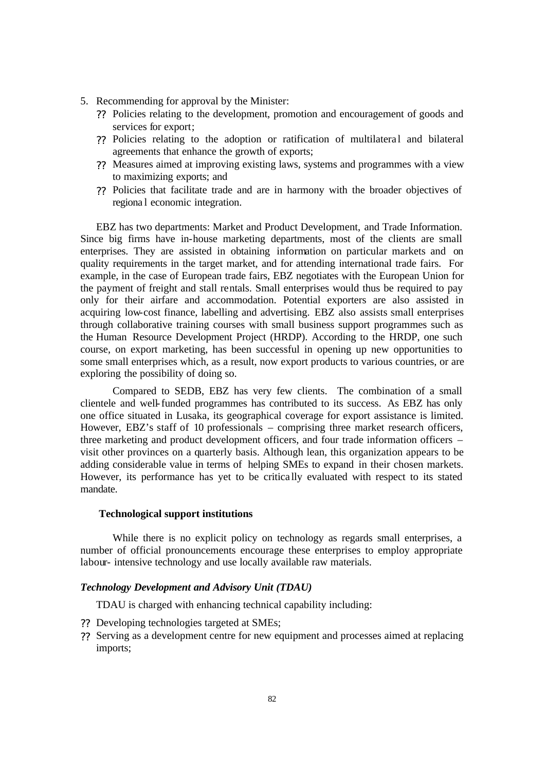- 5. Recommending for approval by the Minister:
	- ?? Policies relating to the development, promotion and encouragement of goods and services for export;
	- ?? Policies relating to the adoption or ratification of multilateral and bilateral agreements that enhance the growth of exports;
	- ?? Measures aimed at improving existing laws, systems and programmes with a view to maximizing exports; and
	- ?? Policies that facilitate trade and are in harmony with the broader objectives of regiona l economic integration.

EBZ has two departments: Market and Product Development, and Trade Information. Since big firms have in-house marketing departments, most of the clients are small enterprises. They are assisted in obtaining information on particular markets and on quality requirements in the target market, and for attending international trade fairs. For example, in the case of European trade fairs, EBZ negotiates with the European Union for the payment of freight and stall rentals. Small enterprises would thus be required to pay only for their airfare and accommodation. Potential exporters are also assisted in acquiring low-cost finance, labelling and advertising. EBZ also assists small enterprises through collaborative training courses with small business support programmes such as the Human Resource Development Project (HRDP). According to the HRDP, one such course, on export marketing, has been successful in opening up new opportunities to some small enterprises which, as a result, now export products to various countries, or are exploring the possibility of doing so.

Compared to SEDB, EBZ has very few clients. The combination of a small clientele and well-funded programmes has contributed to its success. As EBZ has only one office situated in Lusaka, its geographical coverage for export assistance is limited. However, EBZ's staff of 10 professionals – comprising three market research officers, three marketing and product development officers, and four trade information officers – visit other provinces on a quarterly basis. Although lean, this organization appears to be adding considerable value in terms of helping SMEs to expand in their chosen markets. However, its performance has yet to be critica lly evaluated with respect to its stated mandate.

## **Technological support institutions**

While there is no explicit policy on technology as regards small enterprises, a number of official pronouncements encourage these enterprises to employ appropriate labour- intensive technology and use locally available raw materials.

# *Technology Development and Advisory Unit (TDAU)*

TDAU is charged with enhancing technical capability including:

- ?? Developing technologies targeted at SMEs;
- ?? Serving as a development centre for new equipment and processes aimed at replacing imports;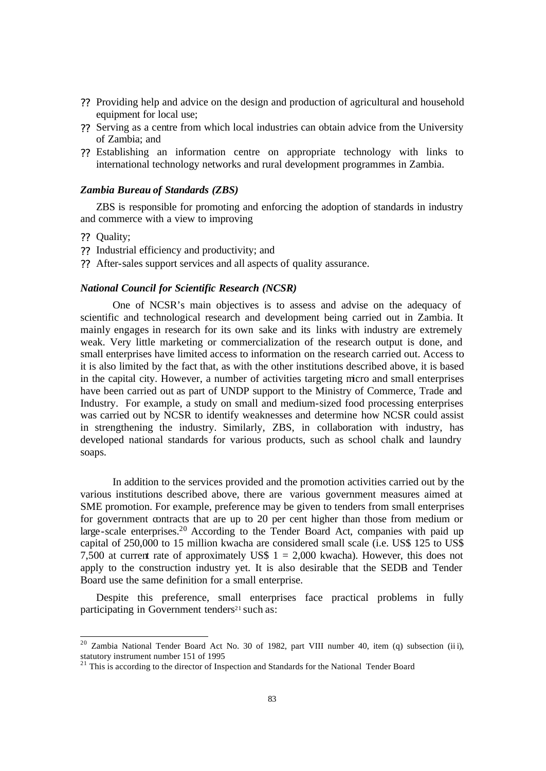- ?? Providing help and advice on the design and production of agricultural and household equipment for local use;
- ?? Serving as a centre from which local industries can obtain advice from the University of Zambia; and
- ?? Establishing an information centre on appropriate technology with links to international technology networks and rural development programmes in Zambia.

## *Zambia Bureau of Standards (ZBS)*

ZBS is responsible for promoting and enforcing the adoption of standards in industry and commerce with a view to improving

?? Quality;

 $\overline{a}$ 

- ?? Industrial efficiency and productivity; and
- ?? After-sales support services and all aspects of quality assurance.

## *National Council for Scientific Research (NCSR)*

One of NCSR's main objectives is to assess and advise on the adequacy of scientific and technological research and development being carried out in Zambia. It mainly engages in research for its own sake and its links with industry are extremely weak. Very little marketing or commercialization of the research output is done, and small enterprises have limited access to information on the research carried out. Access to it is also limited by the fact that, as with the other institutions described above, it is based in the capital city. However, a number of activities targeting micro and small enterprises have been carried out as part of UNDP support to the Ministry of Commerce, Trade and Industry. For example, a study on small and medium-sized food processing enterprises was carried out by NCSR to identify weaknesses and determine how NCSR could assist in strengthening the industry. Similarly, ZBS, in collaboration with industry, has developed national standards for various products, such as school chalk and laundry soaps.

In addition to the services provided and the promotion activities carried out by the various institutions described above, there are various government measures aimed at SME promotion. For example, preference may be given to tenders from small enterprises for government contracts that are up to 20 per cent higher than those from medium or large-scale enterprises.<sup>20</sup> According to the Tender Board Act, companies with paid up capital of 250,000 to 15 million kwacha are considered small scale (i.e. US\$ 125 to US\$ 7,500 at current rate of approximately US\$  $1 = 2,000$  kwacha). However, this does not apply to the construction industry yet. It is also desirable that the SEDB and Tender Board use the same definition for a small enterprise.

Despite this preference, small enterprises face practical problems in fully participating in Government tenders $21$  such as:

<sup>&</sup>lt;sup>20</sup> Zambia National Tender Board Act No. 30 of 1982, part VIII number 40, item (q) subsection (iii), statutory instrument number 151 of 1995

 $21$  This is according to the director of Inspection and Standards for the National Tender Board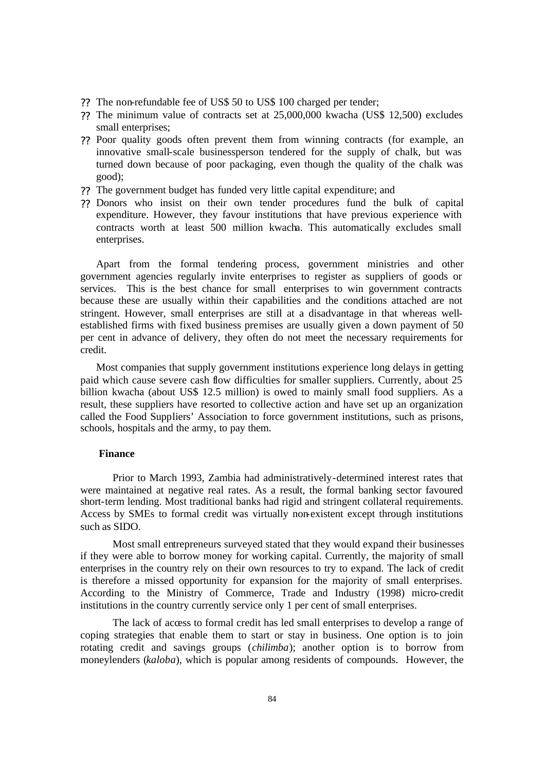- ?? The non-refundable fee of US\$ 50 to US\$ 100 charged per tender;
- ?? The minimum value of contracts set at 25,000,000 kwacha (US\$ 12,500) excludes small enterprises;
- ?? Poor quality goods often prevent them from winning contracts (for example, an innovative small-scale businessperson tendered for the supply of chalk, but was turned down because of poor packaging, even though the quality of the chalk was good);
- ?? The government budget has funded very little capital expenditure; and
- ?? Donors who insist on their own tender procedures fund the bulk of capital expenditure. However, they favour institutions that have previous experience with contracts worth at least 500 million kwacha. This automatically excludes small enterprises.

Apart from the formal tendering process, government ministries and other government agencies regularly invite enterprises to register as suppliers of goods or services. This is the best chance for small enterprises to win government contracts because these are usually within their capabilities and the conditions attached are not stringent. However, small enterprises are still at a disadvantage in that whereas wellestablished firms with fixed business premises are usually given a down payment of 50 per cent in advance of delivery, they often do not meet the necessary requirements for credit.

Most companies that supply government institutions experience long delays in getting paid which cause severe cash flow difficulties for smaller suppliers. Currently, about 25 billion kwacha (about US\$ 12.5 million) is owed to mainly small food suppliers. As a result, these suppliers have resorted to collective action and have set up an organization called the Food Suppliers' Association to force government institutions, such as prisons, schools, hospitals and the army, to pay them.

#### **Finance**

Prior to March 1993, Zambia had administratively-determined interest rates that were maintained at negative real rates. As a result, the formal banking sector favoured short-term lending. Most traditional banks had rigid and stringent collateral requirements. Access by SMEs to formal credit was virtually non-existent except through institutions such as SIDO.

Most small entrepreneurs surveyed stated that they would expand their businesses if they were able to borrow money for working capital. Currently, the majority of small enterprises in the country rely on their own resources to try to expand. The lack of credit is therefore a missed opportunity for expansion for the majority of small enterprises. According to the Ministry of Commerce, Trade and Industry (1998) micro-credit institutions in the country currently service only 1 per cent of small enterprises.

The lack of access to formal credit has led small enterprises to develop a range of coping strategies that enable them to start or stay in business. One option is to join rotating credit and savings groups (*chilimba*); another option is to borrow from moneylenders (*kaloba*), which is popular among residents of compounds. However, the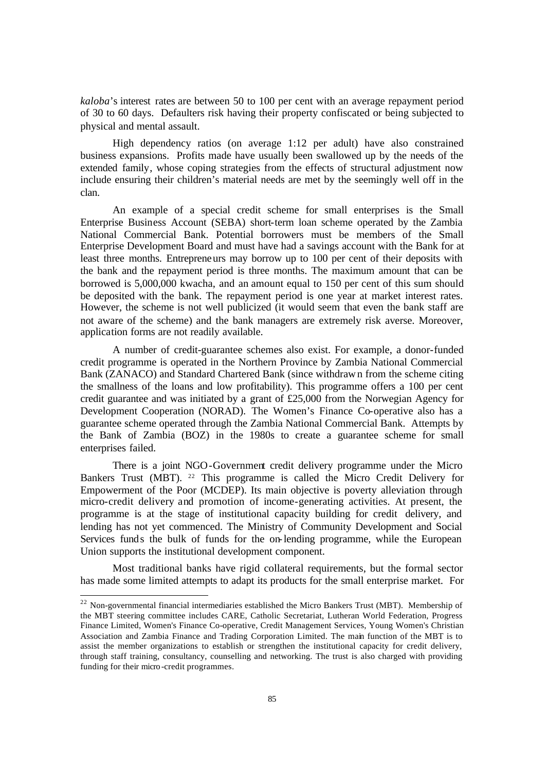*kaloba*'s interest rates are between 50 to 100 per cent with an average repayment period of 30 to 60 days. Defaulters risk having their property confiscated or being subjected to physical and mental assault.

High dependency ratios (on average 1:12 per adult) have also constrained business expansions. Profits made have usually been swallowed up by the needs of the extended family, whose coping strategies from the effects of structural adjustment now include ensuring their children's material needs are met by the seemingly well off in the clan.

An example of a special credit scheme for small enterprises is the Small Enterprise Business Account (SEBA) short-term loan scheme operated by the Zambia National Commercial Bank. Potential borrowers must be members of the Small Enterprise Development Board and must have had a savings account with the Bank for at least three months. Entrepreneurs may borrow up to 100 per cent of their deposits with the bank and the repayment period is three months. The maximum amount that can be borrowed is 5,000,000 kwacha, and an amount equal to 150 per cent of this sum should be deposited with the bank. The repayment period is one year at market interest rates. However, the scheme is not well publicized (it would seem that even the bank staff are not aware of the scheme) and the bank managers are extremely risk averse. Moreover, application forms are not readily available.

A number of credit-guarantee schemes also exist. For example, a donor-funded credit programme is operated in the Northern Province by Zambia National Commercial Bank (ZANACO) and Standard Chartered Bank (since withdrawn from the scheme citing the smallness of the loans and low profitability). This programme offers a 100 per cent credit guarantee and was initiated by a grant of £25,000 from the Norwegian Agency for Development Cooperation (NORAD). The Women's Finance Co-operative also has a guarantee scheme operated through the Zambia National Commercial Bank. Attempts by the Bank of Zambia (BOZ) in the 1980s to create a guarantee scheme for small enterprises failed.

There is a joint NGO-Government credit delivery programme under the Micro Bankers Trust (MBT). <sup>22</sup> This programme is called the Micro Credit Delivery for Empowerment of the Poor (MCDEP). Its main objective is poverty alleviation through micro-credit delivery and promotion of income-generating activities. At present, the programme is at the stage of institutional capacity building for credit delivery, and lending has not yet commenced. The Ministry of Community Development and Social Services funds the bulk of funds for the on-lending programme, while the European Union supports the institutional development component.

Most traditional banks have rigid collateral requirements, but the formal sector has made some limited attempts to adapt its products for the small enterprise market. For

 $\overline{a}$ 

 $22$  Non-governmental financial intermediaries established the Micro Bankers Trust (MBT). Membership of the MBT steering committee includes CARE, Catholic Secretariat, Lutheran World Federation, Progress Finance Limited, Women's Finance Co-operative, Credit Management Services, Young Women's Christian Association and Zambia Finance and Trading Corporation Limited. The main function of the MBT is to assist the member organizations to establish or strengthen the institutional capacity for credit delivery, through staff training, consultancy, counselling and networking. The trust is also charged with providing funding for their micro-credit programmes.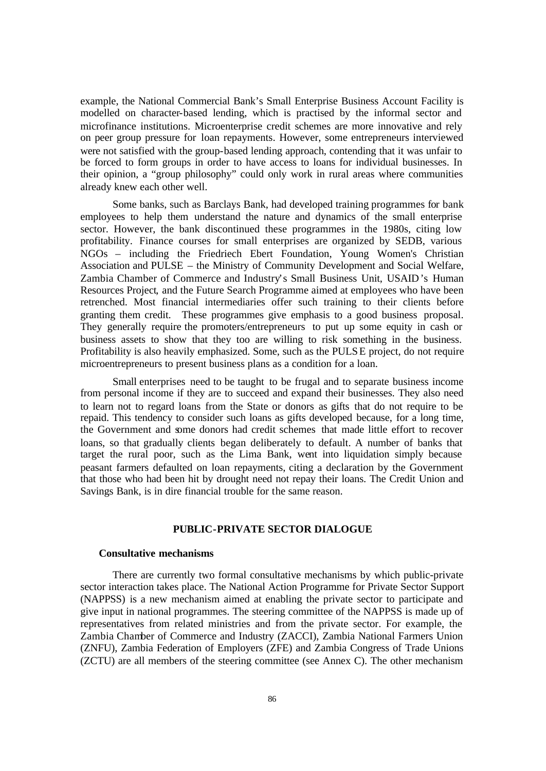example, the National Commercial Bank's Small Enterprise Business Account Facility is modelled on character-based lending, which is practised by the informal sector and microfinance institutions. Microenterprise credit schemes are more innovative and rely on peer group pressure for loan repayments. However, some entrepreneurs interviewed were not satisfied with the group-based lending approach, contending that it was unfair to be forced to form groups in order to have access to loans for individual businesses. In their opinion, a "group philosophy" could only work in rural areas where communities already knew each other well.

Some banks, such as Barclays Bank, had developed training programmes for bank employees to help them understand the nature and dynamics of the small enterprise sector. However, the bank discontinued these programmes in the 1980s, citing low profitability. Finance courses for small enterprises are organized by SEDB, various NGOs – including the Friedriech Ebert Foundation, Young Women's Christian Association and PULSE – the Ministry of Community Development and Social Welfare, Zambia Chamber of Commerce and Industry's Small Business Unit, USAID's Human Resources Project, and the Future Search Programme aimed at employees who have been retrenched. Most financial intermediaries offer such training to their clients before granting them credit. These programmes give emphasis to a good business proposal. They generally require the promoters/entrepreneurs to put up some equity in cash or business assets to show that they too are willing to risk something in the business. Profitability is also heavily emphasized. Some, such as the PULSE project, do not require microentrepreneurs to present business plans as a condition for a loan.

Small enterprises need to be taught to be frugal and to separate business income from personal income if they are to succeed and expand their businesses. They also need to learn not to regard loans from the State or donors as gifts that do not require to be repaid. This tendency to consider such loans as gifts developed because, for a long time, the Government and some donors had credit schemes that made little effort to recover loans, so that gradually clients began deliberately to default. A number of banks that target the rural poor, such as the Lima Bank, went into liquidation simply because peasant farmers defaulted on loan repayments, citing a declaration by the Government that those who had been hit by drought need not repay their loans. The Credit Union and Savings Bank, is in dire financial trouble for the same reason.

# **PUBLIC-PRIVATE SECTOR DIALOGUE**

#### **Consultative mechanisms**

There are currently two formal consultative mechanisms by which public-private sector interaction takes place. The National Action Programme for Private Sector Support (NAPPSS) is a new mechanism aimed at enabling the private sector to participate and give input in national programmes. The steering committee of the NAPPSS is made up of representatives from related ministries and from the private sector. For example, the Zambia Chamber of Commerce and Industry (ZACCI), Zambia National Farmers Union (ZNFU), Zambia Federation of Employers (ZFE) and Zambia Congress of Trade Unions (ZCTU) are all members of the steering committee (see Annex C). The other mechanism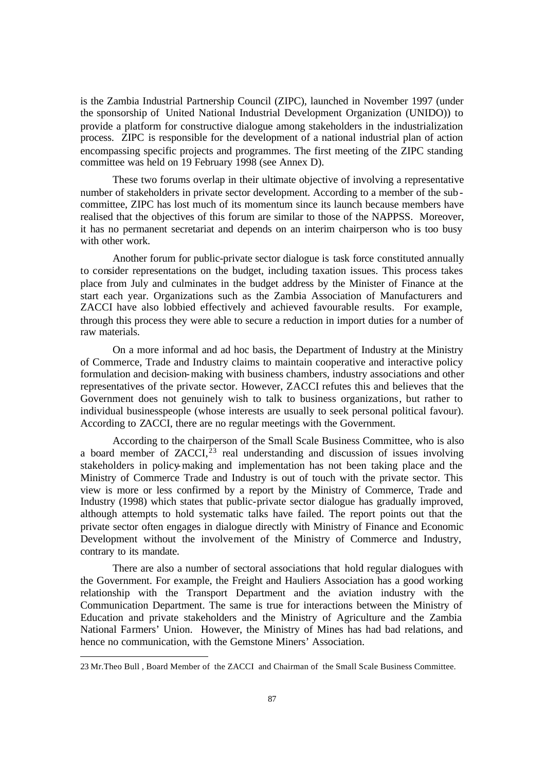is the Zambia Industrial Partnership Council (ZIPC), launched in November 1997 (under the sponsorship of United National Industrial Development Organization (UNIDO)) to provide a platform for constructive dialogue among stakeholders in the industrialization process. ZIPC is responsible for the development of a national industrial plan of action encompassing specific projects and programmes. The first meeting of the ZIPC standing committee was held on 19 February 1998 (see Annex D).

These two forums overlap in their ultimate objective of involving a representative number of stakeholders in private sector development. According to a member of the subcommittee, ZIPC has lost much of its momentum since its launch because members have realised that the objectives of this forum are similar to those of the NAPPSS. Moreover, it has no permanent secretariat and depends on an interim chairperson who is too busy with other work.

Another forum for public-private sector dialogue is task force constituted annually to consider representations on the budget, including taxation issues. This process takes place from July and culminates in the budget address by the Minister of Finance at the start each year. Organizations such as the Zambia Association of Manufacturers and ZACCI have also lobbied effectively and achieved favourable results. For example, through this process they were able to secure a reduction in import duties for a number of raw materials.

On a more informal and ad hoc basis, the Department of Industry at the Ministry of Commerce, Trade and Industry claims to maintain cooperative and interactive policy formulation and decision-making with business chambers, industry associations and other representatives of the private sector. However, ZACCI refutes this and believes that the Government does not genuinely wish to talk to business organizations, but rather to individual businesspeople (whose interests are usually to seek personal political favour). According to ZACCI, there are no regular meetings with the Government.

According to the chairperson of the Small Scale Business Committee, who is also a board member of  $ZACCI<sub>1</sub><sup>23</sup>$  real understanding and discussion of issues involving stakeholders in policy-making and implementation has not been taking place and the Ministry of Commerce Trade and Industry is out of touch with the private sector. This view is more or less confirmed by a report by the Ministry of Commerce, Trade and Industry (1998) which states that public-private sector dialogue has gradually improved, although attempts to hold systematic talks have failed. The report points out that the private sector often engages in dialogue directly with Ministry of Finance and Economic Development without the involvement of the Ministry of Commerce and Industry, contrary to its mandate.

There are also a number of sectoral associations that hold regular dialogues with the Government. For example, the Freight and Hauliers Association has a good working relationship with the Transport Department and the aviation industry with the Communication Department. The same is true for interactions between the Ministry of Education and private stakeholders and the Ministry of Agriculture and the Zambia National Farmers' Union. However, the Ministry of Mines has had bad relations, and hence no communication, with the Gemstone Miners' Association.

 $\overline{a}$ 

<sup>23</sup> Mr.Theo Bull , Board Member of the ZACCI and Chairman of the Small Scale Business Committee.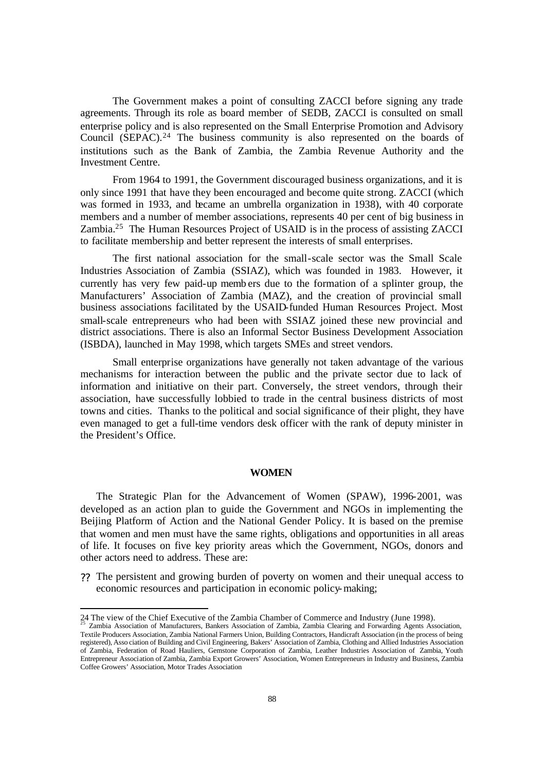The Government makes a point of consulting ZACCI before signing any trade agreements. Through its role as board member of SEDB, ZACCI is consulted on small enterprise policy and is also represented on the Small Enterprise Promotion and Advisory Council (SEPAC).<sup>24</sup> The business community is also represented on the boards of institutions such as the Bank of Zambia, the Zambia Revenue Authority and the Investment Centre.

From 1964 to 1991, the Government discouraged business organizations, and it is only since 1991 that have they been encouraged and become quite strong. ZACCI (which was formed in 1933, and became an umbrella organization in 1938), with 40 corporate members and a number of member associations, represents 40 per cent of big business in Zambia.<sup>25</sup> The Human Resources Project of USAID is in the process of assisting ZACCI to facilitate membership and better represent the interests of small enterprises.

The first national association for the small-scale sector was the Small Scale Industries Association of Zambia (SSIAZ), which was founded in 1983. However, it currently has very few paid-up memb ers due to the formation of a splinter group, the Manufacturers' Association of Zambia (MAZ), and the creation of provincial small business associations facilitated by the USAID-funded Human Resources Project. Most small-scale entrepreneurs who had been with SSIAZ joined these new provincial and district associations. There is also an Informal Sector Business Development Association (ISBDA), launched in May 1998, which targets SMEs and street vendors.

Small enterprise organizations have generally not taken advantage of the various mechanisms for interaction between the public and the private sector due to lack of information and initiative on their part. Conversely, the street vendors, through their association, have successfully lobbied to trade in the central business districts of most towns and cities. Thanks to the political and social significance of their plight, they have even managed to get a full-time vendors desk officer with the rank of deputy minister in the President's Office.

#### **WOMEN**

The Strategic Plan for the Advancement of Women (SPAW), 1996-2001, was developed as an action plan to guide the Government and NGOs in implementing the Beijing Platform of Action and the National Gender Policy. It is based on the premise that women and men must have the same rights, obligations and opportunities in all areas of life. It focuses on five key priority areas which the Government, NGOs, donors and other actors need to address. These are:

?? The persistent and growing burden of poverty on women and their unequal access to economic resources and participation in economic policy-making;

l

<sup>24</sup> The view of the Chief Executive of the Zambia Chamber of Commerce and Industry (June 1998). <sup>25</sup> Zambia Association of Manufacturers, Bankers Association of Zambia, Zambia Clearing and Forwarding Agents Association,

Textile Producers Association, Zambia National Farmers Union, Building Contractors, Handicraft Association (in the process of being registered), Asso ciation of Building and Civil Engineering, Bakers' Association of Zambia, Clothing and Allied Industries Association of Zambia, Federation of Road Hauliers, Gemstone Corporation of Zambia, Leather Industries Association of Zambia, Youth Entrepreneur Association of Zambia, Zambia Export Growers' Association, Women Entrepreneurs in Industry and Business, Zambia Coffee Growers' Association, Motor Trades Association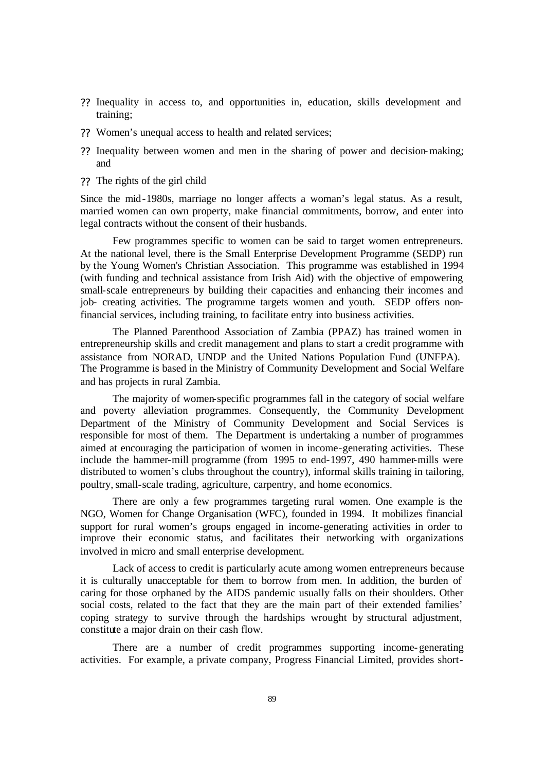- ?? Inequality in access to, and opportunities in, education, skills development and training;
- ?? Women's unequal access to health and related services;
- ?? Inequality between women and men in the sharing of power and decision-making; and
- ?? The rights of the girl child

Since the mid-1980s, marriage no longer affects a woman's legal status. As a result, married women can own property, make financial commitments, borrow, and enter into legal contracts without the consent of their husbands.

Few programmes specific to women can be said to target women entrepreneurs. At the national level, there is the Small Enterprise Development Programme (SEDP) run by the Young Women's Christian Association. This programme was established in 1994 (with funding and technical assistance from Irish Aid) with the objective of empowering small-scale entrepreneurs by building their capacities and enhancing their incomes and job- creating activities. The programme targets women and youth. SEDP offers nonfinancial services, including training, to facilitate entry into business activities.

The Planned Parenthood Association of Zambia (PPAZ) has trained women in entrepreneurship skills and credit management and plans to start a credit programme with assistance from NORAD, UNDP and the United Nations Population Fund (UNFPA). The Programme is based in the Ministry of Community Development and Social Welfare and has projects in rural Zambia.

The majority of women-specific programmes fall in the category of social welfare and poverty alleviation programmes. Consequently, the Community Development Department of the Ministry of Community Development and Social Services is responsible for most of them. The Department is undertaking a number of programmes aimed at encouraging the participation of women in income-generating activities. These include the hammer-mill programme (from 1995 to end-1997, 490 hammer-mills were distributed to women's clubs throughout the country), informal skills training in tailoring, poultry, small-scale trading, agriculture, carpentry, and home economics.

There are only a few programmes targeting rural women. One example is the NGO, Women for Change Organisation (WFC), founded in 1994. It mobilizes financial support for rural women's groups engaged in income-generating activities in order to improve their economic status, and facilitates their networking with organizations involved in micro and small enterprise development.

Lack of access to credit is particularly acute among women entrepreneurs because it is culturally unacceptable for them to borrow from men. In addition, the burden of caring for those orphaned by the AIDS pandemic usually falls on their shoulders. Other social costs, related to the fact that they are the main part of their extended families' coping strategy to survive through the hardships wrought by structural adjustment, constitute a major drain on their cash flow.

There are a number of credit programmes supporting income-generating activities. For example, a private company, Progress Financial Limited, provides short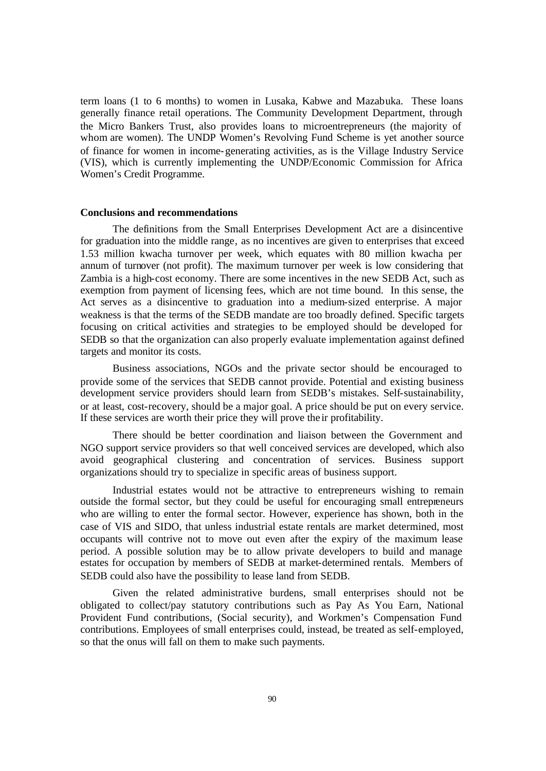term loans (1 to 6 months) to women in Lusaka, Kabwe and Mazabuka. These loans generally finance retail operations. The Community Development Department, through the Micro Bankers Trust, also provides loans to microentrepreneurs (the majority of whom are women). The UNDP Women's Revolving Fund Scheme is yet another source of finance for women in income-generating activities, as is the Village Industry Service (VIS), which is currently implementing the UNDP/Economic Commission for Africa Women's Credit Programme.

#### **Conclusions and recommendations**

The definitions from the Small Enterprises Development Act are a disincentive for graduation into the middle range, as no incentives are given to enterprises that exceed 1.53 million kwacha turnover per week, which equates with 80 million kwacha per annum of turnover (not profit). The maximum turnover per week is low considering that Zambia is a high-cost economy. There are some incentives in the new SEDB Act, such as exemption from payment of licensing fees, which are not time bound. In this sense, the Act serves as a disincentive to graduation into a medium-sized enterprise. A major weakness is that the terms of the SEDB mandate are too broadly defined. Specific targets focusing on critical activities and strategies to be employed should be developed for SEDB so that the organization can also properly evaluate implementation against defined targets and monitor its costs.

Business associations, NGOs and the private sector should be encouraged to provide some of the services that SEDB cannot provide. Potential and existing business development service providers should learn from SEDB's mistakes. Self-sustainability, or at least, cost-recovery, should be a major goal. A price should be put on every service. If these services are worth their price they will prove the ir profitability.

There should be better coordination and liaison between the Government and NGO support service providers so that well conceived services are developed, which also avoid geographical clustering and concentration of services. Business support organizations should try to specialize in specific areas of business support.

Industrial estates would not be attractive to entrepreneurs wishing to remain outside the formal sector, but they could be useful for encouraging small entrepreneurs who are willing to enter the formal sector. However, experience has shown, both in the case of VIS and SIDO, that unless industrial estate rentals are market determined, most occupants will contrive not to move out even after the expiry of the maximum lease period. A possible solution may be to allow private developers to build and manage estates for occupation by members of SEDB at market-determined rentals. Members of SEDB could also have the possibility to lease land from SEDB.

Given the related administrative burdens, small enterprises should not be obligated to collect/pay statutory contributions such as Pay As You Earn, National Provident Fund contributions, (Social security), and Workmen's Compensation Fund contributions. Employees of small enterprises could, instead, be treated as self-employed, so that the onus will fall on them to make such payments.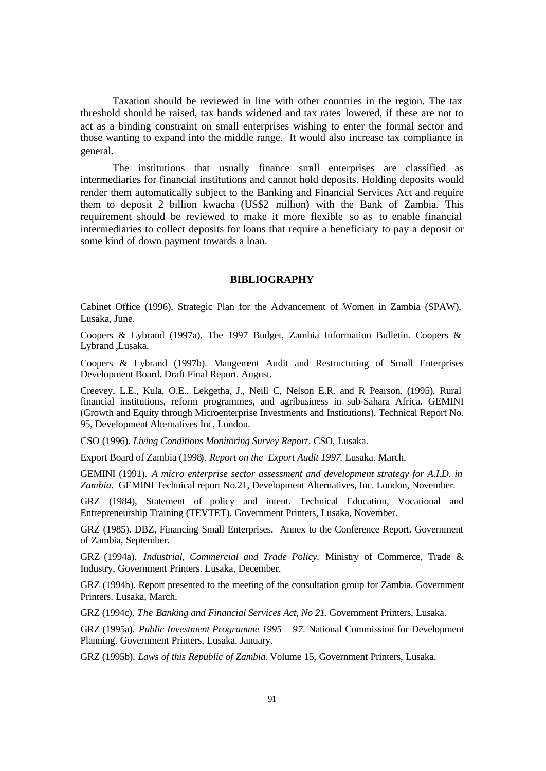Taxation should be reviewed in line with other countries in the region. The tax threshold should be raised, tax bands widened and tax rates lowered, if these are not to act as a binding constraint on small enterprises wishing to enter the formal sector and those wanting to expand into the middle range. It would also increase tax compliance in general.

The institutions that usually finance small enterprises are classified as intermediaries for financial institutions and cannot hold deposits. Holding deposits would render them automatically subject to the Banking and Financial Services Act and require them to deposit 2 billion kwacha (US\$2 million) with the Bank of Zambia. This requirement should be reviewed to make it more flexible so as to enable financial intermediaries to collect deposits for loans that require a beneficiary to pay a deposit or some kind of down payment towards a loan.

#### **BIBLIOGRAPHY**

Cabinet Office (1996). Strategic Plan for the Advancement of Women in Zambia (SPAW). Lusaka, June.

Coopers & Lybrand (1997a). The 1997 Budget, Zambia Information Bulletin. Coopers & Lybrand ,Lusaka.

Coopers & Lybrand (1997b). Mangement Audit and Restructuring of Small Enterprises Development Board. Draft Final Report. August.

Creevey, L.E., Kula, O.E., Lekgetha, J., Neill C, Nelson E.R. and R Pearson. (1995). Rural financial institutions, reform programmes, and agribusiness in sub-Sahara Africa. GEMINI (Growth and Equity through Microenterprise Investments and Institutions). Technical Report No. 95, Development Alternatives Inc, London.

CSO (1996). *Living Conditions Monitoring Survey Report*. CSO, Lusaka.

Export Board of Zambia (1998). *Report on the Export Audit 1997*. Lusaka. March.

GEMINI (1991). *A micro enterprise sector assessment and development strategy for A.I.D. in Zambia.* GEMINI Technical report No.21, Development Alternatives, Inc. London, November.

GRZ (1984), Statement of policy and intent. Technical Education, Vocational and Entrepreneurship Training (TEVTET). Government Printers, Lusaka, November.

GRZ (1985). DBZ, Financing Small Enterprises. Annex to the Conference Report. Government of Zambia, September.

GRZ (1994a). *Industrial, Commercial and Trade Policy.* Ministry of Commerce, Trade & Industry, Government Printers. Lusaka, December.

GRZ (1994b). Report presented to the meeting of the consultation group for Zambia. Government Printers. Lusaka, March.

GRZ (1994c). *The Banking and Financial Services Act, No 21*. Government Printers, Lusaka.

GRZ (1995a). *Public Investment Programme 1995 – 97*. National Commission for Development Planning. Government Printers, Lusaka. January.

GRZ (1995b). *Laws of this Republic of Zambia.* Volume 15, Government Printers, Lusaka.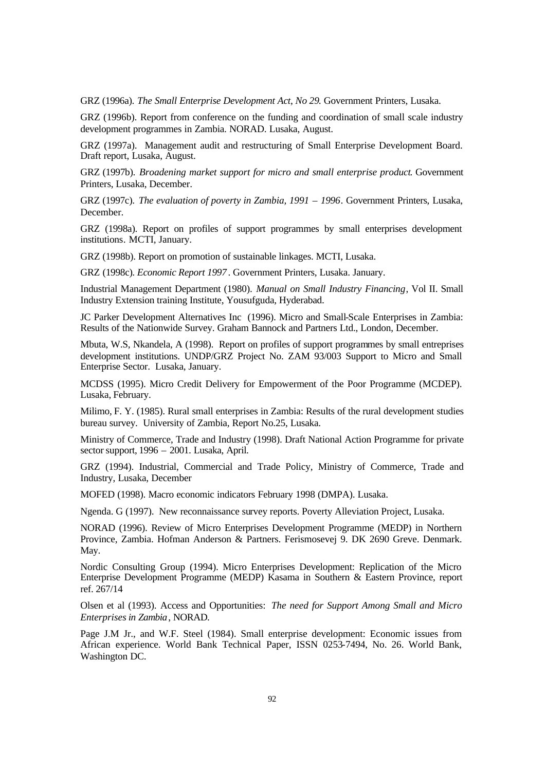GRZ (1996a). *The Small Enterprise Development Act*, *No 29*. Government Printers, Lusaka.

GRZ (1996b). Report from conference on the funding and coordination of small scale industry development programmes in Zambia. NORAD. Lusaka, August.

GRZ (1997a). Management audit and restructuring of Small Enterprise Development Board. Draft report, Lusaka, August.

GRZ (1997b). *Broadening market support for micro and small enterprise product*. Government Printers, Lusaka, December.

GRZ (1997c). *The evaluation of poverty in Zambia, 1991 – 1996*. Government Printers, Lusaka, December.

GRZ (1998a). Report on profiles of support programmes by small enterprises development institutions*.* MCTI, January.

GRZ (1998b). Report on promotion of sustainable linkages. MCTI, Lusaka.

GRZ (1998c)*. Economic Report 1997* . Government Printers, Lusaka. January.

Industrial Management Department (1980). *Manual on Small Industry Financing*, Vol II. Small Industry Extension training Institute, Yousufguda, Hyderabad.

JC Parker Development Alternatives Inc (1996). Micro and Small-Scale Enterprises in Zambia: Results of the Nationwide Survey. Graham Bannock and Partners Ltd., London, December.

Mbuta, W.S, Nkandela, A (1998). Report on profiles of support programmes by small entreprises development institutions. UNDP/GRZ Project No. ZAM 93/003 Support to Micro and Small Enterprise Sector. Lusaka, January.

MCDSS (1995). Micro Credit Delivery for Empowerment of the Poor Programme (MCDEP). Lusaka, February.

Milimo, F. Y. (1985). Rural small enterprises in Zambia: Results of the rural development studies bureau survey. University of Zambia, Report No.25, Lusaka.

Ministry of Commerce, Trade and Industry (1998). Draft National Action Programme for private sector support, 1996 – 2001. Lusaka, April.

GRZ (1994). Industrial, Commercial and Trade Policy, Ministry of Commerce, Trade and Industry, Lusaka, December

MOFED (1998). Macro economic indicators February 1998 (DMPA). Lusaka.

Ngenda. G (1997). New reconnaissance survey reports. Poverty Alleviation Project, Lusaka.

NORAD (1996). Review of Micro Enterprises Development Programme (MEDP) in Northern Province, Zambia. Hofman Anderson & Partners. Ferismosevej 9. DK 2690 Greve. Denmark. May.

Nordic Consulting Group (1994). Micro Enterprises Development: Replication of the Micro Enterprise Development Programme (MEDP) Kasama in Southern & Eastern Province, report ref. 267/14

Olsen et al (1993). Access and Opportunities: *The need for Support Among Small and Micro Enterprises in Zambia*, NORAD.

Page J.M Jr., and W.F. Steel (1984). Small enterprise development: Economic issues from African experience. World Bank Technical Paper, ISSN 0253-7494, No. 26. World Bank, Washington DC.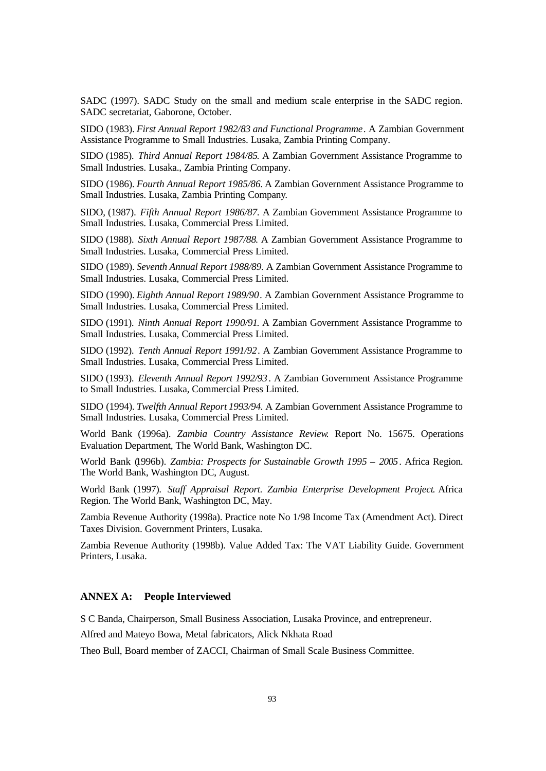SADC (1997). SADC Study on the small and medium scale enterprise in the SADC region. SADC secretariat, Gaborone, October.

SIDO (1983). *First Annual Report 1982/83 and Functional Programme*. A Zambian Government Assistance Programme to Small Industries. Lusaka, Zambia Printing Company.

SIDO (1985). *Third Annual Report 1984/85*. A Zambian Government Assistance Programme to Small Industries. Lusaka., Zambia Printing Company.

SIDO (1986). *Fourth Annual Report 1985/86.* A Zambian Government Assistance Programme to Small Industries. Lusaka, Zambia Printing Company.

SIDO, (1987). *Fifth Annual Report 1986/87.* A Zambian Government Assistance Programme to Small Industries. Lusaka, Commercial Press Limited.

SIDO (1988). *Sixth Annual Report 1987/88*. A Zambian Government Assistance Programme to Small Industries. Lusaka, Commercial Press Limited.

SIDO (1989). *Seventh Annual Report 1988/89.* A Zambian Government Assistance Programme to Small Industries. Lusaka, Commercial Press Limited.

SIDO (1990). *Eighth Annual Report 1989/90*. A Zambian Government Assistance Programme to Small Industries. Lusaka, Commercial Press Limited.

SIDO (1991). *Ninth Annual Report 1990/91*. A Zambian Government Assistance Programme to Small Industries. Lusaka, Commercial Press Limited.

SIDO (1992). *Tenth Annual Report 1991/92*. A Zambian Government Assistance Programme to Small Industries. Lusaka, Commercial Press Limited.

SIDO (1993). *Eleventh Annual Report 1992/93*. A Zambian Government Assistance Programme to Small Industries. Lusaka, Commercial Press Limited.

SIDO (1994). *Twelfth Annual Report 1993/94.* A Zambian Government Assistance Programme to Small Industries. Lusaka, Commercial Press Limited.

World Bank (1996a). *Zambia Country Assistance Review*. Report No. 15675. Operations Evaluation Department, The World Bank, Washington DC.

World Bank (1996b). *Zambia: Prospects for Sustainable Growth 1995 – 2005*. Africa Region. The World Bank, Washington DC, August.

World Bank (1997). *Staff Appraisal Report. Zambia Enterprise Development Project*. Africa Region. The World Bank, Washington DC, May.

Zambia Revenue Authority (1998a). Practice note No 1/98 Income Tax (Amendment Act). Direct Taxes Division. Government Printers, Lusaka.

Zambia Revenue Authority (1998b). Value Added Tax: The VAT Liability Guide. Government Printers, Lusaka.

# **ANNEX A: People Interviewed**

S C Banda, Chairperson, Small Business Association, Lusaka Province, and entrepreneur.

Alfred and Mateyo Bowa, Metal fabricators, Alick Nkhata Road

Theo Bull, Board member of ZACCI, Chairman of Small Scale Business Committee.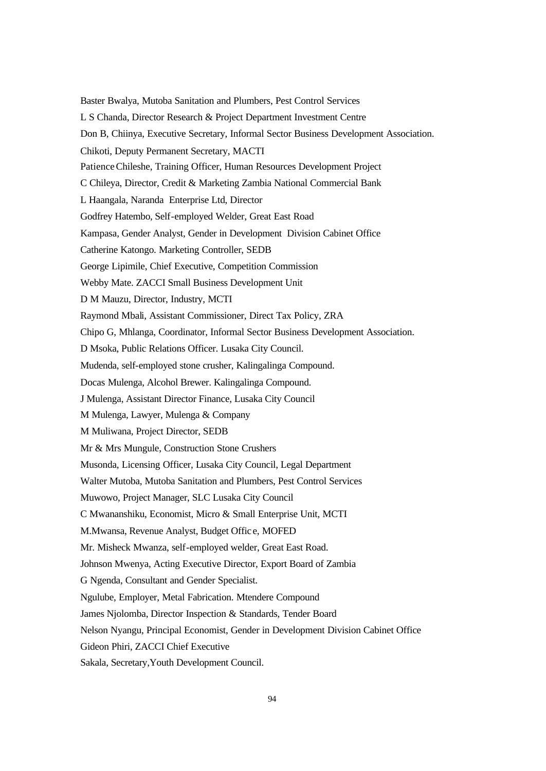Baster Bwalya, Mutoba Sanitation and Plumbers, Pest Control Services L S Chanda, Director Research & Project Department Investment Centre Don B, Chiinya, Executive Secretary, Informal Sector Business Development Association. Chikoti, Deputy Permanent Secretary, MACTI Patience Chileshe, Training Officer, Human Resources Development Project C Chileya, Director, Credit & Marketing Zambia National Commercial Bank L Haangala, Naranda Enterprise Ltd, Director Godfrey Hatembo, Self-employed Welder, Great East Road Kampasa, Gender Analyst, Gender in Development Division Cabinet Office Catherine Katongo. Marketing Controller, SEDB George Lipimile, Chief Executive, Competition Commission Webby Mate. ZACCI Small Business Development Unit D M Mauzu, Director, Industry, MCTI Raymond Mbali, Assistant Commissioner, Direct Tax Policy, ZRA Chipo G, Mhlanga, Coordinator, Informal Sector Business Development Association. D Msoka, Public Relations Officer. Lusaka City Council. Mudenda, self-employed stone crusher, Kalingalinga Compound. Docas Mulenga, Alcohol Brewer. Kalingalinga Compound. J Mulenga, Assistant Director Finance, Lusaka City Council M Mulenga, Lawyer, Mulenga & Company M Muliwana, Project Director, SEDB Mr & Mrs Mungule, Construction Stone Crushers Musonda, Licensing Officer, Lusaka City Council, Legal Department Walter Mutoba, Mutoba Sanitation and Plumbers, Pest Control Services Muwowo, Project Manager, SLC Lusaka City Council C Mwananshiku, Economist, Micro & Small Enterprise Unit, MCTI M.Mwansa, Revenue Analyst, Budget Offic e, MOFED Mr. Misheck Mwanza, self-employed welder, Great East Road. Johnson Mwenya, Acting Executive Director, Export Board of Zambia G Ngenda, Consultant and Gender Specialist. Ngulube, Employer, Metal Fabrication. Mtendere Compound James Njolomba, Director Inspection & Standards, Tender Board Nelson Nyangu, Principal Economist, Gender in Development Division Cabinet Office Gideon Phiri, ZACCI Chief Executive Sakala, Secretary,Youth Development Council.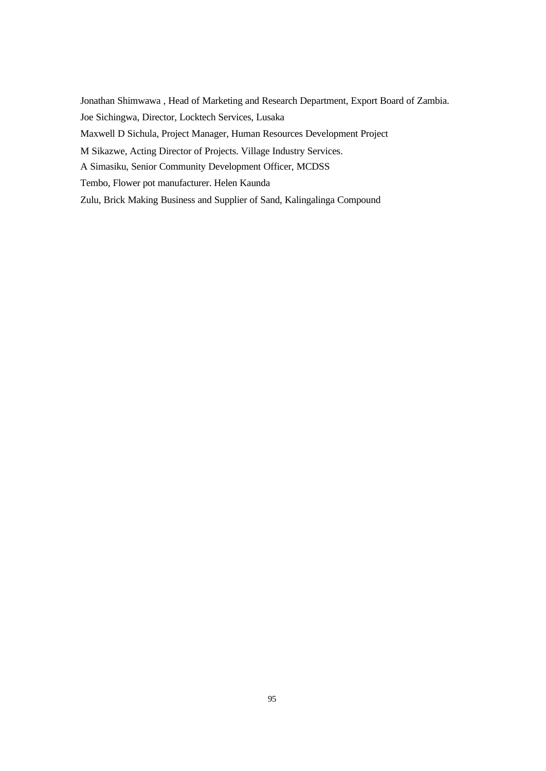Jonathan Shimwawa , Head of Marketing and Research Department, Export Board of Zambia. Joe Sichingwa, Director, Locktech Services, Lusaka Maxwell D Sichula, Project Manager, Human Resources Development Project M Sikazwe, Acting Director of Projects. Village Industry Services. A Simasiku, Senior Community Development Officer, MCDSS Tembo, Flower pot manufacturer. Helen Kaunda Zulu, Brick Making Business and Supplier of Sand, Kalingalinga Compound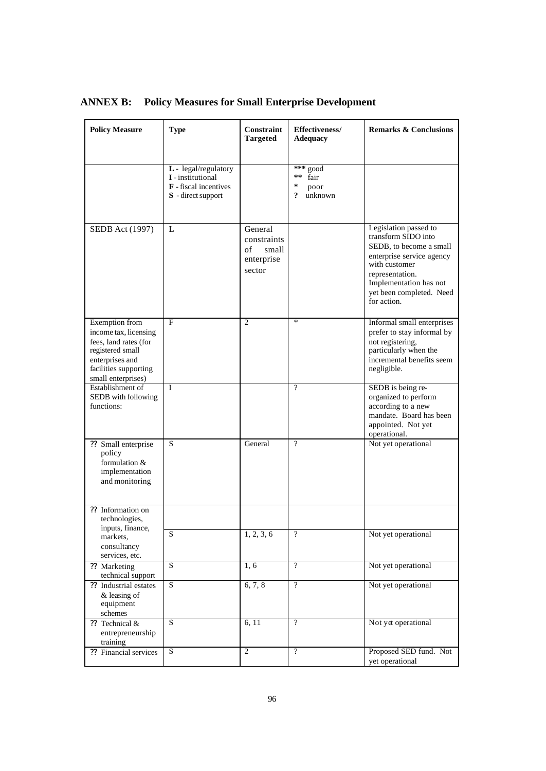| <b>Policy Measure</b>                                                                                                                                  | <b>Type</b>                                                                                     | <b>Constraint</b><br><b>Targeted</b>                          | Effectiveness/<br><b>Adequacy</b>                                      | <b>Remarks &amp; Conclusions</b>                                                                                                                                                                              |
|--------------------------------------------------------------------------------------------------------------------------------------------------------|-------------------------------------------------------------------------------------------------|---------------------------------------------------------------|------------------------------------------------------------------------|---------------------------------------------------------------------------------------------------------------------------------------------------------------------------------------------------------------|
|                                                                                                                                                        | L - legal/regulatory<br>I - institutional<br><b>F</b> - fiscal incentives<br>S - direct support |                                                               | $***$ good<br>$\star$ $\star$<br>fair<br>$\pm$<br>poor<br>?<br>unknown |                                                                                                                                                                                                               |
| <b>SEDB</b> Act (1997)                                                                                                                                 | L                                                                                               | General<br>constraints<br>of<br>small<br>enterprise<br>sector |                                                                        | Legislation passed to<br>transform SIDO into<br>SEDB, to become a small<br>enterprise service agency<br>with customer<br>representation.<br>Implementation has not<br>yet been completed. Need<br>for action. |
| Exemption from<br>income tax, licensing<br>fees, land rates (for<br>registered small<br>enterprises and<br>facilities supporting<br>small enterprises) | $F_{\rm}$                                                                                       | 2                                                             | $\ast$                                                                 | Informal small enterprises<br>prefer to stay informal by<br>not registering,<br>particularly when the<br>incremental benefits seem<br>negligible.                                                             |
| Establishment of<br>SEDB with following<br>functions:                                                                                                  | I                                                                                               |                                                               | $\gamma$                                                               | SEDB is being re-<br>organized to perform<br>according to a new<br>mandate. Board has been<br>appointed. Not yet<br>operational.                                                                              |
| ?? Small enterprise<br>policy<br>formulation &<br>implementation<br>and monitoring                                                                     | S                                                                                               | General                                                       | $\gamma$                                                               | Not yet operational                                                                                                                                                                                           |
| ?? Information on<br>technologies,<br>inputs, finance,<br>markets,<br>consultancy                                                                      | S                                                                                               | 1, 2, 3, 6                                                    | $\overline{\cdot}$                                                     | Not yet operational                                                                                                                                                                                           |
| services, etc.<br>?? Marketing                                                                                                                         | S                                                                                               | 1, 6                                                          | $\overline{?}$                                                         | Not yet operational                                                                                                                                                                                           |
| technical support<br>?? Industrial estates<br>$&$ leasing of<br>equipment<br>schemes                                                                   | S                                                                                               | 6, 7, 8                                                       | $\overline{?}$                                                         | Not yet operational                                                                                                                                                                                           |
| ?? Technical &<br>entrepreneurship<br>training                                                                                                         | S.                                                                                              | 6, 11                                                         | $\overline{?}$                                                         | Not yet operational                                                                                                                                                                                           |
| ?? Financial services                                                                                                                                  | S                                                                                               | $\overline{c}$                                                | $\overline{?}$                                                         | Proposed SED fund. Not<br>yet operational                                                                                                                                                                     |

# **ANNEX B: Policy Measures for Small Enterprise Development**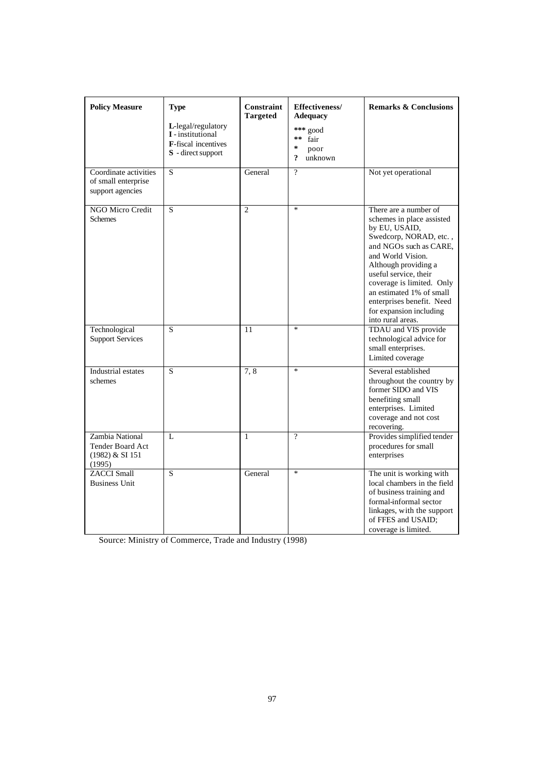| <b>Policy Measure</b>                                              | <b>Type</b><br>$L$ -legal/regulatory<br>I - institutional<br><b>F</b> -fiscal incentives<br><b>S</b> - direct support | Constraint<br><b>Targeted</b> | Effectiveness/<br><b>Adequacy</b><br>*** good<br>$\star$ $\star$<br>fair<br>$\star$<br>poor<br>?<br>unknown | <b>Remarks &amp; Conclusions</b>                                                                                                                                                                                                                                                                                                    |
|--------------------------------------------------------------------|-----------------------------------------------------------------------------------------------------------------------|-------------------------------|-------------------------------------------------------------------------------------------------------------|-------------------------------------------------------------------------------------------------------------------------------------------------------------------------------------------------------------------------------------------------------------------------------------------------------------------------------------|
| Coordinate activities<br>of small enterprise<br>support agencies   | S                                                                                                                     | General                       | $\overline{?}$                                                                                              | Not yet operational                                                                                                                                                                                                                                                                                                                 |
| NGO Micro Credit<br><b>Schemes</b>                                 | S                                                                                                                     | $\overline{2}$                | $\frac{1}{2}$                                                                                               | There are a number of<br>schemes in place assisted<br>by EU, USAID,<br>Swedcorp, NORAD, etc.,<br>and NGOs such as CARE.<br>and World Vision.<br>Although providing a<br>useful service, their<br>coverage is limited. Only<br>an estimated 1% of small<br>enterprises benefit. Need<br>for expansion including<br>into rural areas. |
| Technological<br><b>Support Services</b>                           | S                                                                                                                     | 11                            | $\ast$                                                                                                      | TDAU and VIS provide<br>technological advice for<br>small enterprises.<br>Limited coverage                                                                                                                                                                                                                                          |
| <b>Industrial</b> estates<br>schemes                               | S                                                                                                                     | 7,8                           | $\ast$                                                                                                      | Several established<br>throughout the country by<br>former SIDO and VIS<br>benefiting small<br>enterprises. Limited<br>coverage and not cost<br>recovering.                                                                                                                                                                         |
| Zambia National<br>Tender Board Act<br>$(1982)$ & SI 151<br>(1995) | L                                                                                                                     | 1                             | $\gamma$                                                                                                    | Provides simplified tender<br>procedures for small<br>enterprises                                                                                                                                                                                                                                                                   |
| <b>ZACCI</b> Small<br><b>Business Unit</b>                         | S                                                                                                                     | General                       | $\frac{d\mathbf{x}}{d\mathbf{x}}$                                                                           | The unit is working with<br>local chambers in the field<br>of business training and<br>formal-informal sector<br>linkages, with the support<br>of FFES and USAID;<br>coverage is limited.                                                                                                                                           |

Source: Ministry of Commerce, Trade and Industry (1998)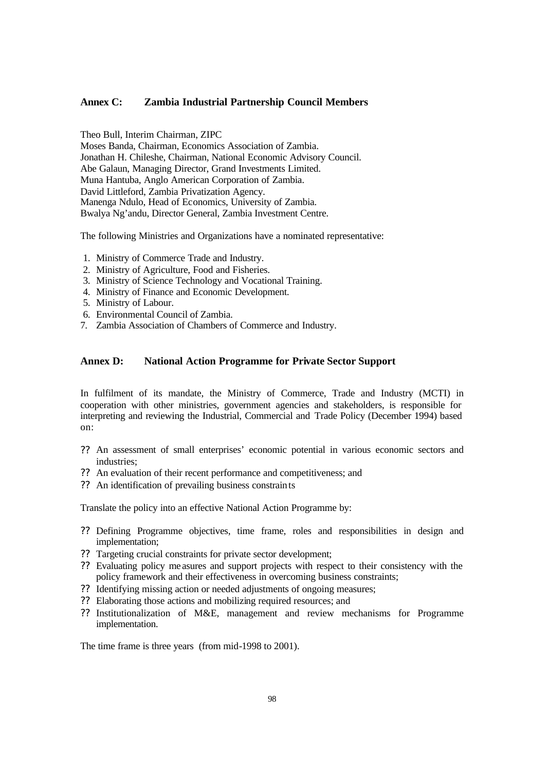#### **Annex C: Zambia Industrial Partnership Council Members**

Theo Bull, Interim Chairman, ZIPC

Moses Banda, Chairman, Economics Association of Zambia. Jonathan H. Chileshe, Chairman, National Economic Advisory Council. Abe Galaun, Managing Director, Grand Investments Limited. Muna Hantuba, Anglo American Corporation of Zambia. David Littleford, Zambia Privatization Agency. Manenga Ndulo, Head of Economics, University of Zambia. Bwalya Ng'andu, Director General, Zambia Investment Centre.

The following Ministries and Organizations have a nominated representative:

- 1. Ministry of Commerce Trade and Industry.
- 2. Ministry of Agriculture, Food and Fisheries.
- 3. Ministry of Science Technology and Vocational Training.
- 4. Ministry of Finance and Economic Development.
- 5. Ministry of Labour.
- 6. Environmental Council of Zambia.
- 7. Zambia Association of Chambers of Commerce and Industry.

# **Annex D: National Action Programme for Private Sector Support**

In fulfilment of its mandate, the Ministry of Commerce, Trade and Industry (MCTI) in cooperation with other ministries, government agencies and stakeholders, is responsible for interpreting and reviewing the Industrial, Commercial and Trade Policy (December 1994) based on:

- ?? An assessment of small enterprises' economic potential in various economic sectors and industries;
- ?? An evaluation of their recent performance and competitiveness; and
- ?? An identification of prevailing business constraints

Translate the policy into an effective National Action Programme by:

- ?? Defining Programme objectives, time frame, roles and responsibilities in design and implementation;
- ?? Targeting crucial constraints for private sector development;
- ?? Evaluating policy me asures and support projects with respect to their consistency with the policy framework and their effectiveness in overcoming business constraints;
- ?? Identifying missing action or needed adjustments of ongoing measures;
- ?? Elaborating those actions and mobilizing required resources; and
- ?? Institutionalization of M&E, management and review mechanisms for Programme implementation.

The time frame is three years (from mid-1998 to 2001).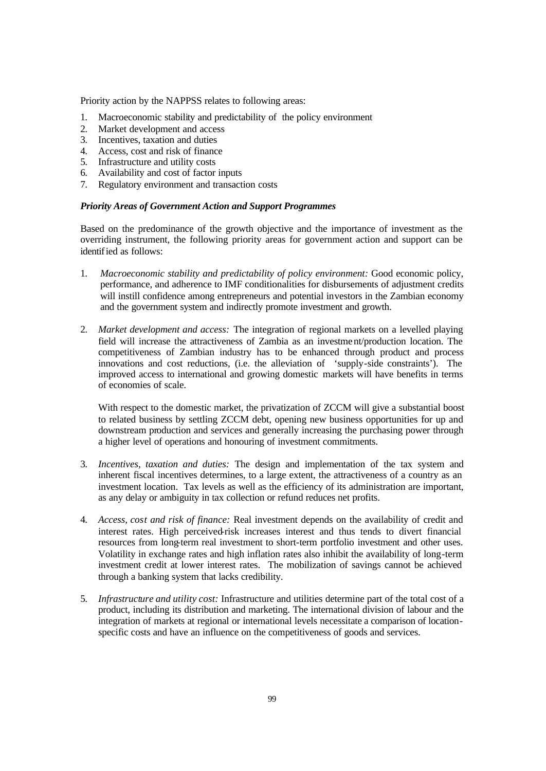Priority action by the NAPPSS relates to following areas:

- 1. Macroeconomic stability and predictability of the policy environment
- 2. Market development and access
- 3. Incentives, taxation and duties
- 4. Access, cost and risk of finance
- 5. Infrastructure and utility costs
- 6. Availability and cost of factor inputs
- 7. Regulatory environment and transaction costs

# *Priority Areas of Government Action and Support Programmes*

Based on the predominance of the growth objective and the importance of investment as the overriding instrument, the following priority areas for government action and support can be identified as follows:

- 1. *Macroeconomic stability and predictability of policy environment:* Good economic policy, performance, and adherence to IMF conditionalities for disbursements of adjustment credits will instill confidence among entrepreneurs and potential investors in the Zambian economy and the government system and indirectly promote investment and growth.
- 2. *Market development and access:* The integration of regional markets on a levelled playing field will increase the attractiveness of Zambia as an investment/production location. The competitiveness of Zambian industry has to be enhanced through product and process innovations and cost reductions, (i.e. the alleviation of 'supply-side constraints'). The improved access to international and growing domestic markets will have benefits in terms of economies of scale.

With respect to the domestic market, the privatization of ZCCM will give a substantial boost to related business by settling ZCCM debt, opening new business opportunities for up and downstream production and services and generally increasing the purchasing power through a higher level of operations and honouring of investment commitments.

- 3. *Incentives, taxation and duties:* The design and implementation of the tax system and inherent fiscal incentives determines, to a large extent, the attractiveness of a country as an investment location. Tax levels as well as the efficiency of its administration are important, as any delay or ambiguity in tax collection or refund reduces net profits.
- 4. *Access, cost and risk of finance:* Real investment depends on the availability of credit and interest rates. High perceived-risk increases interest and thus tends to divert financial resources from long-term real investment to short-term portfolio investment and other uses. Volatility in exchange rates and high inflation rates also inhibit the availability of long-term investment credit at lower interest rates. The mobilization of savings cannot be achieved through a banking system that lacks credibility.
- 5. *Infrastructure and utility cost:* Infrastructure and utilities determine part of the total cost of a product, including its distribution and marketing. The international division of labour and the integration of markets at regional or international levels necessitate a comparison of locationspecific costs and have an influence on the competitiveness of goods and services.